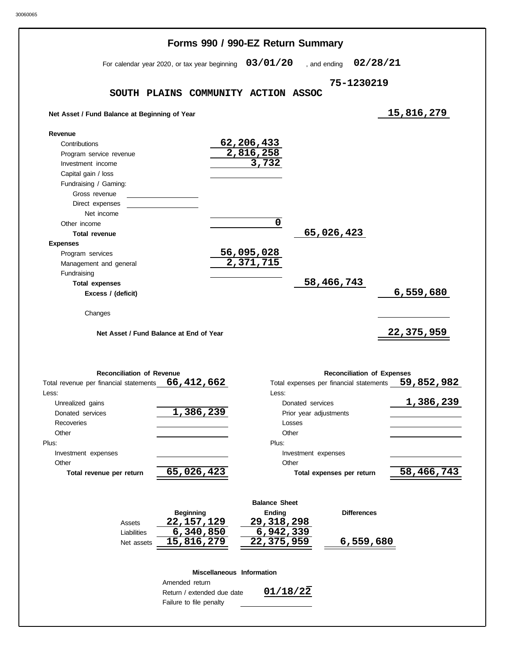|                                               |                                               | Forms 990 / 990-EZ Return Summary   |                                         |            |
|-----------------------------------------------|-----------------------------------------------|-------------------------------------|-----------------------------------------|------------|
|                                               | For calendar year 2020, or tax year beginning | 03/01/20                            | 02/28/21<br>, and ending                |            |
|                                               |                                               |                                     | 75-1230219                              |            |
|                                               |                                               | SOUTH PLAINS COMMUNITY ACTION ASSOC |                                         |            |
| Net Asset / Fund Balance at Beginning of Year |                                               |                                     |                                         | 15,816,279 |
| Revenue                                       |                                               |                                     |                                         |            |
| Contributions                                 |                                               | <u>62,206,433</u>                   |                                         |            |
| Program service revenue                       |                                               | $\frac{2,816,258}{3,732}$           |                                         |            |
| Investment income                             |                                               |                                     |                                         |            |
| Capital gain / loss                           |                                               |                                     |                                         |            |
| Fundraising / Gaming:                         |                                               |                                     |                                         |            |
| Gross revenue                                 |                                               |                                     |                                         |            |
| Direct expenses                               |                                               |                                     |                                         |            |
| Net income                                    |                                               |                                     |                                         |            |
| Other income                                  |                                               | $\mathbf 0$                         |                                         |            |
| <b>Total revenue</b>                          |                                               |                                     | 65,026,423                              |            |
| <b>Expenses</b>                               |                                               |                                     |                                         |            |
| Program services                              |                                               | 56,095,028<br>2,371,715             |                                         |            |
| Management and general                        |                                               |                                     |                                         |            |
| Fundraising                                   |                                               |                                     |                                         |            |
| <b>Total expenses</b>                         |                                               |                                     | 58,466,743                              |            |
| Excess / (deficit)                            |                                               |                                     |                                         | 6,559,680  |
| Changes                                       |                                               |                                     |                                         |            |
|                                               | Net Asset / Fund Balance at End of Year       |                                     |                                         | 22,375,959 |
|                                               |                                               |                                     |                                         |            |
| <b>Reconciliation of Revenue</b>              |                                               |                                     | <b>Reconciliation of Expenses</b>       |            |
| Total revenue per financial statements_       | 66, 412, 662                                  |                                     | Total expenses per financial statements | 59,852,982 |
| Less:                                         |                                               | Less:                               |                                         |            |
| Unrealized gains                              |                                               | Donated services                    |                                         | 1,386,239  |
| Donated services                              | 1,386,239                                     | Prior year adjustments              |                                         |            |
| Recoveries                                    |                                               | Losses                              |                                         |            |
| Other                                         |                                               | Other                               |                                         |            |
| Plus:                                         |                                               | Plus:                               |                                         |            |
| Investment expenses                           |                                               | Investment expenses                 |                                         |            |
| Other<br>Total revenue per return             | 65,026,423                                    | Other                               | Total expenses per return               | 58,466,743 |
|                                               |                                               |                                     |                                         |            |
|                                               |                                               | <b>Balance Sheet</b>                |                                         |            |
|                                               | <b>Beginning</b>                              | <b>Ending</b>                       | <b>Differences</b>                      |            |
| Assets                                        | 22, 157, 129                                  | 29,318,298                          |                                         |            |
| Liabilities                                   | 6,340,850                                     | $\overline{6}$ , 942, 339           |                                         |            |
|                                               | 15,816,279                                    | 22,375,959                          | 6,559,680                               |            |
| Net assets                                    |                                               |                                     |                                         |            |

| Amended return             |
|----------------------------|
| Return / extended due date |
| Failure to file penalty    |

**01/18/22**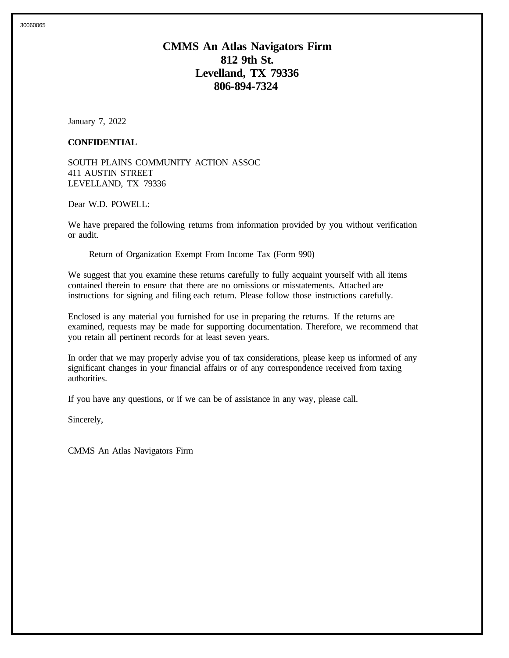# **CMMS An Atlas Navigators Firm 812 9th St. Levelland, TX 79336 806-894-7324**

January 7, 2022

# **CONFIDENTIAL**

SOUTH PLAINS COMMUNITY ACTION ASSOC 411 AUSTIN STREET LEVELLAND, TX 79336

Dear W.D. POWELL:

We have prepared the following returns from information provided by you without verification or audit.

Return of Organization Exempt From Income Tax (Form 990)

We suggest that you examine these returns carefully to fully acquaint yourself with all items contained therein to ensure that there are no omissions or misstatements. Attached are instructions for signing and filing each return. Please follow those instructions carefully.

Enclosed is any material you furnished for use in preparing the returns. If the returns are examined, requests may be made for supporting documentation. Therefore, we recommend that you retain all pertinent records for at least seven years.

In order that we may properly advise you of tax considerations, please keep us informed of any significant changes in your financial affairs or of any correspondence received from taxing authorities.

If you have any questions, or if we can be of assistance in any way, please call.

Sincerely,

CMMS An Atlas Navigators Firm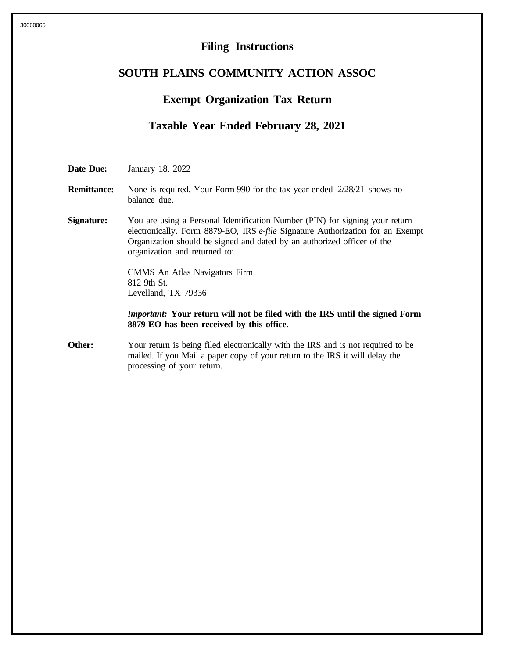# **Filing Instructions**

# **SOUTH PLAINS COMMUNITY ACTION ASSOC**

# **Exempt Organization Tax Return**

# **Taxable Year Ended February 28, 2021**

**Date Due:** January 18, 2022

- **Remittance:** None is required. Your Form 990 for the tax year ended 2/28/21 shows no balance due.
- **Signature:** You are using a Personal Identification Number (PIN) for signing your return electronically. Form 8879-EO, IRS *e-file* Signature Authorization for an Exempt Organization should be signed and dated by an authorized officer of the organization and returned to:

CMMS An Atlas Navigators Firm 812 9th St. Levelland, TX 79336

*Important:* **Your return will not be filed with the IRS until the signed Form 8879-EO has been received by this office.**

**Other:** Your return is being filed electronically with the IRS and is not required to be mailed. If you Mail a paper copy of your return to the IRS it will delay the processing of your return.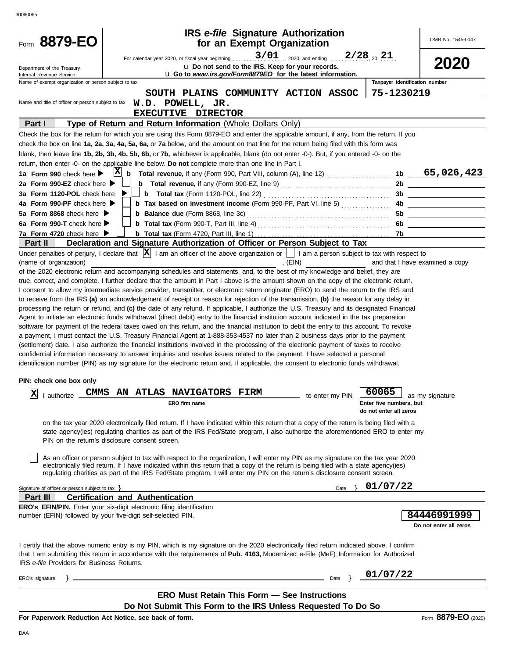| Form 8879-EO                                                                                                                                                                                                                                                            |                                                                                                                                                                                                                                                                            |                    | <b>IRS</b> e-file Signature Authorization<br>for an Exempt Organization                                    |           |                 |                         | OMB No. 1545-0047                               |  |  |
|-------------------------------------------------------------------------------------------------------------------------------------------------------------------------------------------------------------------------------------------------------------------------|----------------------------------------------------------------------------------------------------------------------------------------------------------------------------------------------------------------------------------------------------------------------------|--------------------|------------------------------------------------------------------------------------------------------------|-----------|-----------------|-------------------------|-------------------------------------------------|--|--|
| Department of the Treasury                                                                                                                                                                                                                                              | 3/01<br>$2/28_{20}$ 21<br>$\ldots$ , 2020, and ending<br>For calendar year 2020, or fiscal year beginning<br>2020<br>u Do not send to the IRS. Keep for your records.                                                                                                      |                    |                                                                                                            |           |                 |                         |                                                 |  |  |
| Internal Revenue Service                                                                                                                                                                                                                                                |                                                                                                                                                                                                                                                                            |                    | u Go to www.irs.gov/Form8879EO for the latest information.                                                 |           |                 |                         |                                                 |  |  |
| Name of exempt organization or person subject to tax                                                                                                                                                                                                                    |                                                                                                                                                                                                                                                                            |                    |                                                                                                            |           |                 |                         | Taxpayer identification number                  |  |  |
|                                                                                                                                                                                                                                                                         |                                                                                                                                                                                                                                                                            |                    | SOUTH PLAINS COMMUNITY ACTION ASSOC                                                                        |           |                 | 75-1230219              |                                                 |  |  |
| Name and title of officer or person subject to tax                                                                                                                                                                                                                      |                                                                                                                                                                                                                                                                            | W.D. POWELL, JR.   |                                                                                                            |           |                 |                         |                                                 |  |  |
|                                                                                                                                                                                                                                                                         |                                                                                                                                                                                                                                                                            | EXECUTIVE DIRECTOR |                                                                                                            |           |                 |                         |                                                 |  |  |
| Part I                                                                                                                                                                                                                                                                  | Type of Return and Return Information (Whole Dollars Only)                                                                                                                                                                                                                 |                    |                                                                                                            |           |                 |                         |                                                 |  |  |
| Check the box for the return for which you are using this Form 8879-EO and enter the applicable amount, if any, from the return. If you                                                                                                                                 |                                                                                                                                                                                                                                                                            |                    |                                                                                                            |           |                 |                         |                                                 |  |  |
| check the box on line 1a, 2a, 3a, 4a, 5a, 6a, or 7a below, and the amount on that line for the return being filed with this form was                                                                                                                                    |                                                                                                                                                                                                                                                                            |                    |                                                                                                            |           |                 |                         |                                                 |  |  |
| blank, then leave line 1b, 2b, 3b, 4b, 5b, 6b, or 7b, whichever is applicable, blank (do not enter -0-). But, if you entered -0- on the                                                                                                                                 |                                                                                                                                                                                                                                                                            |                    |                                                                                                            |           |                 |                         |                                                 |  |  |
| return, then enter -0- on the applicable line below. Do not complete more than one line in Part I.<br>1a Form 990 check here $\blacktriangleright$                                                                                                                      | $ {\bf X} $                                                                                                                                                                                                                                                                |                    | $\mathbf{b}$ Total revenue, if any (Form 990, Part VIII, column (A), line 12) $\ldots$                     |           |                 |                         | $1b$ 65,026,423                                 |  |  |
| 2a Form 990-EZ check here $\blacktriangleright$                                                                                                                                                                                                                         |                                                                                                                                                                                                                                                                            |                    | <b>b</b> Total revenue, if any (Form 990-EZ, line 9) $\ldots$ $\ldots$ $\ldots$ $\ldots$ $\ldots$ $\ldots$ |           |                 | 2b                      |                                                 |  |  |
| 3a Form 1120-POL check here                                                                                                                                                                                                                                             |                                                                                                                                                                                                                                                                            |                    |                                                                                                            |           |                 | 3b                      |                                                 |  |  |
| 4a Form 990-PF check here ▶                                                                                                                                                                                                                                             |                                                                                                                                                                                                                                                                            |                    | <b>b</b> Tax based on investment income (Form 990-PF, Part VI, line 5)                                     |           |                 | 4b.                     |                                                 |  |  |
| 5a Form 8868 check here $\blacktriangleright$                                                                                                                                                                                                                           |                                                                                                                                                                                                                                                                            |                    |                                                                                                            |           |                 | 5b                      | the contract of the contract of the contract of |  |  |
| 6a Form 990-T check here $\blacktriangleright$                                                                                                                                                                                                                          |                                                                                                                                                                                                                                                                            |                    |                                                                                                            |           |                 | 6b                      |                                                 |  |  |
| 7a Form 4720 check here $\blacktriangleright$                                                                                                                                                                                                                           |                                                                                                                                                                                                                                                                            |                    |                                                                                                            |           |                 | 7b.                     |                                                 |  |  |
| Part II                                                                                                                                                                                                                                                                 | Declaration and Signature Authorization of Officer or Person Subject to Tax                                                                                                                                                                                                |                    |                                                                                                            |           |                 |                         |                                                 |  |  |
| Under penalties of perjury, I declare that $ \mathbf{X} $ I am an officer of the above organization or $\ \cdot\ $ I am a person subject to tax with respect to                                                                                                         |                                                                                                                                                                                                                                                                            |                    |                                                                                                            |           |                 |                         |                                                 |  |  |
| (name of organization)                                                                                                                                                                                                                                                  |                                                                                                                                                                                                                                                                            |                    |                                                                                                            | , $(EIN)$ |                 |                         | and that I have examined a copy                 |  |  |
| of the 2020 electronic return and accompanying schedules and statements, and, to the best of my knowledge and belief, they are                                                                                                                                          |                                                                                                                                                                                                                                                                            |                    |                                                                                                            |           |                 |                         |                                                 |  |  |
| true, correct, and complete. I further declare that the amount in Part I above is the amount shown on the copy of the electronic return.                                                                                                                                |                                                                                                                                                                                                                                                                            |                    |                                                                                                            |           |                 |                         |                                                 |  |  |
| I consent to allow my intermediate service provider, transmitter, or electronic return originator (ERO) to send the return to the IRS and                                                                                                                               |                                                                                                                                                                                                                                                                            |                    |                                                                                                            |           |                 |                         |                                                 |  |  |
| to receive from the IRS (a) an acknowledgement of receipt or reason for rejection of the transmission, (b) the reason for any delay in                                                                                                                                  |                                                                                                                                                                                                                                                                            |                    |                                                                                                            |           |                 |                         |                                                 |  |  |
| processing the return or refund, and (c) the date of any refund. If applicable, I authorize the U.S. Treasury and its designated Financial                                                                                                                              |                                                                                                                                                                                                                                                                            |                    |                                                                                                            |           |                 |                         |                                                 |  |  |
| Agent to initiate an electronic funds withdrawal (direct debit) entry to the financial institution account indicated in the tax preparation                                                                                                                             |                                                                                                                                                                                                                                                                            |                    |                                                                                                            |           |                 |                         |                                                 |  |  |
| software for payment of the federal taxes owed on this return, and the financial institution to debit the entry to this account. To revoke                                                                                                                              |                                                                                                                                                                                                                                                                            |                    |                                                                                                            |           |                 |                         |                                                 |  |  |
| a payment, I must contact the U.S. Treasury Financial Agent at 1-888-353-4537 no later than 2 business days prior to the payment                                                                                                                                        |                                                                                                                                                                                                                                                                            |                    |                                                                                                            |           |                 |                         |                                                 |  |  |
| (settlement) date. I also authorize the financial institutions involved in the processing of the electronic payment of taxes to receive<br>confidential information necessary to answer inquiries and resolve issues related to the payment. I have selected a personal |                                                                                                                                                                                                                                                                            |                    |                                                                                                            |           |                 |                         |                                                 |  |  |
| identification number (PIN) as my signature for the electronic return and, if applicable, the consent to electronic funds withdrawal.                                                                                                                                   |                                                                                                                                                                                                                                                                            |                    |                                                                                                            |           |                 |                         |                                                 |  |  |
|                                                                                                                                                                                                                                                                         |                                                                                                                                                                                                                                                                            |                    |                                                                                                            |           |                 |                         |                                                 |  |  |
| PIN: check one box only                                                                                                                                                                                                                                                 |                                                                                                                                                                                                                                                                            |                    |                                                                                                            |           |                 |                         |                                                 |  |  |
| CMMS<br> x <br>I authorize                                                                                                                                                                                                                                              | AN ATLAS NAVIGATORS FIRM                                                                                                                                                                                                                                                   |                    |                                                                                                            |           | to enter my PIN | 60065                   | as my signature                                 |  |  |
|                                                                                                                                                                                                                                                                         |                                                                                                                                                                                                                                                                            | ERO firm name      |                                                                                                            |           |                 | Enter five numbers, but |                                                 |  |  |
|                                                                                                                                                                                                                                                                         |                                                                                                                                                                                                                                                                            |                    |                                                                                                            |           |                 | do not enter all zeros  |                                                 |  |  |
|                                                                                                                                                                                                                                                                         | on the tax year 2020 electronically filed return. If I have indicated within this return that a copy of the return is being filed with a                                                                                                                                   |                    |                                                                                                            |           |                 |                         |                                                 |  |  |
|                                                                                                                                                                                                                                                                         | state agency(ies) regulating charities as part of the IRS Fed/State program, I also authorize the aforementioned ERO to enter my                                                                                                                                           |                    |                                                                                                            |           |                 |                         |                                                 |  |  |
|                                                                                                                                                                                                                                                                         | PIN on the return's disclosure consent screen.                                                                                                                                                                                                                             |                    |                                                                                                            |           |                 |                         |                                                 |  |  |
|                                                                                                                                                                                                                                                                         |                                                                                                                                                                                                                                                                            |                    |                                                                                                            |           |                 |                         |                                                 |  |  |
|                                                                                                                                                                                                                                                                         | As an officer or person subject to tax with respect to the organization, I will enter my PIN as my signature on the tax year 2020<br>electronically filed return. If I have indicated within this return that a copy of the return is being filed with a state agency(ies) |                    |                                                                                                            |           |                 |                         |                                                 |  |  |
|                                                                                                                                                                                                                                                                         | regulating charities as part of the IRS Fed/State program, I will enter my PIN on the return's disclosure consent screen.                                                                                                                                                  |                    |                                                                                                            |           |                 |                         |                                                 |  |  |
|                                                                                                                                                                                                                                                                         |                                                                                                                                                                                                                                                                            |                    |                                                                                                            |           |                 |                         |                                                 |  |  |
| Signature of officer or person subject to tax }                                                                                                                                                                                                                         |                                                                                                                                                                                                                                                                            |                    | the control of the control of the control of the control of the control of                                 |           | Date            | 01/07/22                |                                                 |  |  |
| Part III                                                                                                                                                                                                                                                                | <b>Certification and Authentication</b>                                                                                                                                                                                                                                    |                    |                                                                                                            |           |                 |                         |                                                 |  |  |
| <b>ERO's EFIN/PIN.</b> Enter your six-digit electronic filing identification<br>number (EFIN) followed by your five-digit self-selected PIN.                                                                                                                            |                                                                                                                                                                                                                                                                            |                    |                                                                                                            |           |                 |                         | 84446991999                                     |  |  |
|                                                                                                                                                                                                                                                                         |                                                                                                                                                                                                                                                                            |                    |                                                                                                            |           |                 |                         | Do not enter all zeros                          |  |  |
|                                                                                                                                                                                                                                                                         |                                                                                                                                                                                                                                                                            |                    |                                                                                                            |           |                 |                         |                                                 |  |  |
| I certify that the above numeric entry is my PIN, which is my signature on the 2020 electronically filed return indicated above. I confirm                                                                                                                              |                                                                                                                                                                                                                                                                            |                    |                                                                                                            |           |                 |                         |                                                 |  |  |
| that I am submitting this return in accordance with the requirements of Pub. 4163, Modernized e-File (MeF) Information for Authorized                                                                                                                                   |                                                                                                                                                                                                                                                                            |                    |                                                                                                            |           |                 |                         |                                                 |  |  |
| IRS e-file Providers for Business Returns.                                                                                                                                                                                                                              |                                                                                                                                                                                                                                                                            |                    |                                                                                                            |           |                 |                         |                                                 |  |  |
|                                                                                                                                                                                                                                                                         |                                                                                                                                                                                                                                                                            |                    |                                                                                                            |           |                 | 01/07/22                |                                                 |  |  |
| ERO's signature                                                                                                                                                                                                                                                         |                                                                                                                                                                                                                                                                            |                    |                                                                                                            |           | Date }          |                         |                                                 |  |  |
|                                                                                                                                                                                                                                                                         |                                                                                                                                                                                                                                                                            |                    | <b>ERO Must Retain This Form - See Instructions</b>                                                        |           |                 |                         |                                                 |  |  |
|                                                                                                                                                                                                                                                                         |                                                                                                                                                                                                                                                                            |                    |                                                                                                            |           |                 |                         |                                                 |  |  |
|                                                                                                                                                                                                                                                                         |                                                                                                                                                                                                                                                                            |                    | Do Not Submit This Form to the IRS Unless Requested To Do So                                               |           |                 |                         |                                                 |  |  |
| For Paperwork Reduction Act Notice, see back of form.                                                                                                                                                                                                                   |                                                                                                                                                                                                                                                                            |                    |                                                                                                            |           |                 |                         | Form 8879-EO (2020)                             |  |  |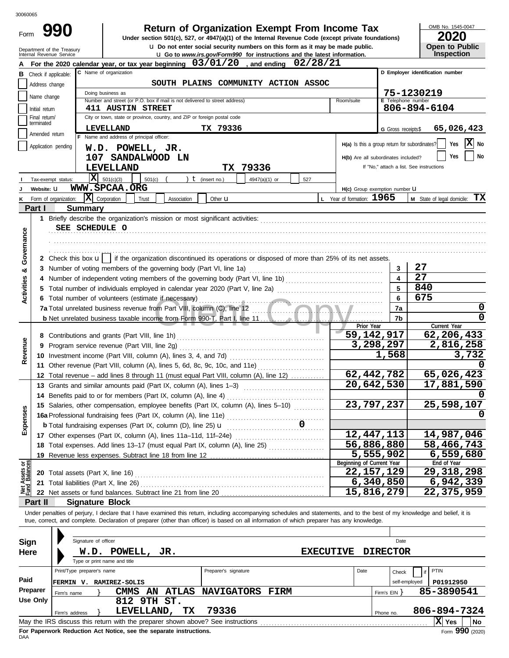| Form                           |                                 |                                                        |                                                                                                                                            |             |                      | <b>Return of Organization Exempt From Income Tax</b><br>Under section 501(c), 527, or 4947(a)(1) of the Internal Revenue Code (except private foundations)              |                  |                                               |                         | OMB No. 1545-0047<br>2020                                                                                                                                                  |
|--------------------------------|---------------------------------|--------------------------------------------------------|--------------------------------------------------------------------------------------------------------------------------------------------|-------------|----------------------|-------------------------------------------------------------------------------------------------------------------------------------------------------------------------|------------------|-----------------------------------------------|-------------------------|----------------------------------------------------------------------------------------------------------------------------------------------------------------------------|
|                                |                                 | Department of the Treasury<br>Internal Revenue Service |                                                                                                                                            |             |                      | <b>u</b> Do not enter social security numbers on this form as it may be made public.<br><b>u</b> Go to www.irs.gov/Form990 for instructions and the latest information. |                  |                                               |                         | <b>Open to Public</b><br><b>Inspection</b>                                                                                                                                 |
|                                |                                 |                                                        | For the 2020 calendar year, or tax year beginning $03/01/20$ , and ending $02/28/21$                                                       |             |                      |                                                                                                                                                                         |                  |                                               |                         |                                                                                                                                                                            |
|                                |                                 | <b>B</b> Check if applicable:                          | C Name of organization                                                                                                                     |             |                      |                                                                                                                                                                         |                  |                                               |                         | D Employer identification number                                                                                                                                           |
|                                | Address change                  |                                                        |                                                                                                                                            |             |                      | SOUTH PLAINS COMMUNITY ACTION ASSOC                                                                                                                                     |                  |                                               |                         |                                                                                                                                                                            |
|                                | Name change                     |                                                        | Doing business as                                                                                                                          |             |                      |                                                                                                                                                                         |                  |                                               |                         | 75-1230219                                                                                                                                                                 |
|                                |                                 |                                                        | Number and street (or P.O. box if mail is not delivered to street address)                                                                 |             |                      |                                                                                                                                                                         |                  | Room/suite                                    | E Telephone number      |                                                                                                                                                                            |
|                                | Initial return<br>Final return/ |                                                        | <b>411 AUSTIN STREET</b><br>City or town, state or province, country, and ZIP or foreign postal code                                       |             |                      |                                                                                                                                                                         |                  |                                               |                         | 806-894-6104                                                                                                                                                               |
|                                | terminated                      |                                                        | LEVELLAND                                                                                                                                  |             |                      |                                                                                                                                                                         |                  |                                               |                         |                                                                                                                                                                            |
|                                | Amended return                  |                                                        | Name and address of principal officer:                                                                                                     |             | TX 79336             |                                                                                                                                                                         |                  |                                               | G Gross receipts\$      | 65,026,423                                                                                                                                                                 |
|                                |                                 | Application pending                                    | W.D. POWELL, JR.                                                                                                                           |             |                      |                                                                                                                                                                         |                  | H(a) Is this a group return for subordinates? |                         | X<br>Yes<br>No                                                                                                                                                             |
|                                |                                 |                                                        | 107 SANDALWOOD LN                                                                                                                          |             |                      |                                                                                                                                                                         |                  | H(b) Are all subordinates included?           |                         | $\rm No$<br>Yes                                                                                                                                                            |
|                                |                                 |                                                        | LEVELLAND                                                                                                                                  |             |                      | TX 79336                                                                                                                                                                |                  |                                               |                         | If "No," attach a list. See instructions                                                                                                                                   |
|                                |                                 | $ \mathbf{x} $<br>Tax-exempt status:                   | 501(c)(3)<br>501(c)                                                                                                                        |             | ) $t$ (insert no.)   | 4947(a)(1) or                                                                                                                                                           | 527              |                                               |                         |                                                                                                                                                                            |
|                                | Website: U                      |                                                        | WWW.SPCAA.ORG                                                                                                                              |             |                      |                                                                                                                                                                         |                  | H(c) Group exemption number <b>U</b>          |                         |                                                                                                                                                                            |
|                                |                                 | Form of organization:                                  | $ \mathbf{X} $ Corporation<br>Trust                                                                                                        | Association | Other <b>u</b>       |                                                                                                                                                                         |                  | L Year of formation: 1965                     |                         | M State of legal domicile: TX                                                                                                                                              |
|                                | Part I                          | <b>Summary</b>                                         |                                                                                                                                            |             |                      |                                                                                                                                                                         |                  |                                               |                         |                                                                                                                                                                            |
|                                |                                 |                                                        |                                                                                                                                            |             |                      |                                                                                                                                                                         |                  |                                               |                         |                                                                                                                                                                            |
|                                |                                 | SEE SCHEDULE O                                         |                                                                                                                                            |             |                      |                                                                                                                                                                         |                  |                                               |                         |                                                                                                                                                                            |
|                                |                                 |                                                        |                                                                                                                                            |             |                      |                                                                                                                                                                         |                  |                                               |                         |                                                                                                                                                                            |
|                                |                                 |                                                        |                                                                                                                                            |             |                      |                                                                                                                                                                         |                  |                                               |                         |                                                                                                                                                                            |
| Governance                     |                                 | 2 Check this box <b>u</b>                              |                                                                                                                                            |             |                      | If the organization discontinued its operations or disposed of more than 25% of its net assets.                                                                         |                  |                                               |                         |                                                                                                                                                                            |
| ೲ                              |                                 |                                                        | 3 Number of voting members of the governing body (Part VI, line 1a)                                                                        |             |                      |                                                                                                                                                                         |                  |                                               | 3                       | 27                                                                                                                                                                         |
|                                |                                 |                                                        |                                                                                                                                            |             |                      |                                                                                                                                                                         |                  |                                               | $\overline{\mathbf{4}}$ | 27                                                                                                                                                                         |
|                                | 5                               |                                                        |                                                                                                                                            |             |                      |                                                                                                                                                                         |                  |                                               | 5                       | 840                                                                                                                                                                        |
| <b>Activities</b>              |                                 |                                                        | 6 Total number of volunteers (estimate if necessary)                                                                                       |             |                      |                                                                                                                                                                         |                  |                                               | 6                       | 675                                                                                                                                                                        |
|                                |                                 |                                                        | 7a Total unrelated business revenue from Part VIII, column (C), line 12                                                                    |             |                      |                                                                                                                                                                         |                  |                                               | 7a                      | 0                                                                                                                                                                          |
|                                |                                 |                                                        |                                                                                                                                            |             |                      |                                                                                                                                                                         |                  |                                               | 7b                      | 0                                                                                                                                                                          |
|                                |                                 |                                                        |                                                                                                                                            |             |                      |                                                                                                                                                                         |                  | Prior Year                                    |                         | Current Year                                                                                                                                                               |
|                                |                                 |                                                        |                                                                                                                                            |             |                      |                                                                                                                                                                         |                  | 59, 142, 917                                  |                         | 62,206,433                                                                                                                                                                 |
| Revenue                        | 9                               |                                                        | Program service revenue (Part VIII, line 2g)                                                                                               |             |                      |                                                                                                                                                                         |                  |                                               | 3,298,297               | 2,816,258                                                                                                                                                                  |
|                                |                                 |                                                        |                                                                                                                                            |             |                      |                                                                                                                                                                         |                  |                                               | 1,568                   | 3,732                                                                                                                                                                      |
|                                |                                 |                                                        | 11 Other revenue (Part VIII, column (A), lines 5, 6d, 8c, 9c, 10c, and 11e)                                                                |             |                      |                                                                                                                                                                         |                  |                                               |                         |                                                                                                                                                                            |
|                                |                                 |                                                        | 12 Total revenue - add lines 8 through 11 (must equal Part VIII, column (A), line 12)                                                      |             |                      |                                                                                                                                                                         |                  | $\sqrt{62, 442}$ , 782                        |                         | 65,026,423                                                                                                                                                                 |
|                                |                                 |                                                        | 13 Grants and similar amounts paid (Part IX, column (A), lines 1-3)                                                                        |             |                      |                                                                                                                                                                         |                  | 20,642,530                                    |                         | 17,881,590                                                                                                                                                                 |
|                                |                                 |                                                        | 14 Benefits paid to or for members (Part IX, column (A), line 4)                                                                           |             |                      |                                                                                                                                                                         |                  |                                               |                         |                                                                                                                                                                            |
|                                |                                 |                                                        | 15 Salaries, other compensation, employee benefits (Part IX, column (A), lines 5-10)                                                       |             |                      |                                                                                                                                                                         |                  |                                               | 23,797,237              | 25,598,107                                                                                                                                                                 |
| Expenses                       |                                 |                                                        |                                                                                                                                            |             |                      |                                                                                                                                                                         |                  |                                               |                         | O                                                                                                                                                                          |
|                                |                                 |                                                        |                                                                                                                                            |             |                      |                                                                                                                                                                         |                  |                                               |                         |                                                                                                                                                                            |
|                                |                                 |                                                        | 17 Other expenses (Part IX, column (A), lines 11a-11d, 11f-24e)                                                                            |             |                      |                                                                                                                                                                         |                  | 12,447,113                                    |                         | 14,987,046                                                                                                                                                                 |
|                                |                                 |                                                        | 18 Total expenses. Add lines 13-17 (must equal Part IX, column (A), line 25)                                                               |             |                      |                                                                                                                                                                         |                  | 56,886,880                                    |                         | 58,466,743                                                                                                                                                                 |
|                                |                                 |                                                        |                                                                                                                                            |             |                      |                                                                                                                                                                         |                  | Beginning of Current Year                     | $\overline{5,555,902}$  | 6,559,680<br>End of Year                                                                                                                                                   |
| Net Assets or<br>Fund Balances |                                 | 20 Total assets (Part X, line 16)                      |                                                                                                                                            |             |                      |                                                                                                                                                                         |                  | 22, 157, 129                                  |                         | 29, 318, 298                                                                                                                                                               |
|                                |                                 | 21 Total liabilities (Part X, line 26)                 |                                                                                                                                            |             |                      |                                                                                                                                                                         |                  |                                               | 6,340,850               | 6,942,339                                                                                                                                                                  |
|                                |                                 |                                                        |                                                                                                                                            |             |                      |                                                                                                                                                                         |                  | 15,816,279                                    |                         | $\overline{22,375,959}$                                                                                                                                                    |
|                                | Part II                         | <b>Signature Block</b>                                 |                                                                                                                                            |             |                      |                                                                                                                                                                         |                  |                                               |                         |                                                                                                                                                                            |
|                                |                                 |                                                        |                                                                                                                                            |             |                      |                                                                                                                                                                         |                  |                                               |                         | Under penalties of perjury, I declare that I have examined this return, including accompanying schedules and statements, and to the best of my knowledge and belief, it is |
|                                |                                 |                                                        | true, correct, and complete. Declaration of preparer (other than officer) is based on all information of which preparer has any knowledge. |             |                      |                                                                                                                                                                         |                  |                                               |                         |                                                                                                                                                                            |
|                                |                                 |                                                        |                                                                                                                                            |             |                      |                                                                                                                                                                         |                  |                                               |                         |                                                                                                                                                                            |
| <b>Sign</b>                    |                                 | Signature of officer                                   |                                                                                                                                            |             |                      |                                                                                                                                                                         |                  |                                               | Date                    |                                                                                                                                                                            |
| Here                           |                                 |                                                        | W.D. POWELL, JR.                                                                                                                           |             |                      |                                                                                                                                                                         | <b>EXECUTIVE</b> |                                               | <b>DIRECTOR</b>         |                                                                                                                                                                            |
|                                |                                 |                                                        | Type or print name and title                                                                                                               |             |                      |                                                                                                                                                                         |                  |                                               |                         |                                                                                                                                                                            |
|                                |                                 | Print/Type preparer's name                             |                                                                                                                                            |             | Preparer's signature |                                                                                                                                                                         |                  | Date                                          | Check                   | PTIN                                                                                                                                                                       |
| Paid                           |                                 | <b>FERMIN V. RAMIREZ-SOLIS</b>                         |                                                                                                                                            |             |                      |                                                                                                                                                                         |                  |                                               | self-employed           | P01912950                                                                                                                                                                  |
|                                | Preparer                        | Firm's name                                            | CMMS AN ATLAS                                                                                                                              |             | <b>NAVIGATORS</b>    | <b>FIRM</b>                                                                                                                                                             |                  |                                               | Firm's EIN }            | 85-3890541                                                                                                                                                                 |
|                                | <b>Use Only</b>                 |                                                        | 812 9TH ST.                                                                                                                                |             |                      |                                                                                                                                                                         |                  |                                               |                         |                                                                                                                                                                            |
|                                |                                 | Firm's address                                         | LEVELLAND,                                                                                                                                 | TX          | 79336                |                                                                                                                                                                         |                  |                                               | Phone no.               | 806-894-7324                                                                                                                                                               |
|                                |                                 |                                                        |                                                                                                                                            |             |                      |                                                                                                                                                                         |                  |                                               |                         | $ \mathbf{X} $ Yes<br>No                                                                                                                                                   |

| Sign     | Signature of officer                                |    |               |                                     |                                                                 |                                                                                 | Date |      |       |            |               |                          |           |
|----------|-----------------------------------------------------|----|---------------|-------------------------------------|-----------------------------------------------------------------|---------------------------------------------------------------------------------|------|------|-------|------------|---------------|--------------------------|-----------|
| Here     | POWELL, JR.<br>W.D.<br>Type or print name and title |    |               | <b>DIRECTOR</b><br><b>EXECUTIVE</b> |                                                                 |                                                                                 |      |      |       |            |               |                          |           |
|          | Print/Type preparer's name                          |    |               |                                     | Preparer's signature                                            |                                                                                 |      | Date | Check |            | <b>PTIN</b>   |                          |           |
| Paid     | FERMIN                                              | v. | RAMIREZ-SOLIS |                                     |                                                                 |                                                                                 |      |      |       |            | self-employed | P01912950                |           |
| Preparer | Firm's name                                         |    | CMMS          | AN                                  | ATLAS                                                           | <b>NAVIGATORS</b>                                                               | FIRM |      |       | Firm's EIN |               | 85-3890541               |           |
| Use Only |                                                     |    | 812           |                                     | 9TH ST.                                                         |                                                                                 |      |      |       |            |               |                          |           |
|          | Firm's address                                      |    | LEVELLAND,    |                                     | TХ                                                              | 79336                                                                           |      |      |       | Phone no.  |               | 806-894-7324             |           |
|          |                                                     |    |               |                                     |                                                                 | May the IRS discuss this return with the preparer shown above? See instructions |      |      |       |            |               | ΙxΙ<br>Yes               | <b>No</b> |
|          |                                                     |    |               |                                     | Fee Donomiael: Deduction, Act Nation, and the concepts included |                                                                                 |      |      |       |            |               | $\overline{\phantom{a}}$ | 000       |

30060065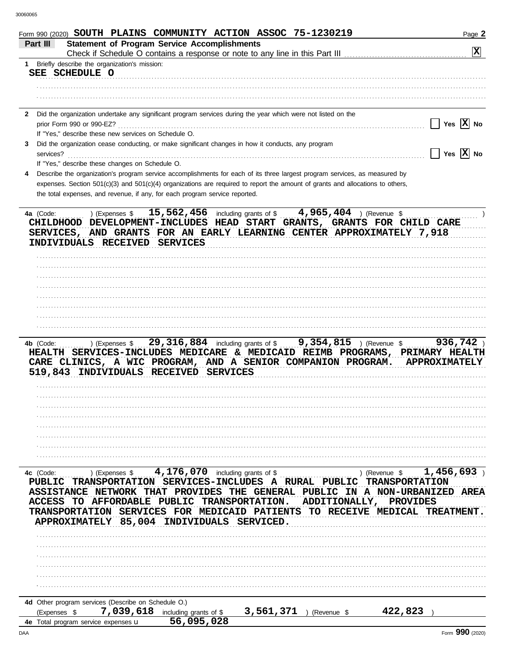| Form 990 (2020) SOUTH PLAINS COMMUNITY ACTION ASSOC 75-1230219                                                                                                                                                                                                                                                                                                                                                                                       | Page 2                                                  |
|------------------------------------------------------------------------------------------------------------------------------------------------------------------------------------------------------------------------------------------------------------------------------------------------------------------------------------------------------------------------------------------------------------------------------------------------------|---------------------------------------------------------|
| <b>Statement of Program Service Accomplishments</b><br>Part III                                                                                                                                                                                                                                                                                                                                                                                      |                                                         |
|                                                                                                                                                                                                                                                                                                                                                                                                                                                      | $\mathbf{x}$                                            |
| 1 Briefly describe the organization's mission:<br>SEE SCHEDULE O                                                                                                                                                                                                                                                                                                                                                                                     |                                                         |
|                                                                                                                                                                                                                                                                                                                                                                                                                                                      |                                                         |
|                                                                                                                                                                                                                                                                                                                                                                                                                                                      |                                                         |
|                                                                                                                                                                                                                                                                                                                                                                                                                                                      |                                                         |
| 2 Did the organization undertake any significant program services during the year which were not listed on the                                                                                                                                                                                                                                                                                                                                       |                                                         |
|                                                                                                                                                                                                                                                                                                                                                                                                                                                      | Yes $ X $ No                                            |
| If "Yes," describe these new services on Schedule O.                                                                                                                                                                                                                                                                                                                                                                                                 |                                                         |
| Did the organization cease conducting, or make significant changes in how it conducts, any program<br>3                                                                                                                                                                                                                                                                                                                                              |                                                         |
| services?                                                                                                                                                                                                                                                                                                                                                                                                                                            | Yes $ X $ No<br>$\Box$                                  |
| If "Yes," describe these changes on Schedule O.                                                                                                                                                                                                                                                                                                                                                                                                      |                                                         |
| Describe the organization's program service accomplishments for each of its three largest program services, as measured by<br>4                                                                                                                                                                                                                                                                                                                      |                                                         |
| expenses. Section 501(c)(3) and 501(c)(4) organizations are required to report the amount of grants and allocations to others,                                                                                                                                                                                                                                                                                                                       |                                                         |
| the total expenses, and revenue, if any, for each program service reported.                                                                                                                                                                                                                                                                                                                                                                          |                                                         |
| ) (Expenses $\frac{15,562,456}{15,562,456}$ including grants of $\frac{4,965,404}{10,525,404}$ ) (Revenue \$<br>4a (Code:                                                                                                                                                                                                                                                                                                                            |                                                         |
| CHILDHOOD DEVELOPMENT-INCLUDES HEAD START GRANTS, GRANTS FOR CHILD CARE                                                                                                                                                                                                                                                                                                                                                                              |                                                         |
| SERVICES, AND GRANTS FOR AN EARLY LEARNING CENTER APPROXIMATELY 7,918                                                                                                                                                                                                                                                                                                                                                                                |                                                         |
| INDIVIDUALS RECEIVED SERVICES                                                                                                                                                                                                                                                                                                                                                                                                                        |                                                         |
|                                                                                                                                                                                                                                                                                                                                                                                                                                                      |                                                         |
|                                                                                                                                                                                                                                                                                                                                                                                                                                                      |                                                         |
|                                                                                                                                                                                                                                                                                                                                                                                                                                                      |                                                         |
|                                                                                                                                                                                                                                                                                                                                                                                                                                                      |                                                         |
|                                                                                                                                                                                                                                                                                                                                                                                                                                                      |                                                         |
|                                                                                                                                                                                                                                                                                                                                                                                                                                                      |                                                         |
|                                                                                                                                                                                                                                                                                                                                                                                                                                                      |                                                         |
|                                                                                                                                                                                                                                                                                                                                                                                                                                                      |                                                         |
| CARE CLINICS, A WIC PROGRAM, AND A SENIOR COMPANION PROGRAM. APPROXIMATELY<br>519,843 INDIVIDUALS RECEIVED SERVICES                                                                                                                                                                                                                                                                                                                                  |                                                         |
|                                                                                                                                                                                                                                                                                                                                                                                                                                                      |                                                         |
|                                                                                                                                                                                                                                                                                                                                                                                                                                                      |                                                         |
|                                                                                                                                                                                                                                                                                                                                                                                                                                                      |                                                         |
|                                                                                                                                                                                                                                                                                                                                                                                                                                                      |                                                         |
| 4,176,070 including grants of \$<br>4c (Code:<br>) (Expenses \$<br>) (Revenue \$<br>TRANSPORTATION SERVICES-INCLUDES A RURAL PUBLIC<br>PUBLIC<br><b>TRANSPORTATION</b><br>ASSISTANCE NETWORK THAT PROVIDES<br><b>THE GENERAL PUBLIC</b><br>TO AFFORDABLE PUBLIC<br>TRANSPORTATION.<br>ADDITIONALLY,<br><b>ACCESS</b><br>TRANSPORTATION SERVICES FOR MEDICAID PATIENTS<br>TO RECEIVE MEDICAL TREATMENT.<br>APPROXIMATELY 85,004 INDIVIDUALS SERVICED. | 1,456,693<br>IN A NON-URBANIZED AREA<br><b>PROVIDES</b> |
|                                                                                                                                                                                                                                                                                                                                                                                                                                                      |                                                         |
|                                                                                                                                                                                                                                                                                                                                                                                                                                                      |                                                         |
|                                                                                                                                                                                                                                                                                                                                                                                                                                                      |                                                         |
|                                                                                                                                                                                                                                                                                                                                                                                                                                                      |                                                         |
|                                                                                                                                                                                                                                                                                                                                                                                                                                                      |                                                         |
|                                                                                                                                                                                                                                                                                                                                                                                                                                                      |                                                         |
| 4d Other program services (Describe on Schedule O.)                                                                                                                                                                                                                                                                                                                                                                                                  |                                                         |
| 7,039,618 including grants of \$3,561,371 ) (Revenue \$<br>422,823<br>(Expenses \$                                                                                                                                                                                                                                                                                                                                                                   |                                                         |
| 56,095,028<br><b>4e</b> Total program service expenses <b>u</b>                                                                                                                                                                                                                                                                                                                                                                                      |                                                         |
| DAA                                                                                                                                                                                                                                                                                                                                                                                                                                                  | Form 990 (2020)                                         |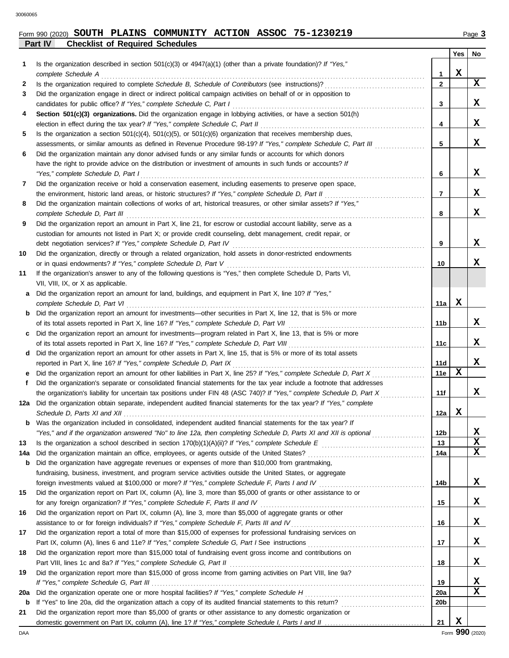**Part IV Checklist of Required Schedules**

|     | succione: 0. 119991199 conceano                                                                                                                   |                 | Yes | No                |
|-----|---------------------------------------------------------------------------------------------------------------------------------------------------|-----------------|-----|-------------------|
| 1.  | Is the organization described in section $501(c)(3)$ or $4947(a)(1)$ (other than a private foundation)? If "Yes,"                                 |                 |     |                   |
|     | complete Schedule A                                                                                                                               | 1               | X   |                   |
| 2   |                                                                                                                                                   | $\mathbf{2}$    |     | x                 |
| 3   | Did the organization engage in direct or indirect political campaign activities on behalf of or in opposition to                                  |                 |     |                   |
|     | candidates for public office? If "Yes," complete Schedule C, Part I                                                                               | 3               |     | x                 |
| 4   | Section 501(c)(3) organizations. Did the organization engage in lobbying activities, or have a section 501(h)                                     |                 |     |                   |
|     |                                                                                                                                                   | 4               |     | x                 |
| 5   | Is the organization a section $501(c)(4)$ , $501(c)(5)$ , or $501(c)(6)$ organization that receives membership dues,                              |                 |     |                   |
|     | assessments, or similar amounts as defined in Revenue Procedure 98-19? If "Yes," complete Schedule C, Part III                                    | 5               |     | x                 |
|     |                                                                                                                                                   |                 |     |                   |
| 6   | Did the organization maintain any donor advised funds or any similar funds or accounts for which donors                                           |                 |     |                   |
|     | have the right to provide advice on the distribution or investment of amounts in such funds or accounts? If<br>"Yes," complete Schedule D, Part I |                 |     | X                 |
|     | Did the organization receive or hold a conservation easement, including easements to preserve open space,                                         | 6               |     |                   |
| 7   |                                                                                                                                                   |                 |     | X                 |
|     | the environment, historic land areas, or historic structures? If "Yes," complete Schedule D, Part II                                              | 7               |     |                   |
| 8   | Did the organization maintain collections of works of art, historical treasures, or other similar assets? If "Yes,"                               |                 |     |                   |
|     | complete Schedule D, Part III                                                                                                                     | 8               |     | x                 |
| 9   | Did the organization report an amount in Part X, line 21, for escrow or custodial account liability, serve as a                                   |                 |     |                   |
|     | custodian for amounts not listed in Part X; or provide credit counseling, debt management, credit repair, or                                      |                 |     |                   |
|     |                                                                                                                                                   | 9               |     | x                 |
| 10  | Did the organization, directly or through a related organization, hold assets in donor-restricted endowments                                      |                 |     |                   |
|     | or in quasi endowments? If "Yes," complete Schedule D, Part V                                                                                     | 10              |     | x                 |
| 11  | If the organization's answer to any of the following questions is "Yes," then complete Schedule D, Parts VI,                                      |                 |     |                   |
|     | VII, VIII, IX, or X as applicable.                                                                                                                |                 |     |                   |
| a   | Did the organization report an amount for land, buildings, and equipment in Part X, line 10? If "Yes,"                                            |                 |     |                   |
|     | complete Schedule D, Part VI                                                                                                                      | 11a             | х   |                   |
| b   | Did the organization report an amount for investments—other securities in Part X, line 12, that is 5% or more                                     |                 |     |                   |
|     |                                                                                                                                                   | 11b             |     | x                 |
| c   | Did the organization report an amount for investments—program related in Part X, line 13, that is 5% or more                                      |                 |     |                   |
|     |                                                                                                                                                   | 11c             |     | x                 |
| d   | Did the organization report an amount for other assets in Part X, line 15, that is 5% or more of its total assets                                 |                 |     |                   |
|     | reported in Part X, line 16? If "Yes," complete Schedule D, Part IX                                                                               | 11d             |     | x                 |
| е   | Did the organization report an amount for other liabilities in Part X, line 25? If "Yes," complete Schedule D, Part X                             | 11e             | X   |                   |
| f   | Did the organization's separate or consolidated financial statements for the tax year include a footnote that addresses                           |                 |     |                   |
|     | the organization's liability for uncertain tax positions under FIN 48 (ASC 740)? If "Yes," complete Schedule D, Part X                            | 11f             |     | x                 |
| 12a | Did the organization obtain separate, independent audited financial statements for the tax year? If "Yes," complete                               |                 |     |                   |
|     |                                                                                                                                                   | 12a             | X   |                   |
| b   | Was the organization included in consolidated, independent audited financial statements for the tax year? If                                      |                 |     |                   |
|     | "Yes," and if the organization answered "No" to line 12a, then completing Schedule D, Parts XI and XII is optional                                | 12 <sub>b</sub> |     | $\mathbf{x}$<br>X |
| 13  |                                                                                                                                                   | 13              |     |                   |
| 14a |                                                                                                                                                   | 14a             |     | X                 |
| b   | Did the organization have aggregate revenues or expenses of more than \$10,000 from grantmaking,                                                  |                 |     |                   |
|     | fundraising, business, investment, and program service activities outside the United States, or aggregate                                         |                 |     |                   |
|     |                                                                                                                                                   | 14b             |     | X                 |
| 15  | Did the organization report on Part IX, column (A), line 3, more than \$5,000 of grants or other assistance to or                                 |                 |     | X                 |
|     | for any foreign organization? If "Yes," complete Schedule F, Parts II and IV                                                                      | 15              |     |                   |
| 16  | Did the organization report on Part IX, column (A), line 3, more than \$5,000 of aggregate grants or other                                        |                 |     |                   |
|     | assistance to or for foreign individuals? If "Yes," complete Schedule F, Parts III and IV [[[[[[[[[[[[[[[[[[[                                     | 16              |     | X                 |
| 17  | Did the organization report a total of more than \$15,000 of expenses for professional fundraising services on                                    |                 |     |                   |
|     |                                                                                                                                                   | 17              |     | X                 |
| 18  | Did the organization report more than \$15,000 total of fundraising event gross income and contributions on                                       |                 |     |                   |
|     | Part VIII, lines 1c and 8a? If "Yes," complete Schedule G, Part II                                                                                | 18              |     | X                 |
| 19  | Did the organization report more than \$15,000 of gross income from gaming activities on Part VIII, line 9a?                                      |                 |     |                   |
|     |                                                                                                                                                   | 19              |     | X<br>X            |
| 20a |                                                                                                                                                   | <b>20a</b>      |     |                   |
| b   |                                                                                                                                                   | 20b             |     |                   |
| 21  | Did the organization report more than \$5,000 of grants or other assistance to any domestic organization or                                       |                 | X   |                   |
|     |                                                                                                                                                   | 21              |     |                   |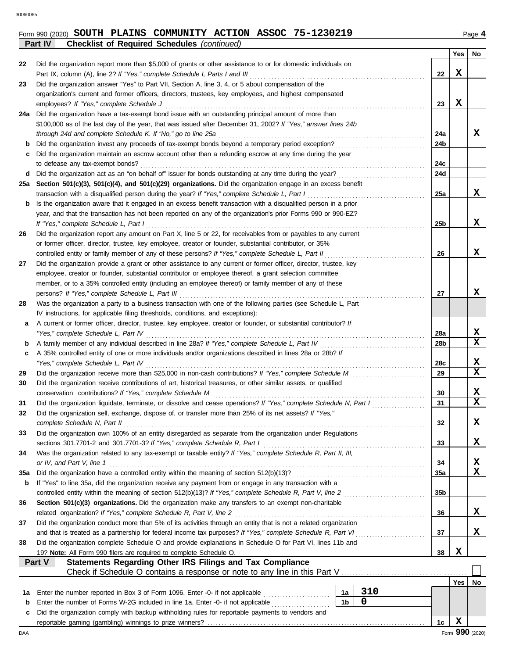#### Form 990 (2020) **SOUTH PLAINS COMMUNITY ACTION ASSOC 75-1230219** Page 4 **SOUTH PLAINS COMMUNITY ACTION ASSOC 75-1230219**

**Part IV Checklist of Required Schedules** *(continued)*

|     |                                                                                                                                                                                                                                  |                 | Yes | No                |
|-----|----------------------------------------------------------------------------------------------------------------------------------------------------------------------------------------------------------------------------------|-----------------|-----|-------------------|
| 22  | Did the organization report more than \$5,000 of grants or other assistance to or for domestic individuals on                                                                                                                    |                 |     |                   |
|     | Part IX, column (A), line 2? If "Yes," complete Schedule I, Parts I and III                                                                                                                                                      | 22              | x   |                   |
| 23  | Did the organization answer "Yes" to Part VII, Section A, line 3, 4, or 5 about compensation of the                                                                                                                              |                 |     |                   |
|     | organization's current and former officers, directors, trustees, key employees, and highest compensated                                                                                                                          |                 |     |                   |
|     | employees? If "Yes," complete Schedule J                                                                                                                                                                                         | 23              | X   |                   |
| 24a | Did the organization have a tax-exempt bond issue with an outstanding principal amount of more than                                                                                                                              |                 |     |                   |
|     | \$100,000 as of the last day of the year, that was issued after December 31, 2002? If "Yes," answer lines 24b                                                                                                                    |                 |     |                   |
|     | through 24d and complete Schedule K. If "No," go to line 25a                                                                                                                                                                     | 24a             |     | x                 |
| b   |                                                                                                                                                                                                                                  | 24b             |     |                   |
| c   | Did the organization maintain an escrow account other than a refunding escrow at any time during the year                                                                                                                        | 24c             |     |                   |
| d   | to defease any tax-exempt bonds?                                                                                                                                                                                                 | 24d             |     |                   |
| 25a | Section 501(c)(3), 501(c)(4), and 501(c)(29) organizations. Did the organization engage in an excess benefit                                                                                                                     |                 |     |                   |
|     | transaction with a disqualified person during the year? If "Yes," complete Schedule L, Part I                                                                                                                                    | 25a             |     | x                 |
| b   | Is the organization aware that it engaged in an excess benefit transaction with a disqualified person in a prior                                                                                                                 |                 |     |                   |
|     | year, and that the transaction has not been reported on any of the organization's prior Forms 990 or 990-EZ?                                                                                                                     |                 |     |                   |
|     | If "Yes," complete Schedule L, Part I                                                                                                                                                                                            | 25 <sub>b</sub> |     | x                 |
| 26  | Did the organization report any amount on Part X, line 5 or 22, for receivables from or payables to any current                                                                                                                  |                 |     |                   |
|     | or former officer, director, trustee, key employee, creator or founder, substantial contributor, or 35%                                                                                                                          |                 |     |                   |
|     | controlled entity or family member of any of these persons? If "Yes," complete Schedule L, Part II                                                                                                                               | 26              |     | x                 |
| 27  | Did the organization provide a grant or other assistance to any current or former officer, director, trustee, key                                                                                                                |                 |     |                   |
|     | employee, creator or founder, substantial contributor or employee thereof, a grant selection committee                                                                                                                           |                 |     |                   |
|     | member, or to a 35% controlled entity (including an employee thereof) or family member of any of these                                                                                                                           |                 |     |                   |
|     | persons? If "Yes," complete Schedule L, Part III                                                                                                                                                                                 | 27              |     | x                 |
| 28  | Was the organization a party to a business transaction with one of the following parties (see Schedule L, Part                                                                                                                   |                 |     |                   |
|     | IV instructions, for applicable filing thresholds, conditions, and exceptions):                                                                                                                                                  |                 |     |                   |
| а   | A current or former officer, director, trustee, key employee, creator or founder, or substantial contributor? If                                                                                                                 |                 |     |                   |
|     | "Yes," complete Schedule L, Part IV                                                                                                                                                                                              | 28a             |     | x<br>$\mathbf{x}$ |
| b   | A family member of any individual described in line 28a? If "Yes," complete Schedule L, Part IV [[[[[[[[[[[[[[<br>A 35% controlled entity of one or more individuals and/or organizations described in lines 28a or 28b? If      | 28b             |     |                   |
| c   | "Yes," complete Schedule L, Part IV                                                                                                                                                                                              | 28c             |     | X                 |
| 29  |                                                                                                                                                                                                                                  | 29              |     | $\mathbf x$       |
| 30  | Did the organization receive contributions of art, historical treasures, or other similar assets, or qualified                                                                                                                   |                 |     |                   |
|     | conservation contributions? If "Yes," complete Schedule M                                                                                                                                                                        | 30              |     | x                 |
| 31  | Did the organization liquidate, terminate, or dissolve and cease operations? If "Yes," complete Schedule N, Part I                                                                                                               | 31              |     | $\mathbf x$       |
| 32  | Did the organization sell, exchange, dispose of, or transfer more than 25% of its net assets? If "Yes,"                                                                                                                          |                 |     |                   |
|     | complete Schedule N, Part II                                                                                                                                                                                                     | 32              |     | х                 |
| 33  | Did the organization own 100% of an entity disregarded as separate from the organization under Regulations                                                                                                                       |                 |     |                   |
|     | sections 301.7701-2 and 301.7701-3? If "Yes," complete Schedule R, Part I                                                                                                                                                        | 33              |     | X.                |
| 34  | Was the organization related to any tax-exempt or taxable entity? If "Yes," complete Schedule R, Part II, III,                                                                                                                   |                 |     |                   |
|     | or IV, and Part V, line 1                                                                                                                                                                                                        | 34              |     | X                 |
| 35a |                                                                                                                                                                                                                                  | 35a             |     | $\mathbf x$       |
| b   | If "Yes" to line 35a, did the organization receive any payment from or engage in any transaction with a                                                                                                                          |                 |     |                   |
|     | controlled entity within the meaning of section 512(b)(13)? If "Yes," complete Schedule R, Part V, line 2                                                                                                                        | 35 <sub>b</sub> |     |                   |
| 36  | Section 501(c)(3) organizations. Did the organization make any transfers to an exempt non-charitable                                                                                                                             |                 |     |                   |
|     |                                                                                                                                                                                                                                  | 36              |     | X,                |
| 37  | Did the organization conduct more than 5% of its activities through an entity that is not a related organization<br>and that is treated as a partnership for federal income tax purposes? If "Yes," complete Schedule R, Part VI | 37              |     | X                 |
| 38  | Did the organization complete Schedule O and provide explanations in Schedule O for Part VI, lines 11b and                                                                                                                       |                 |     |                   |
|     | 19? Note: All Form 990 filers are required to complete Schedule O.                                                                                                                                                               | 38              | X   |                   |
|     | Part V<br>Statements Regarding Other IRS Filings and Tax Compliance                                                                                                                                                              |                 |     |                   |
|     |                                                                                                                                                                                                                                  |                 |     |                   |
|     |                                                                                                                                                                                                                                  |                 | Yes | No                |
| 1а  | 310<br>Enter the number reported in Box 3 of Form 1096. Enter -0- if not applicable<br>1a                                                                                                                                        |                 |     |                   |
| b   | 0<br>1 <sub>b</sub><br>Enter the number of Forms W-2G included in line 1a. Enter -0- if not applicable                                                                                                                           |                 |     |                   |
| c   | Did the organization comply with backup withholding rules for reportable payments to vendors and                                                                                                                                 |                 |     |                   |
|     |                                                                                                                                                                                                                                  | 1c              | X   |                   |
| DAA |                                                                                                                                                                                                                                  |                 |     | Form 990 (2020)   |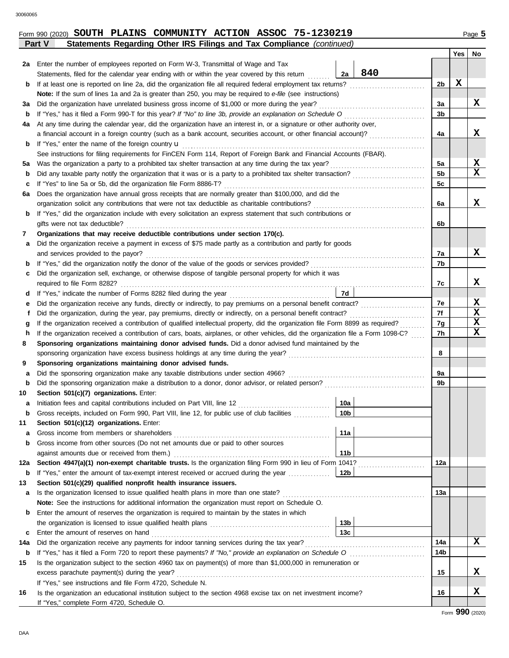# **Part V Statements Regarding Other IRS Filings and Tax Compliance** *(continued)* **Form 990 (2020) SOUTH PLAINS COMMUNITY ACTION ASSOC 75-1230219** Page 5

|        |                                                                                                                                    |                 |     |                | Yes | No |  |
|--------|------------------------------------------------------------------------------------------------------------------------------------|-----------------|-----|----------------|-----|----|--|
|        | 2a Enter the number of employees reported on Form W-3, Transmittal of Wage and Tax                                                 |                 |     |                |     |    |  |
|        | Statements, filed for the calendar year ending with or within the year covered by this return                                      | 2a              | 840 |                |     |    |  |
| b      | If at least one is reported on line 2a, did the organization file all required federal employment tax returns?                     |                 |     | 2 <sub>b</sub> | X   |    |  |
|        | Note: If the sum of lines 1a and 2a is greater than 250, you may be required to e-file (see instructions)                          |                 |     |                |     |    |  |
| За     | Did the organization have unrelated business gross income of \$1,000 or more during the year?                                      |                 |     | 3a             |     | X  |  |
| b      |                                                                                                                                    |                 |     | 3 <sub>b</sub> |     |    |  |
| 4a     | At any time during the calendar year, did the organization have an interest in, or a signature or other authority over,            |                 |     |                |     |    |  |
|        | a financial account in a foreign country (such as a bank account, securities account, or other financial account)?                 |                 |     |                |     |    |  |
|        |                                                                                                                                    |                 |     |                |     |    |  |
|        | See instructions for filing requirements for FinCEN Form 114, Report of Foreign Bank and Financial Accounts (FBAR).                |                 |     |                |     |    |  |
| 5a     |                                                                                                                                    |                 |     | 5a             |     | X  |  |
| b      | Did any taxable party notify the organization that it was or is a party to a prohibited tax shelter transaction?                   |                 |     | 5 <sub>b</sub> |     | X  |  |
| c      | If "Yes" to line 5a or 5b, did the organization file Form 8886-T?                                                                  |                 |     | 5 <sub>c</sub> |     |    |  |
| 6а     | Does the organization have annual gross receipts that are normally greater than \$100,000, and did the                             |                 |     |                |     |    |  |
|        |                                                                                                                                    |                 |     | 6a             |     | X  |  |
| b      | If "Yes," did the organization include with every solicitation an express statement that such contributions or                     |                 |     |                |     |    |  |
|        | gifts were not tax deductible?                                                                                                     |                 |     | 6b             |     |    |  |
| 7      | Organizations that may receive deductible contributions under section 170(c).                                                      |                 |     |                |     |    |  |
| а      | Did the organization receive a payment in excess of \$75 made partly as a contribution and partly for goods                        |                 |     |                |     |    |  |
|        | and services provided to the payor?                                                                                                |                 |     | 7а             |     | X  |  |
| b      |                                                                                                                                    |                 |     | 7b             |     |    |  |
| c      | Did the organization sell, exchange, or otherwise dispose of tangible personal property for which it was                           |                 |     |                |     |    |  |
|        | required to file Form 8282?                                                                                                        | 7d              |     | 7c             |     | X. |  |
| d      |                                                                                                                                    |                 |     | 7е             |     | X  |  |
| е<br>f | Did the organization receive any funds, directly or indirectly, to pay premiums on a personal benefit contract?                    |                 |     | 7f             |     | X  |  |
| g      | If the organization received a contribution of qualified intellectual property, did the organization file Form 8899 as required?   |                 |     | 7g             |     | X  |  |
| h      | If the organization received a contribution of cars, boats, airplanes, or other vehicles, did the organization file a Form 1098-C? |                 |     | 7h             |     | X  |  |
| 8      | Sponsoring organizations maintaining donor advised funds. Did a donor advised fund maintained by the                               |                 |     |                |     |    |  |
|        | sponsoring organization have excess business holdings at any time during the year?                                                 |                 |     | 8              |     |    |  |
| 9      | Sponsoring organizations maintaining donor advised funds.                                                                          |                 |     |                |     |    |  |
| а      | Did the sponsoring organization make any taxable distributions under section 4966?                                                 |                 |     | 9a             |     |    |  |
| b      |                                                                                                                                    |                 |     | 9b             |     |    |  |
| 10     | Section 501(c)(7) organizations. Enter:                                                                                            |                 |     |                |     |    |  |
| а      | Initiation fees and capital contributions included on Part VIII, line 12 [11][11][11][11][11][11][11][11][11][                     | 10a             |     |                |     |    |  |
| b      | Gross receipts, included on Form 990, Part VIII, line 12, for public use of club facilities                                        | 10 <sub>b</sub> |     |                |     |    |  |
| 11     | Section 501(c)(12) organizations. Enter:                                                                                           |                 |     |                |     |    |  |
| а      | Gross income from members or shareholders                                                                                          | 11a             |     |                |     |    |  |
| b      | Gross income from other sources (Do not net amounts due or paid to other sources                                                   |                 |     |                |     |    |  |
|        |                                                                                                                                    | 11 <sub>b</sub> |     |                |     |    |  |
| 12a    | Section 4947(a)(1) non-exempt charitable trusts. Is the organization filing Form 990 in lieu of Form 1041?                         |                 |     | 12a            |     |    |  |
| b      | If "Yes," enter the amount of tax-exempt interest received or accrued during the year                                              | 12 <sub>b</sub> |     |                |     |    |  |
| 13     | Section 501(c)(29) qualified nonprofit health insurance issuers.                                                                   |                 |     |                |     |    |  |
| a      | Is the organization licensed to issue qualified health plans in more than one state?                                               |                 |     | 13a            |     |    |  |
|        | Note: See the instructions for additional information the organization must report on Schedule O.                                  |                 |     |                |     |    |  |
| b      | Enter the amount of reserves the organization is required to maintain by the states in which                                       |                 |     |                |     |    |  |
|        | the organization is licensed to issue qualified health plans <i>[[[[[[[[[[[[[[[[[[[[[[[]]]]]]</i> ]]                               | 13 <sub>b</sub> |     |                |     |    |  |
| c      |                                                                                                                                    | 13 <sub>c</sub> |     |                |     |    |  |
| 14a    |                                                                                                                                    |                 |     | 14a<br>14b     |     | X  |  |
| b      |                                                                                                                                    |                 |     |                |     |    |  |
| 15     | Is the organization subject to the section 4960 tax on payment(s) of more than \$1,000,000 in remuneration or                      |                 |     |                |     | x  |  |
|        | If "Yes," see instructions and file Form 4720, Schedule N.                                                                         |                 |     | 15             |     |    |  |
| 16     | Is the organization an educational institution subject to the section 4968 excise tax on net investment income?                    |                 |     | 16             |     | X, |  |
|        | If "Yes," complete Form 4720, Schedule O.                                                                                          |                 |     |                |     |    |  |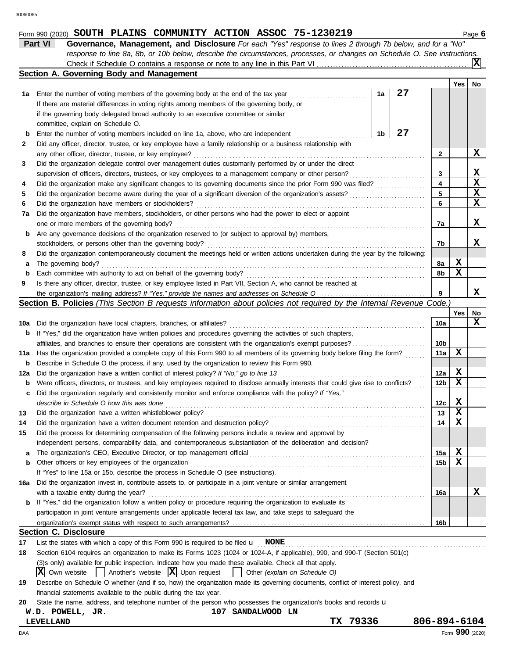| Part VI | Governance, Management, and Disclosure For each "Yes" response to lines 2 through 7b below, and for a "No"                |
|---------|---------------------------------------------------------------------------------------------------------------------------|
|         | response to line 8a, 8b, or 10b below, describe the circumstances, processes, or changes on Schedule O. See instructions. |
|         |                                                                                                                           |
|         | Section A. Governing Body and Management                                                                                  |

|     | cuon A. Obverning Douy and management                                                                                               |                |    |                 |     |             |
|-----|-------------------------------------------------------------------------------------------------------------------------------------|----------------|----|-----------------|-----|-------------|
|     |                                                                                                                                     |                |    |                 | Yes | No.         |
|     | 1a Enter the number of voting members of the governing body at the end of the tax year                                              | 1a             | 27 |                 |     |             |
|     | If there are material differences in voting rights among members of the governing body, or                                          |                |    |                 |     |             |
|     | if the governing body delegated broad authority to an executive committee or similar                                                |                |    |                 |     |             |
|     | committee, explain on Schedule O.                                                                                                   |                |    |                 |     |             |
| b   | Enter the number of voting members included on line 1a, above, who are independent                                                  | 1 <sub>b</sub> | 27 |                 |     |             |
| 2   | Did any officer, director, trustee, or key employee have a family relationship or a business relationship with                      |                |    |                 |     |             |
|     | any other officer, director, trustee, or key employee?                                                                              |                |    | $\mathbf 2$     |     | x           |
| 3   | Did the organization delegate control over management duties customarily performed by or under the direct                           |                |    |                 |     |             |
|     | supervision of officers, directors, trustees, or key employees to a management company or other person?                             |                |    | 3               |     | x           |
| 4   | Did the organization make any significant changes to its governing documents since the prior Form 990 was filed?                    |                |    | 4               |     | $\mathbf x$ |
| 5   | Did the organization become aware during the year of a significant diversion of the organization's assets?                          |                |    | 5               |     | $\mathbf x$ |
| 6   | Did the organization have members or stockholders?                                                                                  |                |    | 6               |     | $\mathbf x$ |
| 7a  | Did the organization have members, stockholders, or other persons who had the power to elect or appoint                             |                |    |                 |     |             |
|     | one or more members of the governing body?                                                                                          |                |    | 7a              |     | x           |
| b   | Are any governance decisions of the organization reserved to (or subject to approval by) members,                                   |                |    |                 |     |             |
|     | stockholders, or persons other than the governing body?                                                                             |                |    | 7b              |     | x           |
| 8   | Did the organization contemporaneously document the meetings held or written actions undertaken during the year by the following:   |                |    |                 |     |             |
| a   | The governing body?                                                                                                                 |                |    | 8а              | х   |             |
| b   | Each committee with authority to act on behalf of the governing body?                                                               |                |    | 8b              | X   |             |
| 9   | Is there any officer, director, trustee, or key employee listed in Part VII, Section A, who cannot be reached at                    |                |    |                 |     |             |
|     |                                                                                                                                     |                |    | 9               |     | X           |
|     | Section B. Policies (This Section B requests information about policies not required by the Internal Revenue Code.)                 |                |    |                 |     |             |
|     |                                                                                                                                     |                |    |                 | Yes | No          |
| 10a | Did the organization have local chapters, branches, or affiliates?                                                                  |                |    | 10a             |     | x           |
| b   | If "Yes," did the organization have written policies and procedures governing the activities of such chapters,                      |                |    |                 |     |             |
|     | affiliates, and branches to ensure their operations are consistent with the organization's exempt purposes?                         |                |    | 10 <sub>b</sub> |     |             |
| 11a | Has the organization provided a complete copy of this Form 990 to all members of its governing body before filing the form?         |                |    | 11a             | X   |             |
| b   | Describe in Schedule O the process, if any, used by the organization to review this Form 990.                                       |                |    |                 |     |             |
| 12a | Did the organization have a written conflict of interest policy? If "No," go to line 13                                             |                |    | 12a             | х   |             |
| b   | Were officers, directors, or trustees, and key employees required to disclose annually interests that could give rise to conflicts? |                |    | 12 <sub>b</sub> | X   |             |
| c   | Did the organization regularly and consistently monitor and enforce compliance with the policy? If "Yes,"                           |                |    |                 |     |             |
|     | describe in Schedule O how this was done                                                                                            |                |    | 12c             | X   |             |
| 13  | Did the organization have a written whistleblower policy?                                                                           |                |    | 13              | X   |             |
| 14  | Did the organization have a written document retention and destruction policy?                                                      |                |    | 14              | X   |             |
| 15  | Did the process for determining compensation of the following persons include a review and approval by                              |                |    |                 |     |             |
|     | independent persons, comparability data, and contemporaneous substantiation of the deliberation and decision?                       |                |    |                 |     |             |
| а   |                                                                                                                                     |                |    | 15a             | X   |             |
| b   | Other officers or key employees of the organization                                                                                 |                |    | 15b             | х   |             |
|     | If "Yes" to line 15a or 15b, describe the process in Schedule O (see instructions).                                                 |                |    |                 |     |             |
| 16a | Did the organization invest in, contribute assets to, or participate in a joint venture or similar arrangement                      |                |    |                 |     |             |
|     | with a taxable entity during the year?                                                                                              |                |    | 16a             |     | X           |
| b   | If "Yes," did the organization follow a written policy or procedure requiring the organization to evaluate its                      |                |    |                 |     |             |
|     | participation in joint venture arrangements under applicable federal tax law, and take steps to safeguard the                       |                |    |                 |     |             |
|     |                                                                                                                                     |                |    | 16 <sub>b</sub> |     |             |
|     | <b>Section C. Disclosure</b>                                                                                                        |                |    |                 |     |             |
| 17  | List the states with which a copy of this Form 990 is required to be filed $\mathbf{u}$ NONE                                        |                |    |                 |     |             |
| 18  | Section 6104 requires an organization to make its Forms 1023 (1024 or 1024-A, if applicable), 990, and 990-T (Section 501(c)        |                |    |                 |     |             |
|     | (3)s only) available for public inspection. Indicate how you made these available. Check all that apply.                            |                |    |                 |     |             |
|     | $\vert$ Another's website $\vert X \vert$ Upon request<br>X Own website<br>  Other (explain on Schedule O)                          |                |    |                 |     |             |
| 19  | Describe on Schedule O whether (and if so, how) the organization made its governing documents, conflict of interest policy, and     |                |    |                 |     |             |
|     | financial statements available to the public during the tax year.                                                                   |                |    |                 |     |             |
| 20  | State the name, address, and telephone number of the person who possesses the organization's books and records u                    |                |    |                 |     |             |
|     | W.D. POWELL, JR.<br>107 SANDALWOOD LN                                                                                               |                |    |                 |     |             |
|     |                                                                                                                                     |                |    |                 |     |             |

**LEVELLAND TX 79336 806-894-6104**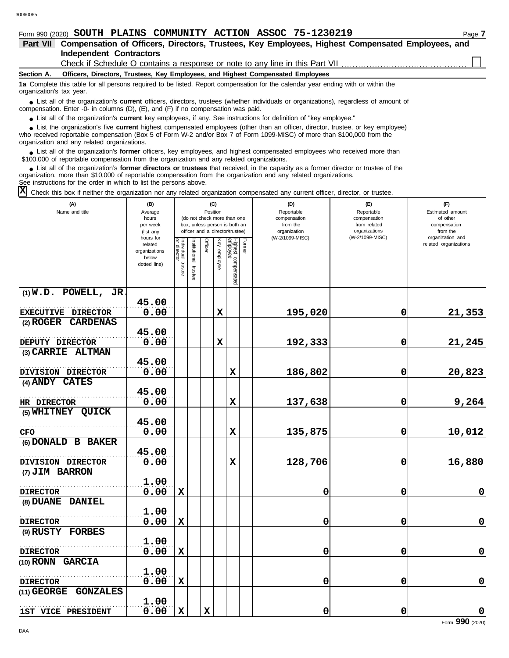| Part VII Compensation of Officers, Directors, Trustees, Key Employees, Highest Compensated Employees, and |
|-----------------------------------------------------------------------------------------------------------|
| Independent Contractors                                                                                   |
| Check if Schedule O contains a response or note to any line in this Part VII                              |

#### **Section A. Officers, Directors, Trustees, Key Employees, and Highest Compensated Employees**

**1a** Complete this table for all persons required to be listed. Report compensation for the calendar year ending with or within the organization's tax year.

■ List all of the organization's **current** officers, directors, trustees (whether individuals or organizations), regardless of amount of compensation. Enter -0- in columns (D), (E), and (F) if no compensation was paid.

● List all of the organization's **current** key employees, if any. See instructions for definition of "key employee."

■ List the organization's five **current** highest compensated employees (other than an officer, director, trustee, or key employee)<br> **•** Preceived reportable compensation (Box 5 of Form M/-2 and/or Box 7 of Form 1099-MISC)

who received reportable compensation (Box 5 of Form W-2 and/or Box 7 of Form 1099-MISC) of more than \$100,000 from the organization and any related organizations.

■ List all of the organization's **former** officers, key employees, and highest compensated employees who received more than<br>00,000 of reportable compensation from the organization and any related organizations \$100,000 of reportable compensation from the organization and any related organizations.

■ List all of the organization's **former directors or trustees** that received, in the capacity as a former director or trustee of the apartment and any related organizations organization, more than \$10,000 of reportable compensation from the organization and any related organizations. See instructions for the order in which to list the persons above.

Check this box if neither the organization nor any related organization compensated any current officer, director, or trustee. **X**

| (A)<br>Name and title               | (B)<br>Average<br>hours<br>per week<br>(list any<br>hours for |                                   |                                | (C)<br>Position |              | (do not check more than one<br>box, unless person is both an<br>officer and a director/trustee) |        | (D)<br>Reportable<br>compensation<br>from the<br>organization<br>(W-2/1099-MISC) | (E)<br>Reportable<br>compensation<br>from related<br>organizations<br>(W-2/1099-MISC) | (F)<br>Estimated amount<br>of other<br>compensation<br>from the<br>organization and |  |
|-------------------------------------|---------------------------------------------------------------|-----------------------------------|--------------------------------|-----------------|--------------|-------------------------------------------------------------------------------------------------|--------|----------------------------------------------------------------------------------|---------------------------------------------------------------------------------------|-------------------------------------------------------------------------------------|--|
|                                     | related<br>organizations<br>below<br>dotted line)             | Individual<br>director<br>trustee | <b>Istilutional</b><br>trustee | Officer         | Key employee | Highest compensated<br>employee                                                                 | Former |                                                                                  |                                                                                       | related organizations                                                               |  |
| $(1)$ W.D. POWELL, JR.              | 45.00                                                         |                                   |                                |                 |              |                                                                                                 |        |                                                                                  |                                                                                       |                                                                                     |  |
| EXECUTIVE DIRECTOR                  | 0.00                                                          |                                   |                                |                 | $\mathbf x$  |                                                                                                 |        | 195,020                                                                          | 0                                                                                     | 21,353                                                                              |  |
| <b>CARDENAS</b><br>(2) ROGER        |                                                               |                                   |                                |                 |              |                                                                                                 |        |                                                                                  |                                                                                       |                                                                                     |  |
|                                     | 45.00                                                         |                                   |                                |                 |              |                                                                                                 |        |                                                                                  |                                                                                       |                                                                                     |  |
| DEPUTY DIRECTOR                     | 0.00                                                          |                                   |                                |                 | $\mathbf x$  |                                                                                                 |        | 192,333                                                                          | 0                                                                                     | 21,245                                                                              |  |
| (3) CARRIE ALTMAN                   |                                                               |                                   |                                |                 |              |                                                                                                 |        |                                                                                  |                                                                                       |                                                                                     |  |
|                                     | 45.00<br>0.00                                                 |                                   |                                |                 |              | $\mathbf x$                                                                                     |        |                                                                                  | $\mathbf 0$                                                                           |                                                                                     |  |
| DIVISION DIRECTOR<br>(4) ANDY CATES |                                                               |                                   |                                |                 |              |                                                                                                 |        | 186,802                                                                          |                                                                                       | 20,823                                                                              |  |
|                                     | 45.00                                                         |                                   |                                |                 |              |                                                                                                 |        |                                                                                  |                                                                                       |                                                                                     |  |
| HR DIRECTOR                         | 0.00                                                          |                                   |                                |                 |              | $\mathbf x$                                                                                     |        | 137,638                                                                          | 0                                                                                     | 9,264                                                                               |  |
| (5) WHITNEY QUICK                   |                                                               |                                   |                                |                 |              |                                                                                                 |        |                                                                                  |                                                                                       |                                                                                     |  |
|                                     | 45.00                                                         |                                   |                                |                 |              |                                                                                                 |        |                                                                                  |                                                                                       |                                                                                     |  |
| CFO                                 | 0.00                                                          |                                   |                                |                 |              | X                                                                                               |        | 135,875                                                                          | 0                                                                                     | 10,012                                                                              |  |
| (6) DONALD B BAKER                  |                                                               |                                   |                                |                 |              |                                                                                                 |        |                                                                                  |                                                                                       |                                                                                     |  |
|                                     | 45.00                                                         |                                   |                                |                 |              |                                                                                                 |        |                                                                                  |                                                                                       |                                                                                     |  |
| DIVISION DIRECTOR<br>(7) JIM BARRON | 0.00                                                          |                                   |                                |                 |              | $\mathbf x$                                                                                     |        | 128,706                                                                          | $\mathbf 0$                                                                           | 16,880                                                                              |  |
|                                     | 1.00                                                          |                                   |                                |                 |              |                                                                                                 |        |                                                                                  |                                                                                       |                                                                                     |  |
| <b>DIRECTOR</b>                     | 0.00                                                          | $\mathbf x$                       |                                |                 |              |                                                                                                 |        | 0                                                                                | 0                                                                                     | $\mathbf 0$                                                                         |  |
| (8) DUANE DANIEL                    |                                                               |                                   |                                |                 |              |                                                                                                 |        |                                                                                  |                                                                                       |                                                                                     |  |
|                                     | 1.00                                                          |                                   |                                |                 |              |                                                                                                 |        |                                                                                  |                                                                                       |                                                                                     |  |
| <b>DIRECTOR</b>                     | 0.00                                                          | $\mathbf x$                       |                                |                 |              |                                                                                                 |        | 0                                                                                | 0                                                                                     | $\mathbf 0$                                                                         |  |
| (9) RUSTY FORBES                    |                                                               |                                   |                                |                 |              |                                                                                                 |        |                                                                                  |                                                                                       |                                                                                     |  |
|                                     | 1.00                                                          |                                   |                                |                 |              |                                                                                                 |        |                                                                                  |                                                                                       |                                                                                     |  |
| <b>DIRECTOR</b>                     | 0.00                                                          | $\mathbf x$                       |                                |                 |              |                                                                                                 |        | 0                                                                                | 0                                                                                     | 0                                                                                   |  |
| (10) RONN GARCIA                    | 1.00                                                          |                                   |                                |                 |              |                                                                                                 |        |                                                                                  |                                                                                       |                                                                                     |  |
| <b>DIRECTOR</b>                     | 0.00                                                          | $\mathbf x$                       |                                |                 |              |                                                                                                 |        | 0                                                                                | 0                                                                                     | $\mathbf 0$                                                                         |  |
| (11) GEORGE GONZALES                |                                                               |                                   |                                |                 |              |                                                                                                 |        |                                                                                  |                                                                                       |                                                                                     |  |
|                                     | 1.00                                                          |                                   |                                |                 |              |                                                                                                 |        |                                                                                  |                                                                                       |                                                                                     |  |
| 1ST VICE PRESIDENT                  | 0.00                                                          | $\mathbf x$                       |                                | $\mathbf x$     |              |                                                                                                 |        | 0                                                                                | $\mathbf 0$                                                                           | $\mathbf 0$                                                                         |  |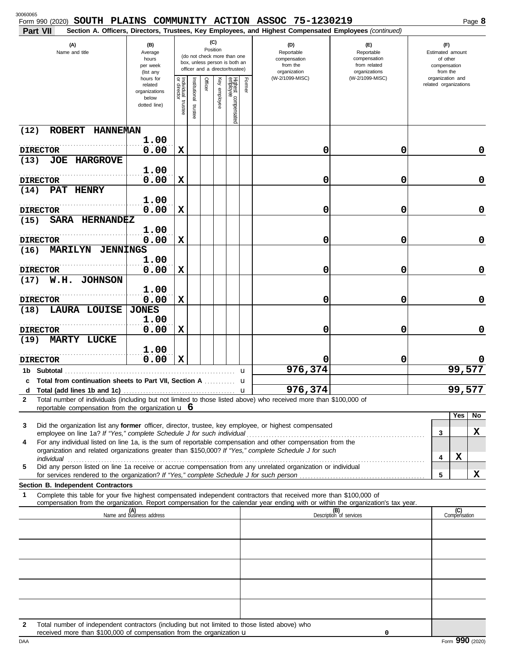| Form 990 (2020) SOUTH PLAINS COMMUNITY ACTION ASSOC 75-1230219<br><b>Part VII</b>                                                                                                    |                                                                      |                         |                          |         |                 |                                                                                                 |        | Section A. Officers, Directors, Trustees, Key Employees, and Highest Compensated Employees (continued) |                                                                    |                                             |                       | Page 8         |
|--------------------------------------------------------------------------------------------------------------------------------------------------------------------------------------|----------------------------------------------------------------------|-------------------------|--------------------------|---------|-----------------|-------------------------------------------------------------------------------------------------|--------|--------------------------------------------------------------------------------------------------------|--------------------------------------------------------------------|---------------------------------------------|-----------------------|----------------|
| (A)<br>Name and title                                                                                                                                                                | (B)<br>Average<br>hours<br>per week<br>(list any                     |                         |                          |         | (C)<br>Position | (do not check more than one<br>box, unless person is both an<br>officer and a director/trustee) |        | (D)<br>Reportable<br>compensation<br>from the<br>organization                                          | (E)<br>Reportable<br>compensation<br>from related<br>organizations | (F)<br>of other<br>compensation<br>from the | Estimated amount      |                |
|                                                                                                                                                                                      | hours for<br>related<br>organizations<br>below<br>dotted line)       | Individual 1<br>trustee | Institutional<br>trustee | Officer | Key employee    | <b>Highest</b><br>employe<br>st compensated<br>yee                                              | Former | (W-2/1099-MISC)                                                                                        | (W-2/1099-MISC)                                                    | organization and                            | related organizations |                |
|                                                                                                                                                                                      |                                                                      |                         |                          |         |                 |                                                                                                 |        |                                                                                                        |                                                                    |                                             |                       |                |
| ROBERT HANNEMAN<br>(12)                                                                                                                                                              | 1.00                                                                 |                         |                          |         |                 |                                                                                                 |        |                                                                                                        |                                                                    |                                             |                       |                |
| <b>DIRECTOR</b>                                                                                                                                                                      | 0.00                                                                 | х                       |                          |         |                 |                                                                                                 |        | 0                                                                                                      | 0                                                                  |                                             |                       | 0              |
| <b>JOE HARGROVE</b><br>(13)                                                                                                                                                          |                                                                      |                         |                          |         |                 |                                                                                                 |        |                                                                                                        |                                                                    |                                             |                       |                |
| <b>DIRECTOR</b>                                                                                                                                                                      | 1.00<br>0.00                                                         | х                       |                          |         |                 |                                                                                                 |        | 0                                                                                                      | 0                                                                  |                                             |                       | 0              |
| <b>PAT HENRY</b><br>(14)                                                                                                                                                             |                                                                      |                         |                          |         |                 |                                                                                                 |        |                                                                                                        |                                                                    |                                             |                       |                |
|                                                                                                                                                                                      | 1.00<br>0.00                                                         | X                       |                          |         |                 |                                                                                                 |        | 0                                                                                                      | 0                                                                  |                                             |                       | 0              |
| <b>DIRECTOR</b><br><b>SARA HERNANDEZ</b><br>(15)                                                                                                                                     |                                                                      |                         |                          |         |                 |                                                                                                 |        |                                                                                                        |                                                                    |                                             |                       |                |
|                                                                                                                                                                                      | 1.00                                                                 |                         |                          |         |                 |                                                                                                 |        |                                                                                                        |                                                                    |                                             |                       |                |
| <b>DIRECTOR</b><br>MARILYN JENNINGS                                                                                                                                                  | 0.00                                                                 | X                       |                          |         |                 |                                                                                                 |        | 0                                                                                                      | 0                                                                  |                                             |                       | 0              |
| (16)                                                                                                                                                                                 | 1.00                                                                 |                         |                          |         |                 |                                                                                                 |        |                                                                                                        |                                                                    |                                             |                       |                |
| <b>DIRECTOR</b>                                                                                                                                                                      | 0.00                                                                 | х                       |                          |         |                 |                                                                                                 |        | 0                                                                                                      | 0                                                                  |                                             |                       | 0              |
| W.H.<br><b>JOHNSON</b><br>(17)                                                                                                                                                       | 1.00                                                                 |                         |                          |         |                 |                                                                                                 |        |                                                                                                        |                                                                    |                                             |                       |                |
| <b>DIRECTOR</b>                                                                                                                                                                      | 0.00                                                                 | X                       |                          |         |                 |                                                                                                 |        | 0                                                                                                      | 0                                                                  |                                             |                       | 0              |
| LAURA LOUISE<br>(18)                                                                                                                                                                 | <b>JONES</b>                                                         |                         |                          |         |                 |                                                                                                 |        |                                                                                                        |                                                                    |                                             |                       |                |
|                                                                                                                                                                                      | 1.00                                                                 |                         |                          |         |                 |                                                                                                 |        |                                                                                                        |                                                                    |                                             |                       |                |
| <b>DIRECTOR</b><br><b>MARTY LUCKE</b><br>(19)                                                                                                                                        | 0.00                                                                 | X                       |                          |         |                 |                                                                                                 |        | 0                                                                                                      | 0                                                                  |                                             |                       | 0              |
|                                                                                                                                                                                      | 1.00                                                                 |                         |                          |         |                 |                                                                                                 |        |                                                                                                        |                                                                    |                                             |                       |                |
| <b>DIRECTOR</b>                                                                                                                                                                      | 0.00                                                                 | X                       |                          |         |                 |                                                                                                 |        | 0                                                                                                      | 0                                                                  |                                             |                       |                |
| 1b Subtotal<br>c Total from continuation sheets to Part VII. Section A                                                                                                               |                                                                      |                         |                          |         |                 |                                                                                                 | u<br>u | 976, 374                                                                                               |                                                                    |                                             | 99,577                |                |
| d                                                                                                                                                                                    |                                                                      |                         |                          |         |                 |                                                                                                 |        | 976,374                                                                                                |                                                                    |                                             | 99,577                |                |
| Total number of individuals (including but not limited to those listed above) who received more than \$100,000 of<br>2<br>reportable compensation from the organization $\bf{u}$ 6   |                                                                      |                         |                          |         |                 |                                                                                                 |        |                                                                                                        |                                                                    |                                             |                       |                |
|                                                                                                                                                                                      |                                                                      |                         |                          |         |                 |                                                                                                 |        |                                                                                                        |                                                                    |                                             | Yes                   | $\overline{N}$ |
| Did the organization list any former officer, director, trustee, key employee, or highest compensated<br>3<br>employee on line 1a? If "Yes," complete Schedule J for such individual |                                                                      |                         |                          |         |                 |                                                                                                 |        |                                                                                                        |                                                                    | 3                                           |                       | X              |
| For any individual listed on line 1a, is the sum of reportable compensation and other compensation from the<br>4                                                                     |                                                                      |                         |                          |         |                 |                                                                                                 |        |                                                                                                        |                                                                    |                                             |                       |                |
| organization and related organizations greater than \$150,000? If "Yes," complete Schedule J for such<br>individual                                                                  |                                                                      |                         |                          |         |                 |                                                                                                 |        |                                                                                                        |                                                                    | 4                                           | X                     |                |
| Did any person listed on line 1a receive or accrue compensation from any unrelated organization or individual<br>5                                                                   |                                                                      |                         |                          |         |                 |                                                                                                 |        |                                                                                                        |                                                                    |                                             |                       |                |
| Section B. Independent Contractors                                                                                                                                                   |                                                                      |                         |                          |         |                 |                                                                                                 |        |                                                                                                        |                                                                    | 5                                           |                       | X              |
| Complete this table for your five highest compensated independent contractors that received more than \$100,000 of<br>1                                                              |                                                                      |                         |                          |         |                 |                                                                                                 |        |                                                                                                        |                                                                    |                                             |                       |                |
| compensation from the organization. Report compensation for the calendar year ending with or within the organization's tax year.                                                     | $(A)$<br>Name and business address                                   |                         |                          |         |                 |                                                                                                 |        |                                                                                                        | (B)<br>Description of services                                     |                                             | (C)                   |                |
|                                                                                                                                                                                      |                                                                      |                         |                          |         |                 |                                                                                                 |        |                                                                                                        |                                                                    |                                             | Compensation          |                |
|                                                                                                                                                                                      |                                                                      |                         |                          |         |                 |                                                                                                 |        |                                                                                                        |                                                                    |                                             |                       |                |
|                                                                                                                                                                                      |                                                                      |                         |                          |         |                 |                                                                                                 |        |                                                                                                        |                                                                    |                                             |                       |                |
|                                                                                                                                                                                      |                                                                      |                         |                          |         |                 |                                                                                                 |        |                                                                                                        |                                                                    |                                             |                       |                |
|                                                                                                                                                                                      |                                                                      |                         |                          |         |                 |                                                                                                 |        |                                                                                                        |                                                                    |                                             |                       |                |
|                                                                                                                                                                                      |                                                                      |                         |                          |         |                 |                                                                                                 |        |                                                                                                        |                                                                    |                                             |                       |                |
|                                                                                                                                                                                      |                                                                      |                         |                          |         |                 |                                                                                                 |        |                                                                                                        |                                                                    |                                             |                       |                |
|                                                                                                                                                                                      |                                                                      |                         |                          |         |                 |                                                                                                 |        |                                                                                                        |                                                                    |                                             |                       |                |
| Total number of independent contractors (including but not limited to those listed above) who<br>2                                                                                   | received more than \$100,000 of compensation from the organization u |                         |                          |         |                 |                                                                                                 |        |                                                                                                        |                                                                    |                                             |                       |                |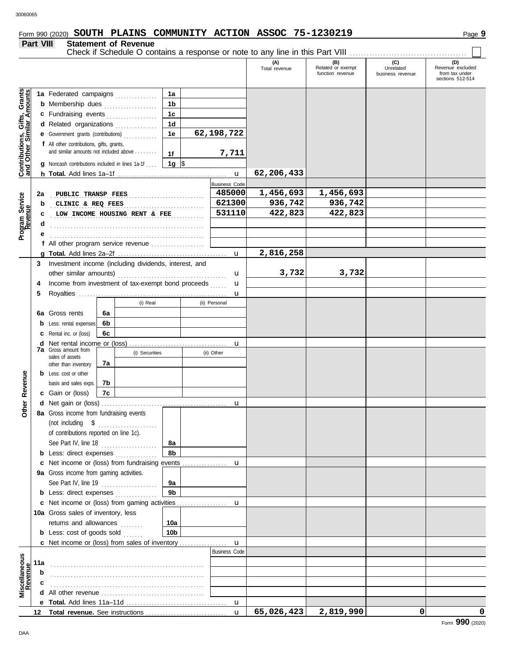# **Part VIII Statement of Revenue**

Check if Schedule O contains a response or note to any line in this Part VIII . . . . . . . . . . . . . . . . . . . . . . . . . . . . . . . . . . . . . . . . . .

|                                                           |     |                                                                                           |    |            |                |                      | (A)<br>Total revenue | (B)<br>Related or exempt<br>function revenue | (C)<br>Unrelated<br>business revenue | (D)<br>Revenue excluded<br>from tax under<br>sections 512-514 |
|-----------------------------------------------------------|-----|-------------------------------------------------------------------------------------------|----|------------|----------------|----------------------|----------------------|----------------------------------------------|--------------------------------------|---------------------------------------------------------------|
|                                                           |     | 1a Federated campaigns                                                                    |    |            | 1a             |                      |                      |                                              |                                      |                                                               |
| Contributions, Gifts, Grants<br>and Other Similar Amounts |     | b Membership dues                                                                         |    |            | 1 <sub>b</sub> |                      |                      |                                              |                                      |                                                               |
|                                                           |     | c Fundraising events                                                                      |    |            | 1 <sub>c</sub> |                      |                      |                                              |                                      |                                                               |
|                                                           |     | d Related organizations                                                                   |    |            | 1 <sub>d</sub> |                      |                      |                                              |                                      |                                                               |
|                                                           |     | e Government grants (contributions)                                                       |    |            | 1e             | 62,198,722           |                      |                                              |                                      |                                                               |
|                                                           |     | <b>f</b> All other contributions, gifts, grants,                                          |    |            |                |                      |                      |                                              |                                      |                                                               |
|                                                           |     | and similar amounts not included above                                                    |    |            | 1f             | 7,711                |                      |                                              |                                      |                                                               |
|                                                           |     | <b>g</b> Noncash contributions included in lines 1a-1f                                    |    |            | $1g$ \$        |                      |                      |                                              |                                      |                                                               |
|                                                           |     |                                                                                           |    |            |                | $\mathbf{u}$         | 62,206,433           |                                              |                                      |                                                               |
|                                                           |     |                                                                                           |    |            |                | <b>Business Code</b> |                      |                                              |                                      |                                                               |
|                                                           | 2a  | PUBLIC TRANSP FEES                                                                        |    |            |                | 485000               | 1,456,693            | 1,456,693                                    |                                      |                                                               |
|                                                           | b   | CLINIC & REQ FEES                                                                         |    |            |                | 621300               | 936,742              | 936,742                                      |                                      |                                                               |
|                                                           | c   | LOW INCOME HOUSING RENT & FEE                                                             |    |            |                | 531110               | 422,823              | 422,823                                      |                                      |                                                               |
| Program Service<br>Revenue                                | d   |                                                                                           |    |            |                |                      |                      |                                              |                                      |                                                               |
|                                                           |     |                                                                                           |    |            |                |                      |                      |                                              |                                      |                                                               |
|                                                           |     | f All other program service revenue                                                       |    |            |                |                      | 2,816,258            |                                              |                                      |                                                               |
|                                                           |     | 3 Investment income (including dividends, interest, and                                   |    |            |                | $\mathbf u$          |                      |                                              |                                      |                                                               |
|                                                           |     |                                                                                           |    |            |                | u                    | 3,732                | 3,732                                        |                                      |                                                               |
|                                                           | 4   | Income from investment of tax-exempt bond proceeds                                        |    |            |                | $\mathbf{u}$         |                      |                                              |                                      |                                                               |
|                                                           | 5   |                                                                                           |    |            |                | $\mathbf{u}$         |                      |                                              |                                      |                                                               |
|                                                           |     |                                                                                           |    | (i) Real   |                | (ii) Personal        |                      |                                              |                                      |                                                               |
|                                                           |     | <b>6a</b> Gross rents                                                                     | 6a |            |                |                      |                      |                                              |                                      |                                                               |
|                                                           |     | <b>b</b> Less: rental expenses                                                            | 6b |            |                |                      |                      |                                              |                                      |                                                               |
|                                                           |     | <b>c</b> Rental inc. or (loss)                                                            | 6с |            |                |                      |                      |                                              |                                      |                                                               |
|                                                           |     |                                                                                           |    |            |                | u                    |                      |                                              |                                      |                                                               |
|                                                           |     | <b>7a</b> Gross amount from<br>(i) Securities<br>sales of assets                          |    | (ii) Other |                |                      |                      |                                              |                                      |                                                               |
|                                                           |     | other than inventory                                                                      | 7а |            |                |                      |                      |                                              |                                      |                                                               |
|                                                           |     | <b>b</b> Less: cost or other                                                              |    |            |                |                      |                      |                                              |                                      |                                                               |
| Revenue                                                   |     | basis and sales exps.                                                                     | 7b |            |                |                      |                      |                                              |                                      |                                                               |
|                                                           |     | c Gain or (loss)                                                                          | 7c |            |                |                      |                      |                                              |                                      |                                                               |
| Other                                                     |     |                                                                                           |    |            |                | u                    |                      |                                              |                                      |                                                               |
|                                                           |     | 8a Gross income from fundraising events                                                   |    |            |                |                      |                      |                                              |                                      |                                                               |
|                                                           |     | (not including \$                                                                         |    |            |                |                      |                      |                                              |                                      |                                                               |
|                                                           |     | of contributions reported on line 1c).                                                    |    |            |                |                      |                      |                                              |                                      |                                                               |
|                                                           |     | See Part IV, line $18$                                                                    |    |            | 8а             |                      |                      |                                              |                                      |                                                               |
|                                                           |     | <b>b</b> Less: direct expenses                                                            |    |            | 8b             |                      |                      |                                              |                                      |                                                               |
|                                                           |     | c Net income or (loss) from fundraising events<br>9a Gross income from gaming activities. |    |            |                | u                    |                      |                                              |                                      |                                                               |
|                                                           |     | See Part IV, line 19                                                                      |    |            | 9а             |                      |                      |                                              |                                      |                                                               |
|                                                           |     | <b>b</b> Less: direct expenses                                                            |    |            | 9 <sub>b</sub> |                      |                      |                                              |                                      |                                                               |
|                                                           |     | c Net income or (loss) from gaming activities                                             |    |            |                | u                    |                      |                                              |                                      |                                                               |
|                                                           |     | 10a Gross sales of inventory, less                                                        |    |            |                |                      |                      |                                              |                                      |                                                               |
|                                                           |     | returns and allowances                                                                    |    |            | 10a            |                      |                      |                                              |                                      |                                                               |
|                                                           |     | <b>b</b> Less: $cost$ of goods $sol$                                                      |    |            | 10b            |                      |                      |                                              |                                      |                                                               |
|                                                           |     | c Net income or (loss) from sales of inventory                                            |    |            |                | $\mathbf{u}$         |                      |                                              |                                      |                                                               |
|                                                           |     |                                                                                           |    |            |                | <b>Business Code</b> |                      |                                              |                                      |                                                               |
|                                                           | 11a |                                                                                           |    |            |                |                      |                      |                                              |                                      |                                                               |
| Miscellaneous<br>Revenue                                  | b   |                                                                                           |    |            |                |                      |                      |                                              |                                      |                                                               |
|                                                           | c   |                                                                                           |    |            |                |                      |                      |                                              |                                      |                                                               |
|                                                           |     |                                                                                           |    |            |                |                      |                      |                                              |                                      |                                                               |
|                                                           |     |                                                                                           |    |            |                | $\mathbf{u}$         | 65,026,423           | 2,819,990                                    | $\Omega$                             | 0                                                             |
|                                                           |     |                                                                                           |    |            |                | $\mathbf{u}$         |                      |                                              |                                      |                                                               |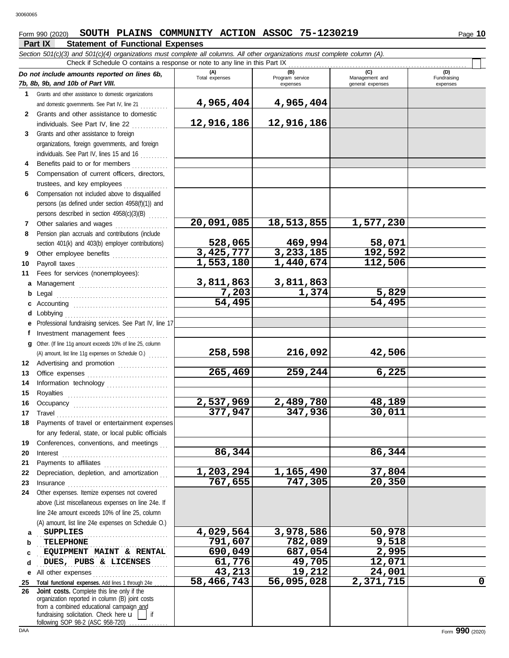$\Box$ 

*Section 501(c)(3) and 501(c)(4) organizations must complete all columns. All other organizations must complete column (A).* Check if Schedule O contains a response or note to any line in this Part IX

|    | Do not include amounts reported on lines 6b,<br>7b, 8b, 9b, and 10b of Part VIII.                                                                                                                                                                                                                                                                                                                                                                                                                                                  | (A)<br>Total expenses  | (B)<br>Program service<br>expenses | (C)<br>Management and<br>general expenses | (D)<br>Fundraising<br>expenses |
|----|------------------------------------------------------------------------------------------------------------------------------------------------------------------------------------------------------------------------------------------------------------------------------------------------------------------------------------------------------------------------------------------------------------------------------------------------------------------------------------------------------------------------------------|------------------------|------------------------------------|-------------------------------------------|--------------------------------|
|    | 1 Grants and other assistance to domestic organizations                                                                                                                                                                                                                                                                                                                                                                                                                                                                            |                        |                                    |                                           |                                |
|    | and domestic governments. See Part IV, line 21                                                                                                                                                                                                                                                                                                                                                                                                                                                                                     | 4,965,404              | 4,965,404                          |                                           |                                |
| 2  | Grants and other assistance to domestic                                                                                                                                                                                                                                                                                                                                                                                                                                                                                            |                        |                                    |                                           |                                |
|    | individuals. See Part IV, line 22                                                                                                                                                                                                                                                                                                                                                                                                                                                                                                  | 12,916,186             | 12,916,186                         |                                           |                                |
| 3. | Grants and other assistance to foreign                                                                                                                                                                                                                                                                                                                                                                                                                                                                                             |                        |                                    |                                           |                                |
|    | organizations, foreign governments, and foreign                                                                                                                                                                                                                                                                                                                                                                                                                                                                                    |                        |                                    |                                           |                                |
|    | individuals. See Part IV, lines 15 and 16                                                                                                                                                                                                                                                                                                                                                                                                                                                                                          |                        |                                    |                                           |                                |
| 4  | Benefits paid to or for members                                                                                                                                                                                                                                                                                                                                                                                                                                                                                                    |                        |                                    |                                           |                                |
| 5. | Compensation of current officers, directors,                                                                                                                                                                                                                                                                                                                                                                                                                                                                                       |                        |                                    |                                           |                                |
|    | trustees, and key employees                                                                                                                                                                                                                                                                                                                                                                                                                                                                                                        |                        |                                    |                                           |                                |
| 6. | Compensation not included above to disqualified                                                                                                                                                                                                                                                                                                                                                                                                                                                                                    |                        |                                    |                                           |                                |
|    | persons (as defined under section 4958(f)(1)) and                                                                                                                                                                                                                                                                                                                                                                                                                                                                                  |                        |                                    |                                           |                                |
|    | persons described in section 4958(c)(3)(B)                                                                                                                                                                                                                                                                                                                                                                                                                                                                                         |                        |                                    |                                           |                                |
|    | Other salaries and wages                                                                                                                                                                                                                                                                                                                                                                                                                                                                                                           | 20,091,085             | 18,513,855                         | 1,577,230                                 |                                |
| 7  |                                                                                                                                                                                                                                                                                                                                                                                                                                                                                                                                    |                        |                                    |                                           |                                |
| 8  | Pension plan accruals and contributions (include                                                                                                                                                                                                                                                                                                                                                                                                                                                                                   | 528,065                | 469,994                            | 58,071                                    |                                |
|    | section 401(k) and 403(b) employer contributions)                                                                                                                                                                                                                                                                                                                                                                                                                                                                                  | 3,425,777              | 3, 233, 185                        | 192,592                                   |                                |
| 9  | Other employee benefits                                                                                                                                                                                                                                                                                                                                                                                                                                                                                                            |                        |                                    | 112,506                                   |                                |
| 10 |                                                                                                                                                                                                                                                                                                                                                                                                                                                                                                                                    | 1,553,180              | 1,440,674                          |                                           |                                |
| 11 | Fees for services (nonemployees):                                                                                                                                                                                                                                                                                                                                                                                                                                                                                                  |                        |                                    |                                           |                                |
| a  |                                                                                                                                                                                                                                                                                                                                                                                                                                                                                                                                    | 3,811,863              | 3,811,863                          |                                           |                                |
| b  |                                                                                                                                                                                                                                                                                                                                                                                                                                                                                                                                    | 7,203                  | $\overline{1,374}$                 | 5,829                                     |                                |
| c  |                                                                                                                                                                                                                                                                                                                                                                                                                                                                                                                                    | $\overline{54, 495}$   |                                    | 54,495                                    |                                |
| d  |                                                                                                                                                                                                                                                                                                                                                                                                                                                                                                                                    |                        |                                    |                                           |                                |
|    | Professional fundraising services. See Part IV, line 17                                                                                                                                                                                                                                                                                                                                                                                                                                                                            |                        |                                    |                                           |                                |
| f  | Investment management fees                                                                                                                                                                                                                                                                                                                                                                                                                                                                                                         |                        |                                    |                                           |                                |
| a  | Other. (If line 11g amount exceeds 10% of line 25, column                                                                                                                                                                                                                                                                                                                                                                                                                                                                          |                        |                                    |                                           |                                |
|    | (A) amount, list line 11g expenses on Schedule O.)                                                                                                                                                                                                                                                                                                                                                                                                                                                                                 | 258,598                | 216,092                            | 42,506                                    |                                |
| 12 | Advertising and promotion                                                                                                                                                                                                                                                                                                                                                                                                                                                                                                          |                        |                                    |                                           |                                |
| 13 |                                                                                                                                                                                                                                                                                                                                                                                                                                                                                                                                    | 265,469                | 259,244                            | 6,225                                     |                                |
| 14 | Information technology                                                                                                                                                                                                                                                                                                                                                                                                                                                                                                             |                        |                                    |                                           |                                |
| 15 |                                                                                                                                                                                                                                                                                                                                                                                                                                                                                                                                    |                        |                                    |                                           |                                |
| 16 |                                                                                                                                                                                                                                                                                                                                                                                                                                                                                                                                    | 2,537,969              | 2,489,780                          | 48,189                                    |                                |
| 17 | $\begin{minipage}[c]{0.9\linewidth} \textbf{ Travel} \end{minipage}[ \begin{minipage}[c]{0.9\linewidth} \textbf{True} \end{minipage}[ \begin{minipage}[c]{0.9\linewidth} \textbf{True} \end{minipage}[ \begin{minipage}[c]{0.9\linewidth} \textbf{True} \end{minipage}[ \begin{minipage}[c]{0.9\linewidth} \textbf{True} \end{minipage}[ \begin{minipage}[c]{0.9\linewidth} \textbf{True} \end{minipage}[ \begin{minipage}[c]{0.9\linewidth} \textbf{True} \end{minipage}[ \begin{minipage}[c]{0.9\linewidth} \textbf{True} \end{$ | 377,947                | 347,936                            | 30,011                                    |                                |
| 18 | Payments of travel or entertainment expenses                                                                                                                                                                                                                                                                                                                                                                                                                                                                                       |                        |                                    |                                           |                                |
|    | for any federal, state, or local public officials                                                                                                                                                                                                                                                                                                                                                                                                                                                                                  |                        |                                    |                                           |                                |
| 19 | Conferences, conventions, and meetings                                                                                                                                                                                                                                                                                                                                                                                                                                                                                             |                        |                                    |                                           |                                |
| 20 | Interest                                                                                                                                                                                                                                                                                                                                                                                                                                                                                                                           | 86,344                 |                                    | 86,344                                    |                                |
| 21 | Payments to affiliates                                                                                                                                                                                                                                                                                                                                                                                                                                                                                                             |                        |                                    |                                           |                                |
| 22 | Depreciation, depletion, and amortization                                                                                                                                                                                                                                                                                                                                                                                                                                                                                          | 1,203,294              | 1,165,490                          | 37,804                                    |                                |
| 23 |                                                                                                                                                                                                                                                                                                                                                                                                                                                                                                                                    | 767,655                | 747,305                            | 20,350                                    |                                |
| 24 | Other expenses. Itemize expenses not covered                                                                                                                                                                                                                                                                                                                                                                                                                                                                                       |                        |                                    |                                           |                                |
|    | above (List miscellaneous expenses on line 24e. If                                                                                                                                                                                                                                                                                                                                                                                                                                                                                 |                        |                                    |                                           |                                |
|    | line 24e amount exceeds 10% of line 25, column                                                                                                                                                                                                                                                                                                                                                                                                                                                                                     |                        |                                    |                                           |                                |
|    | (A) amount, list line 24e expenses on Schedule O.)                                                                                                                                                                                                                                                                                                                                                                                                                                                                                 |                        |                                    |                                           |                                |
| a  | <b>SUPPLIES</b>                                                                                                                                                                                                                                                                                                                                                                                                                                                                                                                    | 4,029,564              | 3,978,586                          | 50,978                                    |                                |
| b  | <b>TELEPHONE</b>                                                                                                                                                                                                                                                                                                                                                                                                                                                                                                                   | 791,607                | 782,089                            | 9,518                                     |                                |
| c  | EQUIPMENT MAINT & RENTAL                                                                                                                                                                                                                                                                                                                                                                                                                                                                                                           | $\overline{690}$ , 049 | 687,054                            | 2,995                                     |                                |
| d  | DUES, PUBS & LICENSES                                                                                                                                                                                                                                                                                                                                                                                                                                                                                                              | 61,776                 | 49,705                             | 12,071                                    |                                |
| е  | All other expenses                                                                                                                                                                                                                                                                                                                                                                                                                                                                                                                 | 43,213                 | 19,212                             | 24,001                                    |                                |
| 25 | Total functional expenses. Add lines 1 through 24e                                                                                                                                                                                                                                                                                                                                                                                                                                                                                 | 58,466,743             | 56,095,028                         | $\overline{2,371,715}$                    | 0                              |
| 26 | Joint costs. Complete this line only if the<br>organization reported in column (B) joint costs<br>from a combined educational campaign and<br>fundraising solicitation. Check here $\mathbf{u}$<br>if<br>following SOP 98-2 (ASC 958-720)                                                                                                                                                                                                                                                                                          |                        |                                    |                                           |                                |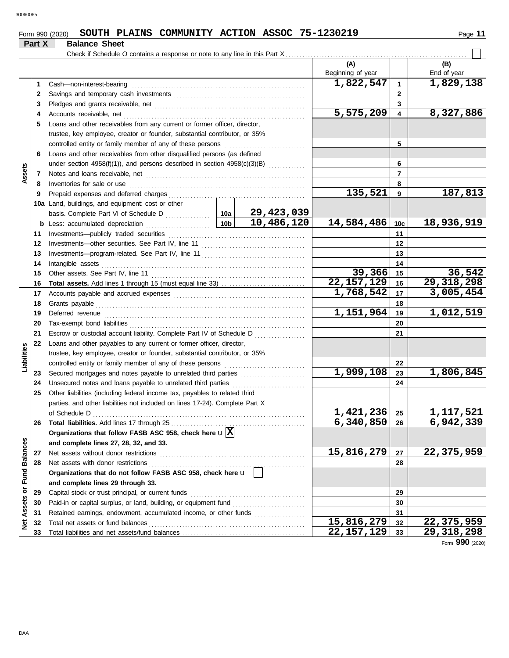**Part X Balance Sheet**

 $\Box$ 

|                 |    | Check if Schedule O contains a response or note to any line in this Part $X_1$ .                                                                                                                                                     |            |                          |                         |                         |
|-----------------|----|--------------------------------------------------------------------------------------------------------------------------------------------------------------------------------------------------------------------------------------|------------|--------------------------|-------------------------|-------------------------|
|                 |    |                                                                                                                                                                                                                                      |            | (A)<br>Beginning of year |                         | (B)<br>End of year      |
|                 | 1  | Cash-non-interest-bearing                                                                                                                                                                                                            |            | 1,822,547                | $\mathbf{1}$            | 1,829,138               |
|                 | 2  |                                                                                                                                                                                                                                      |            |                          | $\mathbf{2}$            |                         |
|                 | 3  |                                                                                                                                                                                                                                      |            |                          | 3                       |                         |
|                 | 4  |                                                                                                                                                                                                                                      |            | $\overline{5,575,209}$   | $\overline{\mathbf{4}}$ | 8,327,886               |
|                 | 5  | Loans and other receivables from any current or former officer, director,                                                                                                                                                            |            |                          |                         |                         |
|                 |    | trustee, key employee, creator or founder, substantial contributor, or 35%                                                                                                                                                           |            |                          |                         |                         |
|                 |    | controlled entity or family member of any of these persons                                                                                                                                                                           |            |                          | 5                       |                         |
|                 | 6  | Loans and other receivables from other disqualified persons (as defined                                                                                                                                                              |            |                          |                         |                         |
|                 |    | under section 4958(f)(1)), and persons described in section 4958(c)(3)(B)                                                                                                                                                            |            |                          | 6                       |                         |
| Assets          | 7  |                                                                                                                                                                                                                                      |            |                          | $\overline{7}$          |                         |
|                 | 8  | Inventories for sale or use <i>manual content of the content of the content of the content of the content of the content of the content of the content of the content of the content of the content of the content of the conten</i> |            |                          | 8                       |                         |
|                 | 9  |                                                                                                                                                                                                                                      |            | 135,521                  | 9                       | 187,813                 |
|                 |    | 10a Land, buildings, and equipment: cost or other                                                                                                                                                                                    |            |                          |                         |                         |
|                 |    |                                                                                                                                                                                                                                      |            |                          |                         |                         |
|                 |    |                                                                                                                                                                                                                                      | 10,486,120 | 14,584,486               | 10c                     | 18,936,919              |
|                 | 11 |                                                                                                                                                                                                                                      |            |                          | 11                      |                         |
|                 | 12 |                                                                                                                                                                                                                                      |            |                          | 12                      |                         |
|                 | 13 |                                                                                                                                                                                                                                      |            |                          | 13                      |                         |
|                 | 14 | Intangible assets with a state of the contract of the state of the state of the state of the state of the state of the state of the state of the state of the state of the state of the state of the state of the state of the       |            |                          | 14                      |                         |
|                 | 15 |                                                                                                                                                                                                                                      |            | 39,366                   | 15                      | 36,542                  |
|                 | 16 |                                                                                                                                                                                                                                      |            | 22, 157, 129             | 16                      | $\overline{29,318,298}$ |
|                 | 17 |                                                                                                                                                                                                                                      |            | 1,768,542                | 17                      | 3,005,454               |
|                 | 18 |                                                                                                                                                                                                                                      |            |                          | 18                      |                         |
|                 | 19 |                                                                                                                                                                                                                                      |            | 1,151,964                | 19                      | 1,012,519               |
|                 | 20 |                                                                                                                                                                                                                                      |            |                          | 20                      |                         |
|                 | 21 | Escrow or custodial account liability. Complete Part IV of Schedule D                                                                                                                                                                |            |                          | 21                      |                         |
|                 | 22 | Loans and other payables to any current or former officer, director,                                                                                                                                                                 |            |                          |                         |                         |
| Liabilities     |    | trustee, key employee, creator or founder, substantial contributor, or 35%                                                                                                                                                           |            |                          |                         |                         |
|                 |    | controlled entity or family member of any of these persons                                                                                                                                                                           |            |                          | 22                      |                         |
|                 | 23 | Secured mortgages and notes payable to unrelated third parties                                                                                                                                                                       |            | 1,999,108                | 23                      | 1,806,845               |
|                 | 24 |                                                                                                                                                                                                                                      |            |                          | 24                      |                         |
|                 | 25 | Other liabilities (including federal income tax, payables to related third                                                                                                                                                           |            |                          |                         |                         |
|                 |    | parties, and other liabilities not included on lines 17-24). Complete Part X                                                                                                                                                         |            |                          |                         |                         |
|                 |    |                                                                                                                                                                                                                                      |            | 1,421,236                | 25                      | 1,117,521               |
|                 |    | 26 Total liabilities. Add lines 17 through 25                                                                                                                                                                                        |            | 6,340,850                | 26                      | 6,942,339               |
|                 |    | Organizations that follow FASB ASC 958, check here $\mathbf{u} \mathbf{X} $                                                                                                                                                          |            |                          |                         |                         |
|                 |    | and complete lines 27, 28, 32, and 33.                                                                                                                                                                                               |            |                          |                         |                         |
| <b>Balances</b> | 27 | Net assets without donor restrictions                                                                                                                                                                                                |            | 15,816,279               | 27                      | 22,375,959              |
|                 | 28 |                                                                                                                                                                                                                                      |            |                          | 28                      |                         |
| <b>Fund</b>     |    | Organizations that do not follow FASB ASC 958, check here u                                                                                                                                                                          |            |                          |                         |                         |
|                 |    | and complete lines 29 through 33.                                                                                                                                                                                                    |            |                          |                         |                         |
| ŏ               | 29 |                                                                                                                                                                                                                                      |            |                          | 29                      |                         |
| Assets          | 30 |                                                                                                                                                                                                                                      |            |                          | 30                      |                         |
|                 | 31 | Retained earnings, endowment, accumulated income, or other funds                                                                                                                                                                     |            |                          | 31                      |                         |
| <b>Met</b>      | 32 |                                                                                                                                                                                                                                      |            | 15,816,279               | 32                      | 22,375,959              |
|                 | 33 |                                                                                                                                                                                                                                      |            | 22, 157, 129             | 33                      | 29, 318, 298            |

Form **990** (2020)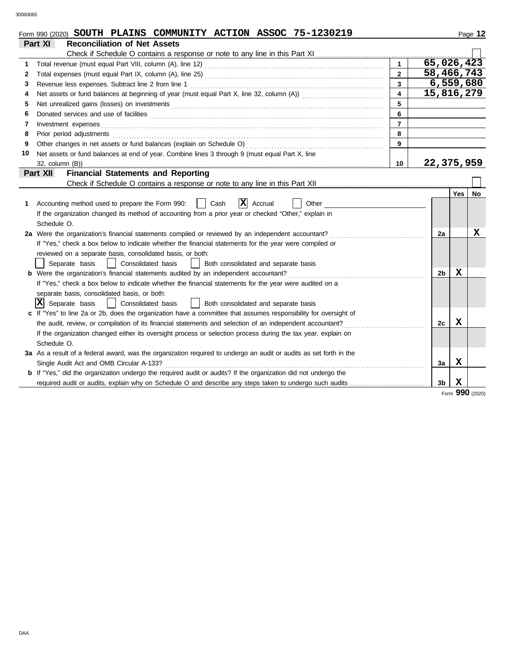|    | Form 990 (2020) SOUTH PLAINS COMMUNITY ACTION ASSOC 75-1230219                                                                                                                                                                 |                         |                     | Page 12 |
|----|--------------------------------------------------------------------------------------------------------------------------------------------------------------------------------------------------------------------------------|-------------------------|---------------------|---------|
|    | <b>Reconciliation of Net Assets</b><br>Part XI                                                                                                                                                                                 |                         |                     |         |
|    |                                                                                                                                                                                                                                |                         |                     |         |
| 1  |                                                                                                                                                                                                                                |                         | 65,026,423          |         |
| 2  |                                                                                                                                                                                                                                | $\mathbf{2}$            | 58,466,743          |         |
| 3  |                                                                                                                                                                                                                                | $\mathbf{3}$            | 6,559,680           |         |
| 4  |                                                                                                                                                                                                                                | $\overline{\mathbf{4}}$ | 15,816,279          |         |
| 5  | Net unrealized gains (losses) on investments [11] with the content of the content of the state of the state of the state of the state of the state of the state of the state of the state of the state of the state of the sta | 5                       |                     |         |
| 6  |                                                                                                                                                                                                                                | 6                       |                     |         |
| 7  | Investment expenses                                                                                                                                                                                                            | $\overline{7}$          |                     |         |
| 8  | Prior period adjustments [11, 12] and the contract of the contract of the contract of the contract of the contract of the contract of the contract of the contract of the contract of the contract of the contract of the cont | 8                       |                     |         |
| 9  |                                                                                                                                                                                                                                | $\overline{9}$          |                     |         |
| 10 | Net assets or fund balances at end of year. Combine lines 3 through 9 (must equal Part X, line                                                                                                                                 |                         |                     |         |
|    | $32$ , column $(B)$ )                                                                                                                                                                                                          | 10 <sup>1</sup>         | 22,375,959          |         |
|    | <b>Financial Statements and Reporting</b><br>Part XII                                                                                                                                                                          |                         |                     |         |
|    |                                                                                                                                                                                                                                |                         |                     |         |
|    |                                                                                                                                                                                                                                |                         | Yes                 | No      |
| 1  | $ \mathbf{X} $ Accrual<br>Accounting method used to prepare the Form 990:<br>Cash<br>Other                                                                                                                                     |                         |                     |         |
|    | If the organization changed its method of accounting from a prior year or checked "Other," explain in                                                                                                                          |                         |                     |         |
|    | Schedule O.                                                                                                                                                                                                                    |                         |                     |         |
|    | 2a Were the organization's financial statements compiled or reviewed by an independent accountant?                                                                                                                             |                         | 2a                  | x       |
|    | If "Yes," check a box below to indicate whether the financial statements for the year were compiled or                                                                                                                         |                         |                     |         |
|    | reviewed on a separate basis, consolidated basis, or both:                                                                                                                                                                     |                         |                     |         |
|    | Consolidated basis<br>Separate basis<br>Both consolidated and separate basis<br>$\Box$                                                                                                                                         |                         |                     |         |
|    |                                                                                                                                                                                                                                |                         | х<br>2b             |         |
|    | If "Yes," check a box below to indicate whether the financial statements for the year were audited on a                                                                                                                        |                         |                     |         |
|    | separate basis, consolidated basis, or both:                                                                                                                                                                                   |                         |                     |         |
|    | $X$ Separate basis<br>Consolidated basis<br>  Both consolidated and separate basis                                                                                                                                             |                         |                     |         |
|    | c If "Yes" to line 2a or 2b, does the organization have a committee that assumes responsibility for oversight of                                                                                                               |                         |                     |         |
|    | the audit, review, or compilation of its financial statements and selection of an independent accountant?                                                                                                                      |                         | X<br>2c             |         |
|    | If the organization changed either its oversight process or selection process during the tax year, explain on                                                                                                                  |                         |                     |         |
|    | Schedule O.                                                                                                                                                                                                                    |                         |                     |         |
|    | 3a As a result of a federal award, was the organization required to undergo an audit or audits as set forth in the                                                                                                             |                         |                     |         |
|    | Single Audit Act and OMB Circular A-133?                                                                                                                                                                                       |                         | x<br>За             |         |
|    | b If "Yes," did the organization undergo the required audit or audits? If the organization did not undergo the                                                                                                                 |                         |                     |         |
|    | required audit or audits, explain why on Schedule O and describe any steps taken to undergo such audits                                                                                                                        |                         | X<br>3 <sub>b</sub> |         |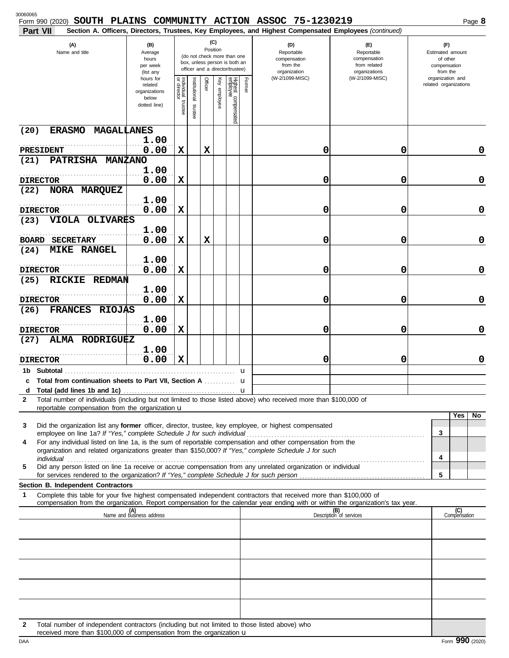| (C)<br>(A)<br>(B)<br>(D)<br>(E)<br>(F)<br>Position<br>Name and title<br>Average<br>Reportable<br>Reportable<br>Estimated amount<br>(do not check more than one<br>of other<br>hours<br>compensation<br>compensation<br>box, unless person is both an<br>from the<br>from related<br>per week<br>compensation<br>officer and a director/trustee)<br>organizations<br>organization<br>from the<br>(list any<br>(W-2/1099-MISC)<br>organization and<br>(W-2/1099-MISC)<br>hours for<br>Individual 1<br>Highest compensated<br>employee<br>Key employee<br>Former<br>Officer<br>nstitutional<br>related organizations<br>related<br>organizations<br>below<br>trustee<br>dotted line)<br>trustee<br>ERASMO MAGALIANES<br>(20)<br>1.00<br>0.00<br>X<br>0<br>0<br>х<br>0<br><b>PRESIDENT</b><br>(21)<br>PATRISHA MANZANO<br>1.00<br>0.00<br>X<br>0<br>0<br>0<br><b>DIRECTOR</b><br>NORA MARQUEZ<br>(22)<br>1.00<br>0.00<br>X<br>0<br>0<br>0<br><b>DIRECTOR</b><br>VIOLA OLIVARES<br>(23)<br>1.00<br>0.00<br>X<br>0<br>0<br>0<br>х<br><b>BOARD SECRETARY</b><br><b>MIKE RANGEL</b><br>(24)<br>1.00<br>0.00<br>X<br>0<br>0<br>0<br><b>DIRECTOR</b><br>RICKIE REDMAN<br>(25)<br>1.00<br>0.00<br>X<br>0<br>0<br>$\mathbf 0$<br><b>DIRECTOR</b><br>FRANCES RIOJAS<br>(26)<br>1.00<br>0.00<br>X<br>0<br>0<br>$\mathbf 0$<br><b>DIRECTOR</b><br>ALMA RODRIGUEZ<br>(27)<br>1.00<br>0.00<br>$\mathbf x$<br>0<br>0<br>0<br><b>DIRECTOR</b><br>1b Subtotal<br>u<br>c Total from continuation sheets to Part VII, Section A <i>minimal</i><br>u<br>d<br>u<br>Total number of individuals (including but not limited to those listed above) who received more than \$100,000 of<br>2<br>reportable compensation from the organization $\mathbf u$<br>Yes<br>No.<br>Did the organization list any former officer, director, trustee, key employee, or highest compensated<br>3<br>3<br>employee on line 1a? If "Yes," complete Schedule J for such individual [11] content to the set on line 1a? If "Yes," complete Schedule J for such individual<br>For any individual listed on line 1a, is the sum of reportable compensation and other compensation from the<br>4<br>organization and related organizations greater than \$150,000? If "Yes," complete Schedule J for such<br>4<br>individual with a construction of the construction of the construction of the construction of the construction of the construction of the construction of the construction of the construction of the construction of the cons<br>Did any person listed on line 1a receive or accrue compensation from any unrelated organization or individual<br>5<br>5<br>Section B. Independent Contractors<br>Complete this table for your five highest compensated independent contractors that received more than \$100,000 of<br>1<br>compensation from the organization. Report compensation for the calendar year ending with or within the organization's tax year.<br>(B)<br>(C)<br>Compensation<br>(A)<br>Name and business address<br>Description of services<br>Total number of independent contractors (including but not limited to those listed above) who<br>2 | 30060065<br>Form 990 (2020) SOUTH PLAINS COMMUNITY ACTION ASSOC 75-1230219<br><b>Part VII</b> |  |  |  | Section A. Officers, Directors, Trustees, Key Employees, and Highest Compensated Employees (continued) | Page 8 |
|----------------------------------------------------------------------------------------------------------------------------------------------------------------------------------------------------------------------------------------------------------------------------------------------------------------------------------------------------------------------------------------------------------------------------------------------------------------------------------------------------------------------------------------------------------------------------------------------------------------------------------------------------------------------------------------------------------------------------------------------------------------------------------------------------------------------------------------------------------------------------------------------------------------------------------------------------------------------------------------------------------------------------------------------------------------------------------------------------------------------------------------------------------------------------------------------------------------------------------------------------------------------------------------------------------------------------------------------------------------------------------------------------------------------------------------------------------------------------------------------------------------------------------------------------------------------------------------------------------------------------------------------------------------------------------------------------------------------------------------------------------------------------------------------------------------------------------------------------------------------------------------------------------------------------------------------------------------------------------------------------------------------------------------------------------------------------------------------------------------------------------------------------------------------------------------------------------------------------------------------------------------------------------------------------------------------------------------------------------------------------------------------------------------------------------------------------------------------------------------------------------------------------------------------------------------------------------------------------------------------------------------------------------------------------------------------------------------------------------------------------------------------------------------------------------------------------------------------------------------------------------------------------------------------------------------------------------------------------------------------------------------------------------------------------------------------------------------------------------------------------------------|-----------------------------------------------------------------------------------------------|--|--|--|--------------------------------------------------------------------------------------------------------|--------|
|                                                                                                                                                                                                                                                                                                                                                                                                                                                                                                                                                                                                                                                                                                                                                                                                                                                                                                                                                                                                                                                                                                                                                                                                                                                                                                                                                                                                                                                                                                                                                                                                                                                                                                                                                                                                                                                                                                                                                                                                                                                                                                                                                                                                                                                                                                                                                                                                                                                                                                                                                                                                                                                                                                                                                                                                                                                                                                                                                                                                                                                                                                                                        |                                                                                               |  |  |  |                                                                                                        |        |
|                                                                                                                                                                                                                                                                                                                                                                                                                                                                                                                                                                                                                                                                                                                                                                                                                                                                                                                                                                                                                                                                                                                                                                                                                                                                                                                                                                                                                                                                                                                                                                                                                                                                                                                                                                                                                                                                                                                                                                                                                                                                                                                                                                                                                                                                                                                                                                                                                                                                                                                                                                                                                                                                                                                                                                                                                                                                                                                                                                                                                                                                                                                                        |                                                                                               |  |  |  |                                                                                                        |        |
|                                                                                                                                                                                                                                                                                                                                                                                                                                                                                                                                                                                                                                                                                                                                                                                                                                                                                                                                                                                                                                                                                                                                                                                                                                                                                                                                                                                                                                                                                                                                                                                                                                                                                                                                                                                                                                                                                                                                                                                                                                                                                                                                                                                                                                                                                                                                                                                                                                                                                                                                                                                                                                                                                                                                                                                                                                                                                                                                                                                                                                                                                                                                        |                                                                                               |  |  |  |                                                                                                        |        |
|                                                                                                                                                                                                                                                                                                                                                                                                                                                                                                                                                                                                                                                                                                                                                                                                                                                                                                                                                                                                                                                                                                                                                                                                                                                                                                                                                                                                                                                                                                                                                                                                                                                                                                                                                                                                                                                                                                                                                                                                                                                                                                                                                                                                                                                                                                                                                                                                                                                                                                                                                                                                                                                                                                                                                                                                                                                                                                                                                                                                                                                                                                                                        |                                                                                               |  |  |  |                                                                                                        |        |
|                                                                                                                                                                                                                                                                                                                                                                                                                                                                                                                                                                                                                                                                                                                                                                                                                                                                                                                                                                                                                                                                                                                                                                                                                                                                                                                                                                                                                                                                                                                                                                                                                                                                                                                                                                                                                                                                                                                                                                                                                                                                                                                                                                                                                                                                                                                                                                                                                                                                                                                                                                                                                                                                                                                                                                                                                                                                                                                                                                                                                                                                                                                                        |                                                                                               |  |  |  |                                                                                                        |        |
|                                                                                                                                                                                                                                                                                                                                                                                                                                                                                                                                                                                                                                                                                                                                                                                                                                                                                                                                                                                                                                                                                                                                                                                                                                                                                                                                                                                                                                                                                                                                                                                                                                                                                                                                                                                                                                                                                                                                                                                                                                                                                                                                                                                                                                                                                                                                                                                                                                                                                                                                                                                                                                                                                                                                                                                                                                                                                                                                                                                                                                                                                                                                        |                                                                                               |  |  |  |                                                                                                        |        |
|                                                                                                                                                                                                                                                                                                                                                                                                                                                                                                                                                                                                                                                                                                                                                                                                                                                                                                                                                                                                                                                                                                                                                                                                                                                                                                                                                                                                                                                                                                                                                                                                                                                                                                                                                                                                                                                                                                                                                                                                                                                                                                                                                                                                                                                                                                                                                                                                                                                                                                                                                                                                                                                                                                                                                                                                                                                                                                                                                                                                                                                                                                                                        |                                                                                               |  |  |  |                                                                                                        |        |
|                                                                                                                                                                                                                                                                                                                                                                                                                                                                                                                                                                                                                                                                                                                                                                                                                                                                                                                                                                                                                                                                                                                                                                                                                                                                                                                                                                                                                                                                                                                                                                                                                                                                                                                                                                                                                                                                                                                                                                                                                                                                                                                                                                                                                                                                                                                                                                                                                                                                                                                                                                                                                                                                                                                                                                                                                                                                                                                                                                                                                                                                                                                                        |                                                                                               |  |  |  |                                                                                                        |        |
|                                                                                                                                                                                                                                                                                                                                                                                                                                                                                                                                                                                                                                                                                                                                                                                                                                                                                                                                                                                                                                                                                                                                                                                                                                                                                                                                                                                                                                                                                                                                                                                                                                                                                                                                                                                                                                                                                                                                                                                                                                                                                                                                                                                                                                                                                                                                                                                                                                                                                                                                                                                                                                                                                                                                                                                                                                                                                                                                                                                                                                                                                                                                        |                                                                                               |  |  |  |                                                                                                        |        |
|                                                                                                                                                                                                                                                                                                                                                                                                                                                                                                                                                                                                                                                                                                                                                                                                                                                                                                                                                                                                                                                                                                                                                                                                                                                                                                                                                                                                                                                                                                                                                                                                                                                                                                                                                                                                                                                                                                                                                                                                                                                                                                                                                                                                                                                                                                                                                                                                                                                                                                                                                                                                                                                                                                                                                                                                                                                                                                                                                                                                                                                                                                                                        |                                                                                               |  |  |  |                                                                                                        |        |
|                                                                                                                                                                                                                                                                                                                                                                                                                                                                                                                                                                                                                                                                                                                                                                                                                                                                                                                                                                                                                                                                                                                                                                                                                                                                                                                                                                                                                                                                                                                                                                                                                                                                                                                                                                                                                                                                                                                                                                                                                                                                                                                                                                                                                                                                                                                                                                                                                                                                                                                                                                                                                                                                                                                                                                                                                                                                                                                                                                                                                                                                                                                                        |                                                                                               |  |  |  |                                                                                                        |        |
|                                                                                                                                                                                                                                                                                                                                                                                                                                                                                                                                                                                                                                                                                                                                                                                                                                                                                                                                                                                                                                                                                                                                                                                                                                                                                                                                                                                                                                                                                                                                                                                                                                                                                                                                                                                                                                                                                                                                                                                                                                                                                                                                                                                                                                                                                                                                                                                                                                                                                                                                                                                                                                                                                                                                                                                                                                                                                                                                                                                                                                                                                                                                        |                                                                                               |  |  |  |                                                                                                        |        |
|                                                                                                                                                                                                                                                                                                                                                                                                                                                                                                                                                                                                                                                                                                                                                                                                                                                                                                                                                                                                                                                                                                                                                                                                                                                                                                                                                                                                                                                                                                                                                                                                                                                                                                                                                                                                                                                                                                                                                                                                                                                                                                                                                                                                                                                                                                                                                                                                                                                                                                                                                                                                                                                                                                                                                                                                                                                                                                                                                                                                                                                                                                                                        |                                                                                               |  |  |  |                                                                                                        |        |
|                                                                                                                                                                                                                                                                                                                                                                                                                                                                                                                                                                                                                                                                                                                                                                                                                                                                                                                                                                                                                                                                                                                                                                                                                                                                                                                                                                                                                                                                                                                                                                                                                                                                                                                                                                                                                                                                                                                                                                                                                                                                                                                                                                                                                                                                                                                                                                                                                                                                                                                                                                                                                                                                                                                                                                                                                                                                                                                                                                                                                                                                                                                                        |                                                                                               |  |  |  |                                                                                                        |        |
|                                                                                                                                                                                                                                                                                                                                                                                                                                                                                                                                                                                                                                                                                                                                                                                                                                                                                                                                                                                                                                                                                                                                                                                                                                                                                                                                                                                                                                                                                                                                                                                                                                                                                                                                                                                                                                                                                                                                                                                                                                                                                                                                                                                                                                                                                                                                                                                                                                                                                                                                                                                                                                                                                                                                                                                                                                                                                                                                                                                                                                                                                                                                        |                                                                                               |  |  |  |                                                                                                        |        |
|                                                                                                                                                                                                                                                                                                                                                                                                                                                                                                                                                                                                                                                                                                                                                                                                                                                                                                                                                                                                                                                                                                                                                                                                                                                                                                                                                                                                                                                                                                                                                                                                                                                                                                                                                                                                                                                                                                                                                                                                                                                                                                                                                                                                                                                                                                                                                                                                                                                                                                                                                                                                                                                                                                                                                                                                                                                                                                                                                                                                                                                                                                                                        |                                                                                               |  |  |  |                                                                                                        |        |
|                                                                                                                                                                                                                                                                                                                                                                                                                                                                                                                                                                                                                                                                                                                                                                                                                                                                                                                                                                                                                                                                                                                                                                                                                                                                                                                                                                                                                                                                                                                                                                                                                                                                                                                                                                                                                                                                                                                                                                                                                                                                                                                                                                                                                                                                                                                                                                                                                                                                                                                                                                                                                                                                                                                                                                                                                                                                                                                                                                                                                                                                                                                                        |                                                                                               |  |  |  |                                                                                                        |        |
|                                                                                                                                                                                                                                                                                                                                                                                                                                                                                                                                                                                                                                                                                                                                                                                                                                                                                                                                                                                                                                                                                                                                                                                                                                                                                                                                                                                                                                                                                                                                                                                                                                                                                                                                                                                                                                                                                                                                                                                                                                                                                                                                                                                                                                                                                                                                                                                                                                                                                                                                                                                                                                                                                                                                                                                                                                                                                                                                                                                                                                                                                                                                        |                                                                                               |  |  |  |                                                                                                        |        |
|                                                                                                                                                                                                                                                                                                                                                                                                                                                                                                                                                                                                                                                                                                                                                                                                                                                                                                                                                                                                                                                                                                                                                                                                                                                                                                                                                                                                                                                                                                                                                                                                                                                                                                                                                                                                                                                                                                                                                                                                                                                                                                                                                                                                                                                                                                                                                                                                                                                                                                                                                                                                                                                                                                                                                                                                                                                                                                                                                                                                                                                                                                                                        |                                                                                               |  |  |  |                                                                                                        |        |
|                                                                                                                                                                                                                                                                                                                                                                                                                                                                                                                                                                                                                                                                                                                                                                                                                                                                                                                                                                                                                                                                                                                                                                                                                                                                                                                                                                                                                                                                                                                                                                                                                                                                                                                                                                                                                                                                                                                                                                                                                                                                                                                                                                                                                                                                                                                                                                                                                                                                                                                                                                                                                                                                                                                                                                                                                                                                                                                                                                                                                                                                                                                                        |                                                                                               |  |  |  |                                                                                                        |        |
|                                                                                                                                                                                                                                                                                                                                                                                                                                                                                                                                                                                                                                                                                                                                                                                                                                                                                                                                                                                                                                                                                                                                                                                                                                                                                                                                                                                                                                                                                                                                                                                                                                                                                                                                                                                                                                                                                                                                                                                                                                                                                                                                                                                                                                                                                                                                                                                                                                                                                                                                                                                                                                                                                                                                                                                                                                                                                                                                                                                                                                                                                                                                        |                                                                                               |  |  |  |                                                                                                        |        |
|                                                                                                                                                                                                                                                                                                                                                                                                                                                                                                                                                                                                                                                                                                                                                                                                                                                                                                                                                                                                                                                                                                                                                                                                                                                                                                                                                                                                                                                                                                                                                                                                                                                                                                                                                                                                                                                                                                                                                                                                                                                                                                                                                                                                                                                                                                                                                                                                                                                                                                                                                                                                                                                                                                                                                                                                                                                                                                                                                                                                                                                                                                                                        |                                                                                               |  |  |  |                                                                                                        |        |
|                                                                                                                                                                                                                                                                                                                                                                                                                                                                                                                                                                                                                                                                                                                                                                                                                                                                                                                                                                                                                                                                                                                                                                                                                                                                                                                                                                                                                                                                                                                                                                                                                                                                                                                                                                                                                                                                                                                                                                                                                                                                                                                                                                                                                                                                                                                                                                                                                                                                                                                                                                                                                                                                                                                                                                                                                                                                                                                                                                                                                                                                                                                                        |                                                                                               |  |  |  |                                                                                                        |        |
|                                                                                                                                                                                                                                                                                                                                                                                                                                                                                                                                                                                                                                                                                                                                                                                                                                                                                                                                                                                                                                                                                                                                                                                                                                                                                                                                                                                                                                                                                                                                                                                                                                                                                                                                                                                                                                                                                                                                                                                                                                                                                                                                                                                                                                                                                                                                                                                                                                                                                                                                                                                                                                                                                                                                                                                                                                                                                                                                                                                                                                                                                                                                        |                                                                                               |  |  |  |                                                                                                        |        |
|                                                                                                                                                                                                                                                                                                                                                                                                                                                                                                                                                                                                                                                                                                                                                                                                                                                                                                                                                                                                                                                                                                                                                                                                                                                                                                                                                                                                                                                                                                                                                                                                                                                                                                                                                                                                                                                                                                                                                                                                                                                                                                                                                                                                                                                                                                                                                                                                                                                                                                                                                                                                                                                                                                                                                                                                                                                                                                                                                                                                                                                                                                                                        |                                                                                               |  |  |  |                                                                                                        |        |
|                                                                                                                                                                                                                                                                                                                                                                                                                                                                                                                                                                                                                                                                                                                                                                                                                                                                                                                                                                                                                                                                                                                                                                                                                                                                                                                                                                                                                                                                                                                                                                                                                                                                                                                                                                                                                                                                                                                                                                                                                                                                                                                                                                                                                                                                                                                                                                                                                                                                                                                                                                                                                                                                                                                                                                                                                                                                                                                                                                                                                                                                                                                                        |                                                                                               |  |  |  |                                                                                                        |        |
|                                                                                                                                                                                                                                                                                                                                                                                                                                                                                                                                                                                                                                                                                                                                                                                                                                                                                                                                                                                                                                                                                                                                                                                                                                                                                                                                                                                                                                                                                                                                                                                                                                                                                                                                                                                                                                                                                                                                                                                                                                                                                                                                                                                                                                                                                                                                                                                                                                                                                                                                                                                                                                                                                                                                                                                                                                                                                                                                                                                                                                                                                                                                        |                                                                                               |  |  |  |                                                                                                        |        |
|                                                                                                                                                                                                                                                                                                                                                                                                                                                                                                                                                                                                                                                                                                                                                                                                                                                                                                                                                                                                                                                                                                                                                                                                                                                                                                                                                                                                                                                                                                                                                                                                                                                                                                                                                                                                                                                                                                                                                                                                                                                                                                                                                                                                                                                                                                                                                                                                                                                                                                                                                                                                                                                                                                                                                                                                                                                                                                                                                                                                                                                                                                                                        |                                                                                               |  |  |  |                                                                                                        |        |
|                                                                                                                                                                                                                                                                                                                                                                                                                                                                                                                                                                                                                                                                                                                                                                                                                                                                                                                                                                                                                                                                                                                                                                                                                                                                                                                                                                                                                                                                                                                                                                                                                                                                                                                                                                                                                                                                                                                                                                                                                                                                                                                                                                                                                                                                                                                                                                                                                                                                                                                                                                                                                                                                                                                                                                                                                                                                                                                                                                                                                                                                                                                                        |                                                                                               |  |  |  |                                                                                                        |        |
|                                                                                                                                                                                                                                                                                                                                                                                                                                                                                                                                                                                                                                                                                                                                                                                                                                                                                                                                                                                                                                                                                                                                                                                                                                                                                                                                                                                                                                                                                                                                                                                                                                                                                                                                                                                                                                                                                                                                                                                                                                                                                                                                                                                                                                                                                                                                                                                                                                                                                                                                                                                                                                                                                                                                                                                                                                                                                                                                                                                                                                                                                                                                        |                                                                                               |  |  |  |                                                                                                        |        |
|                                                                                                                                                                                                                                                                                                                                                                                                                                                                                                                                                                                                                                                                                                                                                                                                                                                                                                                                                                                                                                                                                                                                                                                                                                                                                                                                                                                                                                                                                                                                                                                                                                                                                                                                                                                                                                                                                                                                                                                                                                                                                                                                                                                                                                                                                                                                                                                                                                                                                                                                                                                                                                                                                                                                                                                                                                                                                                                                                                                                                                                                                                                                        |                                                                                               |  |  |  |                                                                                                        |        |
|                                                                                                                                                                                                                                                                                                                                                                                                                                                                                                                                                                                                                                                                                                                                                                                                                                                                                                                                                                                                                                                                                                                                                                                                                                                                                                                                                                                                                                                                                                                                                                                                                                                                                                                                                                                                                                                                                                                                                                                                                                                                                                                                                                                                                                                                                                                                                                                                                                                                                                                                                                                                                                                                                                                                                                                                                                                                                                                                                                                                                                                                                                                                        |                                                                                               |  |  |  |                                                                                                        |        |
|                                                                                                                                                                                                                                                                                                                                                                                                                                                                                                                                                                                                                                                                                                                                                                                                                                                                                                                                                                                                                                                                                                                                                                                                                                                                                                                                                                                                                                                                                                                                                                                                                                                                                                                                                                                                                                                                                                                                                                                                                                                                                                                                                                                                                                                                                                                                                                                                                                                                                                                                                                                                                                                                                                                                                                                                                                                                                                                                                                                                                                                                                                                                        |                                                                                               |  |  |  |                                                                                                        |        |
|                                                                                                                                                                                                                                                                                                                                                                                                                                                                                                                                                                                                                                                                                                                                                                                                                                                                                                                                                                                                                                                                                                                                                                                                                                                                                                                                                                                                                                                                                                                                                                                                                                                                                                                                                                                                                                                                                                                                                                                                                                                                                                                                                                                                                                                                                                                                                                                                                                                                                                                                                                                                                                                                                                                                                                                                                                                                                                                                                                                                                                                                                                                                        |                                                                                               |  |  |  |                                                                                                        |        |
|                                                                                                                                                                                                                                                                                                                                                                                                                                                                                                                                                                                                                                                                                                                                                                                                                                                                                                                                                                                                                                                                                                                                                                                                                                                                                                                                                                                                                                                                                                                                                                                                                                                                                                                                                                                                                                                                                                                                                                                                                                                                                                                                                                                                                                                                                                                                                                                                                                                                                                                                                                                                                                                                                                                                                                                                                                                                                                                                                                                                                                                                                                                                        |                                                                                               |  |  |  |                                                                                                        |        |
|                                                                                                                                                                                                                                                                                                                                                                                                                                                                                                                                                                                                                                                                                                                                                                                                                                                                                                                                                                                                                                                                                                                                                                                                                                                                                                                                                                                                                                                                                                                                                                                                                                                                                                                                                                                                                                                                                                                                                                                                                                                                                                                                                                                                                                                                                                                                                                                                                                                                                                                                                                                                                                                                                                                                                                                                                                                                                                                                                                                                                                                                                                                                        |                                                                                               |  |  |  |                                                                                                        |        |
|                                                                                                                                                                                                                                                                                                                                                                                                                                                                                                                                                                                                                                                                                                                                                                                                                                                                                                                                                                                                                                                                                                                                                                                                                                                                                                                                                                                                                                                                                                                                                                                                                                                                                                                                                                                                                                                                                                                                                                                                                                                                                                                                                                                                                                                                                                                                                                                                                                                                                                                                                                                                                                                                                                                                                                                                                                                                                                                                                                                                                                                                                                                                        |                                                                                               |  |  |  |                                                                                                        |        |
|                                                                                                                                                                                                                                                                                                                                                                                                                                                                                                                                                                                                                                                                                                                                                                                                                                                                                                                                                                                                                                                                                                                                                                                                                                                                                                                                                                                                                                                                                                                                                                                                                                                                                                                                                                                                                                                                                                                                                                                                                                                                                                                                                                                                                                                                                                                                                                                                                                                                                                                                                                                                                                                                                                                                                                                                                                                                                                                                                                                                                                                                                                                                        |                                                                                               |  |  |  |                                                                                                        |        |
|                                                                                                                                                                                                                                                                                                                                                                                                                                                                                                                                                                                                                                                                                                                                                                                                                                                                                                                                                                                                                                                                                                                                                                                                                                                                                                                                                                                                                                                                                                                                                                                                                                                                                                                                                                                                                                                                                                                                                                                                                                                                                                                                                                                                                                                                                                                                                                                                                                                                                                                                                                                                                                                                                                                                                                                                                                                                                                                                                                                                                                                                                                                                        |                                                                                               |  |  |  |                                                                                                        |        |

|     | \$100,000<br>of compensation<br>e organization <b>u</b><br>received<br>more<br>than<br>trom the |                                  |
|-----|-------------------------------------------------------------------------------------------------|----------------------------------|
| DAA |                                                                                                 | 0 <sub>0</sub><br>(2020)<br>Form |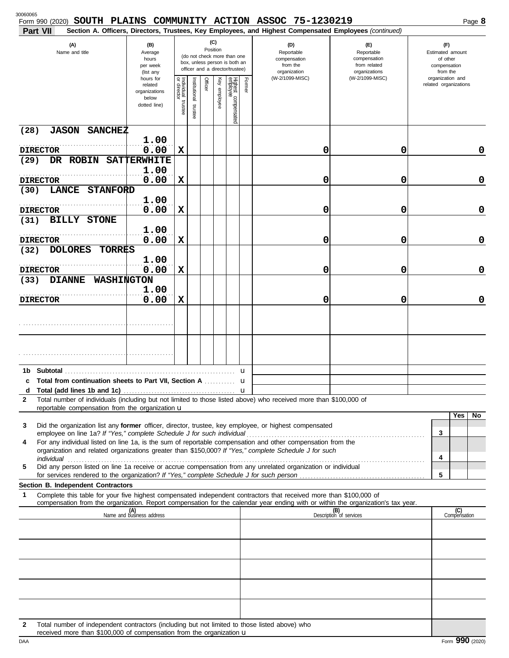| 30060065<br>Form 990 (2020)<br><b>Part VII</b>                                                                                                                                                                                                                                                                                          |                                                                |                                      |                         |                 |              |                                                                                                 |                  | SOUTH PLAINS COMMUNITY ACTION ASSOC 75-1230219<br>Section A. Officers, Directors, Trustees, Key Employees, and Highest Compensated Employees (continued) |                                                                    |                                                                 | Page 8              |
|-----------------------------------------------------------------------------------------------------------------------------------------------------------------------------------------------------------------------------------------------------------------------------------------------------------------------------------------|----------------------------------------------------------------|--------------------------------------|-------------------------|-----------------|--------------|-------------------------------------------------------------------------------------------------|------------------|----------------------------------------------------------------------------------------------------------------------------------------------------------|--------------------------------------------------------------------|-----------------------------------------------------------------|---------------------|
| (A)<br>Name and title                                                                                                                                                                                                                                                                                                                   | (B)<br>Average<br>hours<br>per week<br>(list any               |                                      |                         | (C)<br>Position |              | (do not check more than one<br>box, unless person is both an<br>officer and a director/trustee) |                  | (D)<br>Reportable<br>compensation<br>from the<br>organization                                                                                            | (E)<br>Reportable<br>compensation<br>from related<br>organizations | (F)<br>Estimated amount<br>of other<br>compensation<br>from the |                     |
|                                                                                                                                                                                                                                                                                                                                         | hours for<br>related<br>organizations<br>below<br>dotted line) | Individual<br>or director<br>trustee | nstitutional<br>trustee | Officer         | Key employee | Highest compensated<br>employee                                                                 | Former           | (W-2/1099-MISC)                                                                                                                                          | (W-2/1099-MISC)                                                    | organization and<br>related organizations                       |                     |
| (28)<br><b>JASON SANCHEZ</b>                                                                                                                                                                                                                                                                                                            |                                                                |                                      |                         |                 |              |                                                                                                 |                  |                                                                                                                                                          |                                                                    |                                                                 |                     |
| <b>DIRECTOR</b><br>DR ROBIN SATTERWHITE<br>(29)                                                                                                                                                                                                                                                                                         | 1.00<br>0.00                                                   | X                                    |                         |                 |              |                                                                                                 |                  | 0                                                                                                                                                        | 0                                                                  |                                                                 | 0                   |
|                                                                                                                                                                                                                                                                                                                                         | 1.00                                                           |                                      |                         |                 |              |                                                                                                 |                  |                                                                                                                                                          |                                                                    |                                                                 |                     |
| <b>DIRECTOR</b><br><b>LANCE STANFORD</b><br>(30)                                                                                                                                                                                                                                                                                        | 0.00                                                           | X                                    |                         |                 |              |                                                                                                 |                  | 0                                                                                                                                                        | 0                                                                  |                                                                 | 0                   |
| <b>DIRECTOR</b>                                                                                                                                                                                                                                                                                                                         | 1.00<br>0.00                                                   | X                                    |                         |                 |              |                                                                                                 |                  | 0                                                                                                                                                        | 0                                                                  |                                                                 | 0                   |
| <b>BILLY STONE</b><br>(31)                                                                                                                                                                                                                                                                                                              | 1.00                                                           |                                      |                         |                 |              |                                                                                                 |                  |                                                                                                                                                          |                                                                    |                                                                 |                     |
| <b>DIRECTOR</b><br><b>DOLORES</b><br><b>TORRES</b><br>(32)                                                                                                                                                                                                                                                                              | 0.00                                                           | X                                    |                         |                 |              |                                                                                                 |                  | 0                                                                                                                                                        | 0                                                                  |                                                                 | 0                   |
| <b>DIRECTOR</b>                                                                                                                                                                                                                                                                                                                         | 1.00<br>0.00                                                   | X                                    |                         |                 |              |                                                                                                 |                  | 0                                                                                                                                                        | 0                                                                  |                                                                 | 0                   |
| DIANNE WASHINGTON<br>(33)                                                                                                                                                                                                                                                                                                               | 1.00                                                           |                                      |                         |                 |              |                                                                                                 |                  |                                                                                                                                                          |                                                                    |                                                                 |                     |
| <b>DIRECTOR</b>                                                                                                                                                                                                                                                                                                                         | 0.00                                                           | х                                    |                         |                 |              |                                                                                                 |                  | 0                                                                                                                                                        | 0                                                                  |                                                                 | 0                   |
|                                                                                                                                                                                                                                                                                                                                         |                                                                |                                      |                         |                 |              |                                                                                                 |                  |                                                                                                                                                          |                                                                    |                                                                 |                     |
|                                                                                                                                                                                                                                                                                                                                         |                                                                |                                      |                         |                 |              |                                                                                                 |                  |                                                                                                                                                          |                                                                    |                                                                 |                     |
| Subtotal<br>1b.                                                                                                                                                                                                                                                                                                                         |                                                                |                                      |                         |                 |              |                                                                                                 | u                |                                                                                                                                                          |                                                                    |                                                                 |                     |
| c Total from continuation sheets to Part VII, Section A <i>minimal</i><br>d                                                                                                                                                                                                                                                             |                                                                |                                      |                         |                 |              |                                                                                                 | u<br>$\mathbf u$ |                                                                                                                                                          |                                                                    |                                                                 |                     |
| Total number of individuals (including but not limited to those listed above) who received more than \$100,000 of<br>2<br>reportable compensation from the organization <b>u</b>                                                                                                                                                        |                                                                |                                      |                         |                 |              |                                                                                                 |                  |                                                                                                                                                          |                                                                    |                                                                 |                     |
| Did the organization list any former officer, director, trustee, key employee, or highest compensated<br>3                                                                                                                                                                                                                              |                                                                |                                      |                         |                 |              |                                                                                                 |                  |                                                                                                                                                          |                                                                    |                                                                 | Yes<br>No.          |
| employee on line 1a? If "Yes," complete Schedule J for such individual [11] [11] content content in the 1a? If "Yes," complete Schedule J for such individual<br>For any individual listed on line 1a, is the sum of reportable compensation and other compensation from the<br>4                                                       |                                                                |                                      |                         |                 |              |                                                                                                 |                  |                                                                                                                                                          |                                                                    | 3                                                               |                     |
| organization and related organizations greater than \$150,000? If "Yes," complete Schedule J for such<br>individual with a construction of the construction of the construction of the construction of the construction of the construction of the construction of the construction of the construction of the construction of the cons |                                                                |                                      |                         |                 |              |                                                                                                 |                  |                                                                                                                                                          |                                                                    | 4                                                               |                     |
| Did any person listed on line 1a receive or accrue compensation from any unrelated organization or individual<br>5                                                                                                                                                                                                                      |                                                                |                                      |                         |                 |              |                                                                                                 |                  |                                                                                                                                                          |                                                                    | 5                                                               |                     |
| Section B. Independent Contractors                                                                                                                                                                                                                                                                                                      |                                                                |                                      |                         |                 |              |                                                                                                 |                  |                                                                                                                                                          |                                                                    |                                                                 |                     |
| Complete this table for your five highest compensated independent contractors that received more than \$100,000 of<br>1<br>compensation from the organization. Report compensation for the calendar year ending with or within the organization's tax year.                                                                             |                                                                |                                      |                         |                 |              |                                                                                                 |                  |                                                                                                                                                          |                                                                    |                                                                 |                     |
|                                                                                                                                                                                                                                                                                                                                         | (A)<br>Name and business address                               |                                      |                         |                 |              |                                                                                                 |                  |                                                                                                                                                          | (B)<br>Description of services                                     |                                                                 | (C)<br>Compensation |
|                                                                                                                                                                                                                                                                                                                                         |                                                                |                                      |                         |                 |              |                                                                                                 |                  |                                                                                                                                                          |                                                                    |                                                                 |                     |
|                                                                                                                                                                                                                                                                                                                                         |                                                                |                                      |                         |                 |              |                                                                                                 |                  |                                                                                                                                                          |                                                                    |                                                                 |                     |
|                                                                                                                                                                                                                                                                                                                                         |                                                                |                                      |                         |                 |              |                                                                                                 |                  |                                                                                                                                                          |                                                                    |                                                                 |                     |
|                                                                                                                                                                                                                                                                                                                                         |                                                                |                                      |                         |                 |              |                                                                                                 |                  |                                                                                                                                                          |                                                                    |                                                                 |                     |
| Total number of independent contractors (including but not limited to those listed above) who<br>2                                                                                                                                                                                                                                      |                                                                |                                      |                         |                 |              |                                                                                                 |                  |                                                                                                                                                          |                                                                    |                                                                 |                     |
| received more than \$100,000 of compensation from the organization <b>u</b>                                                                                                                                                                                                                                                             |                                                                |                                      |                         |                 |              |                                                                                                 |                  |                                                                                                                                                          |                                                                    |                                                                 |                     |

received more than \$100,000 of compensation from the organization u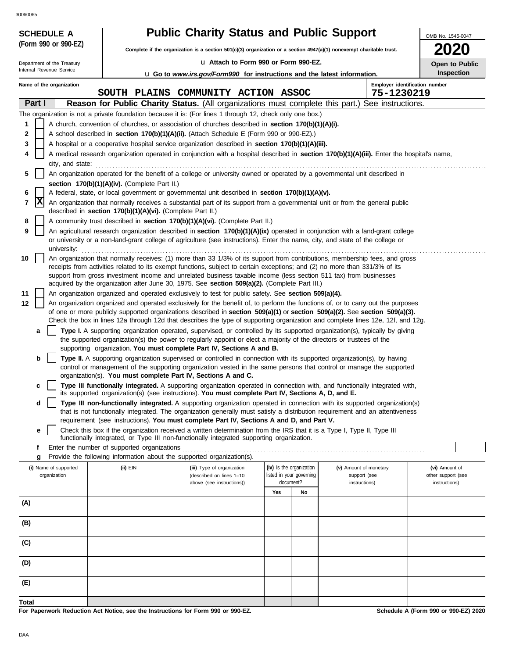| งงงงงงง<br><b>SCHEDULE A</b>          |                                                            | <b>Public Charity Status and Public Support</b>                                                                                                                                                                                                                 |     |                                                      |                                        |                                      |
|---------------------------------------|------------------------------------------------------------|-----------------------------------------------------------------------------------------------------------------------------------------------------------------------------------------------------------------------------------------------------------------|-----|------------------------------------------------------|----------------------------------------|--------------------------------------|
| (Form 990 or 990-EZ)                  |                                                            |                                                                                                                                                                                                                                                                 |     |                                                      |                                        | OMB No. 1545-0047                    |
| Department of the Treasury            |                                                            | Complete if the organization is a section $501(c)(3)$ organization or a section $4947(a)(1)$ nonexempt charitable trust.<br>La Attach to Form 990 or Form 990-EZ.                                                                                               |     |                                                      |                                        | 2UZU<br>Open to Public               |
| Internal Revenue Service              |                                                            | <b>u</b> Go to www.irs.gov/Form990 for instructions and the latest information.                                                                                                                                                                                 |     |                                                      |                                        | Inspection                           |
| Name of the organization              |                                                            |                                                                                                                                                                                                                                                                 |     |                                                      |                                        | Employer identification number       |
| Part I                                |                                                            | SOUTH PLAINS COMMUNITY ACTION ASSOC<br>Reason for Public Charity Status. (All organizations must complete this part.) See instructions.                                                                                                                         |     |                                                      | 75-1230219                             |                                      |
|                                       |                                                            | The organization is not a private foundation because it is: (For lines 1 through 12, check only one box.)                                                                                                                                                       |     |                                                      |                                        |                                      |
| 1                                     |                                                            | A church, convention of churches, or association of churches described in section 170(b)(1)(A)(i).                                                                                                                                                              |     |                                                      |                                        |                                      |
| 2                                     |                                                            | A school described in section 170(b)(1)(A)(ii). (Attach Schedule E (Form 990 or 990-EZ).)                                                                                                                                                                       |     |                                                      |                                        |                                      |
| 3<br>4                                |                                                            | A hospital or a cooperative hospital service organization described in section 170(b)(1)(A)(iii).<br>A medical research organization operated in conjunction with a hospital described in section 170(b)(1)(A)(iii). Enter the hospital's name,                 |     |                                                      |                                        |                                      |
| city, and state:                      |                                                            |                                                                                                                                                                                                                                                                 |     |                                                      |                                        |                                      |
| 5                                     |                                                            | An organization operated for the benefit of a college or university owned or operated by a governmental unit described in                                                                                                                                       |     |                                                      |                                        |                                      |
|                                       | section 170(b)(1)(A)(iv). (Complete Part II.)              |                                                                                                                                                                                                                                                                 |     |                                                      |                                        |                                      |
| 6<br>ΙX<br>7                          |                                                            | A federal, state, or local government or governmental unit described in section 170(b)(1)(A)(v).<br>An organization that normally receives a substantial part of its support from a governmental unit or from the general public                                |     |                                                      |                                        |                                      |
|                                       | described in section 170(b)(1)(A)(vi). (Complete Part II.) |                                                                                                                                                                                                                                                                 |     |                                                      |                                        |                                      |
| 8                                     |                                                            | A community trust described in section 170(b)(1)(A)(vi). (Complete Part II.)                                                                                                                                                                                    |     |                                                      |                                        |                                      |
| 9                                     |                                                            | An agricultural research organization described in section 170(b)(1)(A)(ix) operated in conjunction with a land-grant college<br>or university or a non-land-grant college of agriculture (see instructions). Enter the name, city, and state of the college or |     |                                                      |                                        |                                      |
| university:                           |                                                            |                                                                                                                                                                                                                                                                 |     |                                                      |                                        |                                      |
| 10                                    |                                                            | An organization that normally receives: (1) more than 33 1/3% of its support from contributions, membership fees, and gross                                                                                                                                     |     |                                                      |                                        |                                      |
|                                       |                                                            | receipts from activities related to its exempt functions, subject to certain exceptions; and (2) no more than 331/3% of its<br>support from gross investment income and unrelated business taxable income (less section 511 tax) from businesses                |     |                                                      |                                        |                                      |
|                                       |                                                            | acquired by the organization after June 30, 1975. See section 509(a)(2). (Complete Part III.)                                                                                                                                                                   |     |                                                      |                                        |                                      |
| 11                                    |                                                            | An organization organized and operated exclusively to test for public safety. See section 509(a)(4).                                                                                                                                                            |     |                                                      |                                        |                                      |
| 12                                    |                                                            | An organization organized and operated exclusively for the benefit of, to perform the functions of, or to carry out the purposes<br>of one or more publicly supported organizations described in section 509(a)(1) or section 509(a)(2). See section 509(a)(3). |     |                                                      |                                        |                                      |
|                                       |                                                            | Check the box in lines 12a through 12d that describes the type of supporting organization and complete lines 12e, 12f, and 12g.                                                                                                                                 |     |                                                      |                                        |                                      |
| a                                     |                                                            | Type I. A supporting organization operated, supervised, or controlled by its supported organization(s), typically by giving<br>the supported organization(s) the power to regularly appoint or elect a majority of the directors or trustees of the             |     |                                                      |                                        |                                      |
|                                       |                                                            | supporting organization. You must complete Part IV, Sections A and B.                                                                                                                                                                                           |     |                                                      |                                        |                                      |
| b                                     |                                                            | Type II. A supporting organization supervised or controlled in connection with its supported organization(s), by having                                                                                                                                         |     |                                                      |                                        |                                      |
|                                       |                                                            | control or management of the supporting organization vested in the same persons that control or manage the supported<br>organization(s). You must complete Part IV, Sections A and C.                                                                           |     |                                                      |                                        |                                      |
| c                                     |                                                            | Type III functionally integrated. A supporting organization operated in connection with, and functionally integrated with,                                                                                                                                      |     |                                                      |                                        |                                      |
|                                       |                                                            | its supported organization(s) (see instructions). You must complete Part IV, Sections A, D, and E.                                                                                                                                                              |     |                                                      |                                        |                                      |
| d                                     |                                                            | Type III non-functionally integrated. A supporting organization operated in connection with its supported organization(s)<br>that is not functionally integrated. The organization generally must satisfy a distribution requirement and an attentiveness       |     |                                                      |                                        |                                      |
|                                       |                                                            | requirement (see instructions). You must complete Part IV, Sections A and D, and Part V.                                                                                                                                                                        |     |                                                      |                                        |                                      |
| e                                     |                                                            | Check this box if the organization received a written determination from the IRS that it is a Type I, Type II, Type III<br>functionally integrated, or Type III non-functionally integrated supporting organization.                                            |     |                                                      |                                        |                                      |
| f                                     | Enter the number of supported organizations                |                                                                                                                                                                                                                                                                 |     |                                                      |                                        |                                      |
| g                                     |                                                            | Provide the following information about the supported organization(s).                                                                                                                                                                                          |     |                                                      |                                        |                                      |
| (i) Name of supported<br>organization | (ii) EIN                                                   | (iii) Type of organization<br>(described on lines 1-10                                                                                                                                                                                                          |     | (iv) Is the organization<br>listed in your governing | (v) Amount of monetary<br>support (see | (vi) Amount of<br>other support (see |
|                                       |                                                            | above (see instructions))                                                                                                                                                                                                                                       |     | document?                                            | instructions)                          | instructions)                        |
|                                       |                                                            |                                                                                                                                                                                                                                                                 | Yes | No                                                   |                                        |                                      |
| (A)                                   |                                                            |                                                                                                                                                                                                                                                                 |     |                                                      |                                        |                                      |
| (B)                                   |                                                            |                                                                                                                                                                                                                                                                 |     |                                                      |                                        |                                      |
|                                       |                                                            |                                                                                                                                                                                                                                                                 |     |                                                      |                                        |                                      |
| (C)                                   |                                                            |                                                                                                                                                                                                                                                                 |     |                                                      |                                        |                                      |
| (D)                                   |                                                            |                                                                                                                                                                                                                                                                 |     |                                                      |                                        |                                      |
|                                       |                                                            |                                                                                                                                                                                                                                                                 |     |                                                      |                                        |                                      |
| (E)                                   |                                                            |                                                                                                                                                                                                                                                                 |     |                                                      |                                        |                                      |
| <b>Total</b>                          |                                                            |                                                                                                                                                                                                                                                                 |     |                                                      |                                        |                                      |

**For Paperwork Reduction Act Notice, see the Instructions for Form 990 or 990-EZ.**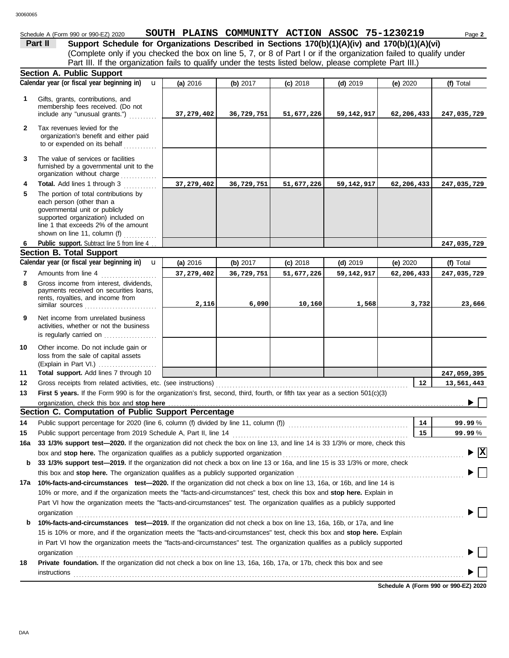# Schedule A (Form 990 or 990-EZ) 2020 **SOUTH PLAINS COMMUNITY ACTION ASSOC 75-1230219** Page 2

### (Complete only if you checked the box on line 5, 7, or 8 of Part I or if the organization failed to qualify under **Part II Support Schedule for Organizations Described in Sections 170(b)(1)(A)(iv) and 170(b)(1)(A)(vi)** Part III. If the organization fails to qualify under the tests listed below, please complete Part III.)

|              | <b>Section A. Public Support</b>                                                                                                                                                                                                                           |            |            |            |              |            |                                        |
|--------------|------------------------------------------------------------------------------------------------------------------------------------------------------------------------------------------------------------------------------------------------------------|------------|------------|------------|--------------|------------|----------------------------------------|
|              | Calendar year (or fiscal year beginning in)<br>$\mathbf{u}$                                                                                                                                                                                                | (a) 2016   | (b) 2017   | $(c)$ 2018 | $(d)$ 2019   | (e) 2020   | (f) Total                              |
| 1            | Gifts, grants, contributions, and<br>membership fees received. (Do not<br>include any "unusual grants.")                                                                                                                                                   | 37,279,402 | 36,729,751 | 51,677,226 | 59,142,917   | 62,206,433 | 247,035,729                            |
| $\mathbf{2}$ | Tax revenues levied for the<br>organization's benefit and either paid<br>to or expended on its behalf                                                                                                                                                      |            |            |            |              |            |                                        |
| 3            | The value of services or facilities<br>furnished by a governmental unit to the<br>organization without charge                                                                                                                                              |            |            |            |              |            |                                        |
| 4            | Total. Add lines 1 through 3                                                                                                                                                                                                                               | 37,279,402 | 36,729,751 | 51,677,226 | 59, 142, 917 | 62,206,433 | 247,035,729                            |
| 5            | The portion of total contributions by<br>each person (other than a<br>governmental unit or publicly<br>supported organization) included on<br>line 1 that exceeds 2% of the amount<br>shown on line 11, column (f) $\ldots$                                |            |            |            |              |            |                                        |
| 6            | Public support. Subtract line 5 from line 4                                                                                                                                                                                                                |            |            |            |              |            | 247,035,729                            |
|              | <b>Section B. Total Support</b>                                                                                                                                                                                                                            |            |            |            |              |            |                                        |
|              | Calendar year (or fiscal year beginning in)<br>$\mathbf{u}$                                                                                                                                                                                                | (a) 2016   | (b) $2017$ | $(c)$ 2018 | $(d)$ 2019   | (e) 2020   | (f) Total                              |
| 7            | Amounts from line 4                                                                                                                                                                                                                                        | 37,279,402 | 36,729,751 | 51,677,226 | 59, 142, 917 | 62,206,433 | 247,035,729                            |
| 8            | Gross income from interest, dividends,<br>payments received on securities loans,<br>rents, royalties, and income from<br>similar sources                                                                                                                   | 2,116      | 6,090      | 10,160     | 1,568        | 3,732      | 23,666                                 |
| 9            | Net income from unrelated business<br>activities, whether or not the business<br>is regularly carried on                                                                                                                                                   |            |            |            |              |            |                                        |
| 10           | Other income. Do not include gain or<br>loss from the sale of capital assets<br>(Explain in Part VI.)                                                                                                                                                      |            |            |            |              |            |                                        |
| 11           | Total support. Add lines 7 through 10                                                                                                                                                                                                                      |            |            |            |              |            | 247,059,395                            |
| 12           | Gross receipts from related activities, etc. (see instructions)                                                                                                                                                                                            |            |            |            |              | 12         | 13,561,443                             |
| 13           | First 5 years. If the Form 990 is for the organization's first, second, third, fourth, or fifth tax year as a section 501(c)(3)                                                                                                                            |            |            |            |              |            |                                        |
|              |                                                                                                                                                                                                                                                            |            |            |            |              |            |                                        |
|              | Section C. Computation of Public Support Percentage                                                                                                                                                                                                        |            |            |            |              |            |                                        |
| 14           |                                                                                                                                                                                                                                                            |            |            |            |              | 14         | 99.99%                                 |
| 15           |                                                                                                                                                                                                                                                            |            |            |            |              | 15         | 99.99%                                 |
|              | 16a 33 1/3% support test-2020. If the organization did not check the box on line 13, and line 14 is 33 1/3% or more, check this                                                                                                                            |            |            |            |              |            |                                        |
|              | box and stop here. The organization qualifies as a publicly supported organization                                                                                                                                                                         |            |            |            |              |            | $\blacktriangleright \boxed{\text{X}}$ |
| b            | 33 1/3% support test-2019. If the organization did not check a box on line 13 or 16a, and line 15 is 33 1/3% or more, check                                                                                                                                |            |            |            |              |            |                                        |
|              |                                                                                                                                                                                                                                                            |            |            |            |              |            |                                        |
|              | 17a 10%-facts-and-circumstances test-2020. If the organization did not check a box on line 13, 16a, or 16b, and line 14 is                                                                                                                                 |            |            |            |              |            |                                        |
|              | 10% or more, and if the organization meets the "facts-and-circumstances" test, check this box and stop here. Explain in                                                                                                                                    |            |            |            |              |            |                                        |
|              | Part VI how the organization meets the "facts-and-circumstances" test. The organization qualifies as a publicly supported<br>organization www.commutation.com/www.commutation.com/www.commutation.com/www.commutation.com/www.commutation.com              |            |            |            |              |            |                                        |
| b            | 10%-facts-and-circumstances test-2019. If the organization did not check a box on line 13, 16a, 16b, or 17a, and line                                                                                                                                      |            |            |            |              |            |                                        |
|              | 15 is 10% or more, and if the organization meets the "facts-and-circumstances" test, check this box and stop here. Explain<br>in Part VI how the organization meets the "facts-and-circumstances" test. The organization qualifies as a publicly supported |            |            |            |              |            |                                        |
|              | organization<br><u>expanization</u>                                                                                                                                                                                                                        |            |            |            |              |            |                                        |
| 18           | Private foundation. If the organization did not check a box on line 13, 16a, 16b, 17a, or 17b, check this box and see                                                                                                                                      |            |            |            |              |            |                                        |
|              |                                                                                                                                                                                                                                                            |            |            |            |              |            |                                        |
|              |                                                                                                                                                                                                                                                            |            |            |            |              |            |                                        |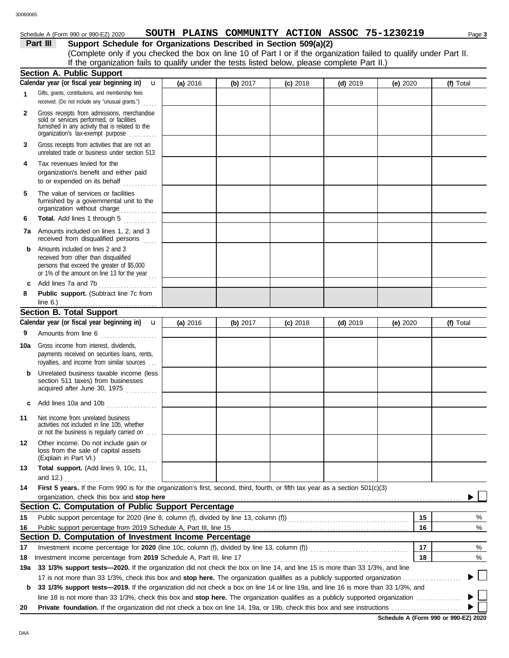# Schedule A (Form 990 or 990-EZ) 2020 **SOUTH PLAINS COMMUNITY ACTION ASSOC 75-1230219** Page 3

**Part III** Support Schedule for Organizations Described in Section 509(a)(2) (Complete only if you checked the box on line 10 of Part I or if the organization failed to qualify under Part II. If the organization fails to qualify under the tests listed below, please complete Part II.)

|     | <b>Section A. Public Support</b>                                                                                                                                                  |          |            |            |            |            |      |           |
|-----|-----------------------------------------------------------------------------------------------------------------------------------------------------------------------------------|----------|------------|------------|------------|------------|------|-----------|
|     | Calendar year (or fiscal year beginning in)<br>$\mathbf{u}$                                                                                                                       | (a) 2016 | (b) $2017$ | $(c)$ 2018 | $(d)$ 2019 | (e) $2020$ |      | (f) Total |
| 1   | Gifts, grants, contributions, and membership fees                                                                                                                                 |          |            |            |            |            |      |           |
|     | received. (Do not include any "unusual grants.")                                                                                                                                  |          |            |            |            |            |      |           |
| 2   | Gross receipts from admissions, merchandise<br>sold or services performed, or facilities<br>furnished in any activity that is related to the<br>organization's tax-exempt purpose |          |            |            |            |            |      |           |
| 3   | Gross receipts from activities that are not an<br>unrelated trade or business under section 513                                                                                   |          |            |            |            |            |      |           |
| 4   | Tax revenues levied for the<br>organization's benefit and either paid<br>to or expended on its behalf<br>and a straight                                                           |          |            |            |            |            |      |           |
| 5   | The value of services or facilities<br>furnished by a governmental unit to the<br>organization without charge                                                                     |          |            |            |            |            |      |           |
| 6   | Total. Add lines 1 through 5                                                                                                                                                      |          |            |            |            |            |      |           |
| 7а  | Amounts included on lines 1, 2, and 3<br>received from disqualified persons                                                                                                       |          |            |            |            |            |      |           |
| b   | Amounts included on lines 2 and 3<br>received from other than disqualified<br>persons that exceed the greater of \$5,000<br>or 1% of the amount on line 13 for the year           |          |            |            |            |            |      |           |
| c   | Add lines 7a and 7b                                                                                                                                                               |          |            |            |            |            |      |           |
| 8   | Public support. (Subtract line 7c from                                                                                                                                            |          |            |            |            |            |      |           |
|     | $\mathsf{line}\ 6.)\ldots$                                                                                                                                                        |          |            |            |            |            |      |           |
|     | <b>Section B. Total Support</b><br>Calendar year (or fiscal year beginning in) $\mathbf u$                                                                                        |          |            |            |            |            |      |           |
|     |                                                                                                                                                                                   | (a) 2016 | (b) 2017   | $(c)$ 2018 | $(d)$ 2019 | (e) $2020$ |      | (f) Total |
| 9   | Amounts from line 6                                                                                                                                                               |          |            |            |            |            |      |           |
| 10a | Gross income from interest, dividends,<br>payments received on securities loans, rents,<br>royalties, and income from similar sources                                             |          |            |            |            |            |      |           |
| b   | Unrelated business taxable income (less<br>section 511 taxes) from businesses<br>acquired after June 30, 1975                                                                     |          |            |            |            |            |      |           |
|     | Add lines 10a and 10b                                                                                                                                                             |          |            |            |            |            |      |           |
| 11  | Net income from unrelated business<br>activities not included in line 10b, whether<br>or not the business is regularly carried on                                                 |          |            |            |            |            |      |           |
| 12  | Other income. Do not include gain or<br>loss from the sale of capital assets<br>(Explain in Part VI.)                                                                             |          |            |            |            |            |      |           |
| 13  | Total support. (Add lines 9, 10c, 11,                                                                                                                                             |          |            |            |            |            |      |           |
|     | and 12.) $\ldots$                                                                                                                                                                 |          |            |            |            |            |      |           |
| 14  | First 5 years. If the Form 990 is for the organization's first, second, third, fourth, or fifth tax year as a section 501(c)(3)<br>organization, check this box and stop here     |          |            |            |            |            |      |           |
|     | Section C. Computation of Public Support Percentage                                                                                                                               |          |            |            |            |            |      |           |
| 15  |                                                                                                                                                                                   |          |            |            |            |            | 15   | %         |
| 16  |                                                                                                                                                                                   |          |            |            |            |            | 16   | %         |
|     | Section D. Computation of Investment Income Percentage                                                                                                                            |          |            |            |            |            |      |           |
| 17  |                                                                                                                                                                                   |          |            |            |            |            | $17$ | %         |
| 18  |                                                                                                                                                                                   |          |            |            |            |            | 18   | %         |
| 19a | 33 1/3% support tests-2020. If the organization did not check the box on line 14, and line 15 is more than 33 1/3%, and line                                                      |          |            |            |            |            |      |           |
|     |                                                                                                                                                                                   |          |            |            |            |            |      |           |
| b   | 33 1/3% support tests-2019. If the organization did not check a box on line 14 or line 19a, and line 16 is more than 33 1/3%, and                                                 |          |            |            |            |            |      |           |
|     | line 18 is not more than 33 1/3%, check this box and stop here. The organization qualifies as a publicly supported organization                                                   |          |            |            |            |            |      |           |
| 20  |                                                                                                                                                                                   |          |            |            |            |            |      |           |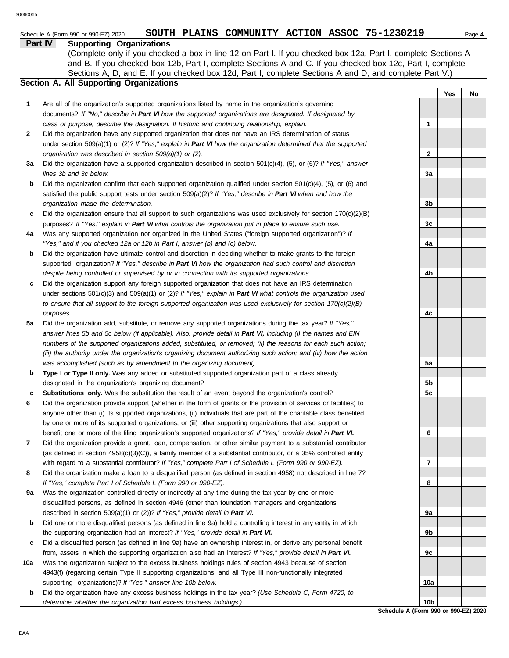#### **Part IV Supporting Organizations**

Sections A, D, and E. If you checked box 12d, Part I, complete Sections A and D, and complete Part V.) (Complete only if you checked a box in line 12 on Part I. If you checked box 12a, Part I, complete Sections A and B. If you checked box 12b, Part I, complete Sections A and C. If you checked box 12c, Part I, complete

### **Section A. All Supporting Organizations**

- Are all of the organization's supported organizations listed by name in the organization's governing documents? *If "No," describe in Part VI how the supported organizations are designated. If designated by class or purpose, describe the designation. If historic and continuing relationship, explain.* **1**
- Did the organization have any supported organization that does not have an IRS determination of status under section 509(a)(1) or (2)? *If "Yes," explain in Part VI how the organization determined that the supported organization was described in section 509(a)(1) or (2).* **2**
- **3a** Did the organization have a supported organization described in section 501(c)(4), (5), or (6)? *If "Yes," answer lines 3b and 3c below.*
- **b** Did the organization confirm that each supported organization qualified under section  $501(c)(4)$ ,  $(5)$ , or  $(6)$  and satisfied the public support tests under section 509(a)(2)? *If "Yes," describe in Part VI when and how the organization made the determination.*
- **c** Did the organization ensure that all support to such organizations was used exclusively for section  $170(c)(2)(B)$ purposes? *If "Yes," explain in Part VI what controls the organization put in place to ensure such use.*
- **4a** Was any supported organization not organized in the United States ("foreign supported organization")? *If "Yes," and if you checked 12a or 12b in Part I, answer (b) and (c) below.*
- **b** Did the organization have ultimate control and discretion in deciding whether to make grants to the foreign supported organization? *If "Yes," describe in Part VI how the organization had such control and discretion despite being controlled or supervised by or in connection with its supported organizations.*
- **c** Did the organization support any foreign supported organization that does not have an IRS determination under sections 501(c)(3) and 509(a)(1) or (2)? *If "Yes," explain in Part VI what controls the organization used to ensure that all support to the foreign supported organization was used exclusively for section 170(c)(2)(B) purposes.*
- **5a** Did the organization add, substitute, or remove any supported organizations during the tax year? *If "Yes," answer lines 5b and 5c below (if applicable). Also, provide detail in Part VI, including (i) the names and EIN numbers of the supported organizations added, substituted, or removed; (ii) the reasons for each such action; (iii) the authority under the organization's organizing document authorizing such action; and (iv) how the action was accomplished (such as by amendment to the organizing document).*
- **b Type I or Type II only.** Was any added or substituted supported organization part of a class already designated in the organization's organizing document?
- **c** Substitutions only. Was the substitution the result of an event beyond the organization's control?
- **6** Did the organization provide support (whether in the form of grants or the provision of services or facilities) to anyone other than (i) its supported organizations, (ii) individuals that are part of the charitable class benefited by one or more of its supported organizations, or (iii) other supporting organizations that also support or benefit one or more of the filing organization's supported organizations? *If "Yes," provide detail in Part VI.*
- **7** Did the organization provide a grant, loan, compensation, or other similar payment to a substantial contributor (as defined in section 4958(c)(3)(C)), a family member of a substantial contributor, or a 35% controlled entity with regard to a substantial contributor? *If "Yes," complete Part I of Schedule L (Form 990 or 990-EZ).*
- **8** Did the organization make a loan to a disqualified person (as defined in section 4958) not described in line 7? *If "Yes," complete Part I of Schedule L (Form 990 or 990-EZ).*
- **9a** Was the organization controlled directly or indirectly at any time during the tax year by one or more disqualified persons, as defined in section 4946 (other than foundation managers and organizations described in section 509(a)(1) or (2))? *If "Yes," provide detail in Part VI.*
- **b** Did one or more disqualified persons (as defined in line 9a) hold a controlling interest in any entity in which the supporting organization had an interest? *If "Yes," provide detail in Part VI.*
- **c** Did a disqualified person (as defined in line 9a) have an ownership interest in, or derive any personal benefit from, assets in which the supporting organization also had an interest? *If "Yes," provide detail in Part VI.*
- **10a** Was the organization subject to the excess business holdings rules of section 4943 because of section 4943(f) (regarding certain Type II supporting organizations, and all Type III non-functionally integrated supporting organizations)? *If "Yes," answer line 10b below.*
- **b** Did the organization have any excess business holdings in the tax year? *(Use Schedule C, Form 4720, to determine whether the organization had excess business holdings.)*

|                 | $Yes$ | <u>No</u> |
|-----------------|-------|-----------|
|                 |       |           |
|                 |       |           |
| 1               |       |           |
|                 |       |           |
| $\overline{2}$  |       |           |
| <u>3a</u>       |       |           |
|                 |       |           |
|                 |       |           |
| <u>3b</u>       |       |           |
| <u>3c</u>       |       |           |
|                 |       |           |
| <u>4a</u>       |       |           |
|                 |       |           |
| 4 <sub>b</sub>  |       |           |
|                 |       |           |
|                 |       |           |
| $rac{4c}{2}$    |       |           |
|                 |       |           |
|                 |       |           |
|                 |       |           |
| <u>5a</u>       |       |           |
| <u>5b</u>       |       |           |
| <u>5c</u>       |       |           |
|                 |       |           |
|                 |       |           |
| $\overline{6}$  |       |           |
|                 |       |           |
| $\overline{1}$  |       |           |
|                 |       |           |
| 8               |       |           |
|                 |       |           |
| <u>9a</u>       |       |           |
| <u>9b</u>       |       |           |
|                 |       |           |
| <u>9c</u>       |       |           |
|                 |       |           |
| <u>10a</u>      |       |           |
| 10 <sub>b</sub> |       |           |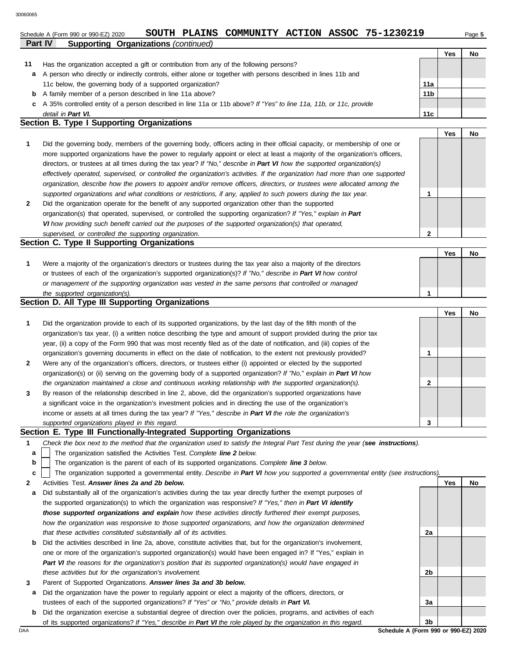# Schedule A (Form 990 or 990-EZ) 2020 **SOUTH PLAINS COMMUNITY ACTION ASSOC 75-1230219** Page 5

| <b>Part IV</b><br><b>Supporting Organizations (continued)</b> |                                                                                                                      |     |     |    |  |  |
|---------------------------------------------------------------|----------------------------------------------------------------------------------------------------------------------|-----|-----|----|--|--|
|                                                               |                                                                                                                      |     | Yes | No |  |  |
| 11                                                            | Has the organization accepted a gift or contribution from any of the following persons?                              |     |     |    |  |  |
| а                                                             | A person who directly or indirectly controls, either alone or together with persons described in lines 11b and       |     |     |    |  |  |
|                                                               | 11c below, the governing body of a supported organization?                                                           | 11a |     |    |  |  |
|                                                               | <b>b</b> A family member of a person described in line 11a above?                                                    | 11b |     |    |  |  |
|                                                               | c A 35% controlled entity of a person described in line 11a or 11b above? If "Yes" to line 11a, 11b, or 11c, provide |     |     |    |  |  |
|                                                               | detail in Part VI.                                                                                                   | 11c |     |    |  |  |

#### **Section B. Type I Supporting Organizations**

|              |                                                                                                                                | Yes | No |
|--------------|--------------------------------------------------------------------------------------------------------------------------------|-----|----|
| -1           | Did the governing body, members of the governing body, officers acting in their official capacity, or membership of one or     |     |    |
|              | more supported organizations have the power to regularly appoint or elect at least a majority of the organization's officers,  |     |    |
|              | directors, or trustees at all times during the tax year? If "No," describe in Part VI how the supported organization(s)        |     |    |
|              | effectively operated, supervised, or controlled the organization's activities. If the organization had more than one supported |     |    |
|              | organization, describe how the powers to appoint and/or remove officers, directors, or trustees were allocated among the       |     |    |
|              | supported organizations and what conditions or restrictions, if any, applied to such powers during the tax year.               |     |    |
| $\mathbf{2}$ | Did the organization operate for the benefit of any supported organization other than the supported                            |     |    |
|              | organization(s) that operated, supervised, or controlled the supporting organization? If "Yes," explain in Part                |     |    |

*VI how providing such benefit carried out the purposes of the supported organization(s) that operated,* 

#### *supervised, or controlled the supporting organization.* **Section C. Type II Supporting Organizations**

| Were a majority of the organization's directors or trustees during the tax year also a majority of the directors |  |  |
|------------------------------------------------------------------------------------------------------------------|--|--|
| or trustees of each of the organization's supported organization(s)? If "No," describe in Part VI how control    |  |  |
| or management of the supporting organization was vested in the same persons that controlled or managed           |  |  |
| the supported organization(s).                                                                                   |  |  |

### **Section D. All Type III Supporting Organizations**

|              |                                                                                                                        |   | Yes | No |
|--------------|------------------------------------------------------------------------------------------------------------------------|---|-----|----|
| $\mathbf 1$  | Did the organization provide to each of its supported organizations, by the last day of the fifth month of the         |   |     |    |
|              | organization's tax year, (i) a written notice describing the type and amount of support provided during the prior tax  |   |     |    |
|              | year, (ii) a copy of the Form 990 that was most recently filed as of the date of notification, and (iii) copies of the |   |     |    |
|              | organization's governing documents in effect on the date of notification, to the extent not previously provided?       |   |     |    |
| $\mathbf{2}$ | Were any of the organization's officers, directors, or trustees either (i) appointed or elected by the supported       |   |     |    |
|              | organization(s) or (ii) serving on the governing body of a supported organization? If "No," explain in Part VI how     |   |     |    |
|              | the organization maintained a close and continuous working relationship with the supported organization(s).            | 2 |     |    |
| $\mathbf{3}$ | By reason of the relationship described in line 2, above, did the organization's supported organizations have          |   |     |    |
|              | a significant voice in the organization's investment policies and in directing the use of the organization's           |   |     |    |
|              | income or assets at all times during the tax year? If "Yes," describe in Part VI the role the organization's           |   |     |    |
|              | supported organizations played in this regard.                                                                         | 3 |     |    |

#### **Section E. Type III Functionally-Integrated Supporting Organizations**

- **1** *Check the box next to the method that the organization used to satisfy the Integral Part Test during the year (see instructions).*
	- The organization satisfied the Activities Test. *Complete line 2 below.* **a**
	- The organization is the parent of each of its supported organizations. *Complete line 3 below.* **b**
	- The organization supported a governmental entity. *Describe in Part VI how you supported a governmental entity (see instructions).* **c**
- **2** Activities Test. *Answer lines 2a and 2b below.*
- **a** Did substantially all of the organization's activities during the tax year directly further the exempt purposes of the supported organization(s) to which the organization was responsive? *If "Yes," then in Part VI identify those supported organizations and explain how these activities directly furthered their exempt purposes,*  how the organization was responsive to those supported organizations, and how the organization determined *that these activities constituted substantially all of its activities.*
- **b** Did the activities described in line 2a, above, constitute activities that, but for the organization's involvement, one or more of the organization's supported organization(s) would have been engaged in? If "Yes," explain in *Part VI the reasons for the organization's position that its supported organization(s) would have engaged in these activities but for the organization's involvement.*
- **3** Parent of Supported Organizations. *Answer lines 3a and 3b below.*
- **a** Did the organization have the power to regularly appoint or elect a majority of the officers, directors, or trustees of each of the supported organizations? *If "Yes" or "No," provide details in Part VI.*
- **b** Did the organization exercise a substantial degree of direction over the policies, programs, and activities of each of its supported organizations? *If "Yes," describe in Part VI the role played by the organization in this regard.*

DAA **Schedule A (Form 990 or 990-EZ) 2020 3b**

**2a**

**2b**

**3a**

**Yes No**

**2**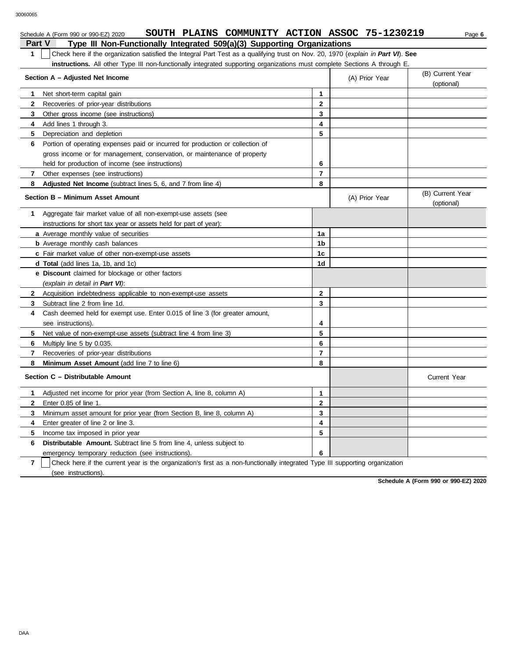|                                 | SOUTH PLAINS COMMUNITY ACTION ASSOC 75-1230219<br>Schedule A (Form 990 or 990-EZ) 2020                                           |                         |                | Page 6                         |  |  |  |  |  |
|---------------------------------|----------------------------------------------------------------------------------------------------------------------------------|-------------------------|----------------|--------------------------------|--|--|--|--|--|
| <b>Part V</b>                   | Type III Non-Functionally Integrated 509(a)(3) Supporting Organizations                                                          |                         |                |                                |  |  |  |  |  |
| $\mathbf{1}$                    | Check here if the organization satisfied the Integral Part Test as a qualifying trust on Nov. 20, 1970 (explain in Part VI). See |                         |                |                                |  |  |  |  |  |
|                                 | instructions. All other Type III non-functionally integrated supporting organizations must complete Sections A through E.        |                         |                |                                |  |  |  |  |  |
| Section A - Adjusted Net Income | (B) Current Year<br>(optional)                                                                                                   |                         |                |                                |  |  |  |  |  |
| 1                               | Net short-term capital gain                                                                                                      | 1                       |                |                                |  |  |  |  |  |
| $\mathbf{2}$                    | Recoveries of prior-year distributions                                                                                           | $\overline{2}$          |                |                                |  |  |  |  |  |
| $3^{\circ}$                     | Other gross income (see instructions)                                                                                            | 3                       |                |                                |  |  |  |  |  |
| 4                               | Add lines 1 through 3.                                                                                                           | 4                       |                |                                |  |  |  |  |  |
| 5                               | Depreciation and depletion                                                                                                       | 5                       |                |                                |  |  |  |  |  |
| 6                               | Portion of operating expenses paid or incurred for production or collection of                                                   |                         |                |                                |  |  |  |  |  |
|                                 | gross income or for management, conservation, or maintenance of property                                                         |                         |                |                                |  |  |  |  |  |
|                                 | held for production of income (see instructions)                                                                                 | 6                       |                |                                |  |  |  |  |  |
| 7                               | Other expenses (see instructions)                                                                                                | $\overline{7}$          |                |                                |  |  |  |  |  |
| 8                               | Adjusted Net Income (subtract lines 5, 6, and 7 from line 4)                                                                     | 8                       |                |                                |  |  |  |  |  |
|                                 | Section B - Minimum Asset Amount                                                                                                 |                         | (A) Prior Year | (B) Current Year<br>(optional) |  |  |  |  |  |
| 1                               | Aggregate fair market value of all non-exempt-use assets (see                                                                    |                         |                |                                |  |  |  |  |  |
|                                 | instructions for short tax year or assets held for part of year):                                                                |                         |                |                                |  |  |  |  |  |
|                                 | a Average monthly value of securities                                                                                            | 1a                      |                |                                |  |  |  |  |  |
|                                 | <b>b</b> Average monthly cash balances                                                                                           | 1b                      |                |                                |  |  |  |  |  |
|                                 | c Fair market value of other non-exempt-use assets                                                                               | 1 <sub>c</sub>          |                |                                |  |  |  |  |  |
|                                 | d Total (add lines 1a, 1b, and 1c)                                                                                               | 1d                      |                |                                |  |  |  |  |  |
|                                 | e Discount claimed for blockage or other factors                                                                                 |                         |                |                                |  |  |  |  |  |
|                                 | (explain in detail in Part VI).                                                                                                  |                         |                |                                |  |  |  |  |  |
| $\mathbf{2}$                    | Acquisition indebtedness applicable to non-exempt-use assets                                                                     | $\mathbf{2}$            |                |                                |  |  |  |  |  |
| 3                               | Subtract line 2 from line 1d.                                                                                                    | 3                       |                |                                |  |  |  |  |  |
| 4                               | Cash deemed held for exempt use. Enter 0.015 of line 3 (for greater amount,                                                      |                         |                |                                |  |  |  |  |  |
|                                 | see instructions).                                                                                                               | 4                       |                |                                |  |  |  |  |  |
| 5                               | Net value of non-exempt-use assets (subtract line 4 from line 3)                                                                 | 5                       |                |                                |  |  |  |  |  |
| 6                               | Multiply line 5 by 0.035.                                                                                                        | 6                       |                |                                |  |  |  |  |  |
| $\overline{7}$                  | Recoveries of prior-year distributions                                                                                           | $\overline{\mathbf{r}}$ |                |                                |  |  |  |  |  |
| 8                               | <b>Minimum Asset Amount</b> (add line 7 to line 6)                                                                               | 8                       |                |                                |  |  |  |  |  |
|                                 | Section C - Distributable Amount                                                                                                 |                         |                | <b>Current Year</b>            |  |  |  |  |  |
| 1.                              | Adjusted net income for prior year (from Section A, line 8, column A)                                                            | 1                       |                |                                |  |  |  |  |  |
| $\mathbf{2}$                    | Enter 0.85 of line 1.                                                                                                            | $\overline{2}$          |                |                                |  |  |  |  |  |
| 3                               | Minimum asset amount for prior year (from Section B, line 8, column A)                                                           | 3                       |                |                                |  |  |  |  |  |
| 4                               | Enter greater of line 2 or line 3.                                                                                               | 4                       |                |                                |  |  |  |  |  |
| 5                               | Income tax imposed in prior year                                                                                                 | 5                       |                |                                |  |  |  |  |  |
| 6                               | Distributable Amount. Subtract line 5 from line 4, unless subject to                                                             |                         |                |                                |  |  |  |  |  |
|                                 | emergency temporary reduction (see instructions).                                                                                | 6                       |                |                                |  |  |  |  |  |

**7** | Check here if the current year is the organization's first as a non-functionally integrated Type III supporting organization (see instructions).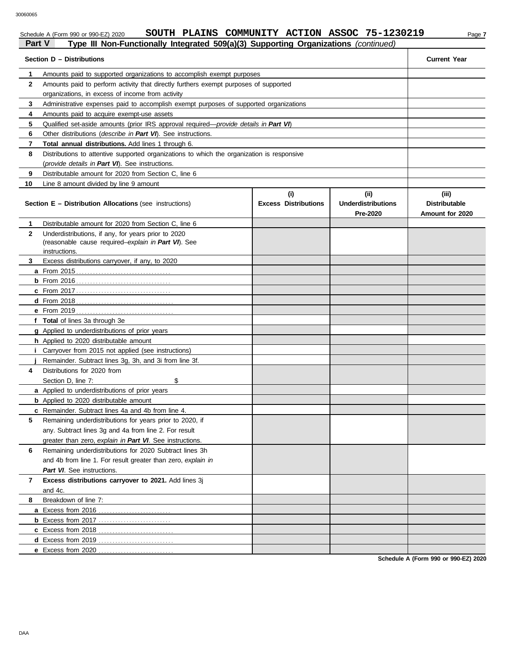# Schedule A (Form 990 or 990-EZ) 2020 **SOUTH PLAINS COMMUNITY ACTION ASSOC 75-1230219** Page 7

#### **Part V Type III Non-Functionally Integrated 509(a)(3) Supporting Organizations** *(continued)* **Section D – Distributions Current Year 1 2 3 4 5 6 7 8 9 10** Amounts paid to supported organizations to accomplish exempt purposes Amounts paid to perform activity that directly furthers exempt purposes of supported organizations, in excess of income from activity Administrative expenses paid to accomplish exempt purposes of supported organizations Amounts paid to acquire exempt-use assets Qualified set-aside amounts (prior IRS approval required—*provide details in Part VI*) Other distributions (*describe in Part VI*). See instructions. **Total annual distributions.** Add lines 1 through 6. Distributions to attentive supported organizations to which the organization is responsive (*provide details in Part VI*). See instructions. Distributable amount for 2020 from Section C, line 6 Line 8 amount divided by line 9 amount **Section E – Distribution Allocations** (see instructions) **Excess Distributions (i) (ii) Underdistributions Pre-2020 (iii) Distributable Amount for 2020 8 7 6** Remaining underdistributions for 2020 Subtract lines 3h **5 4 3** Excess distributions carryover, if any, to 2020 **2 1 a** From 2015 . . . . . . . . . . . . . . . . . . . . . . . . . . . . . . . . . . **b** From 2016 . . . . . . . . . . . . . . . . . . . . . . . . . . . . . . . . . . **c** From 2017 . . . . . . . . . . . . . . . . . . . . . . . . . . . . . . . . . . **d** From 2018 . . . . . . . . . . . . . . . . . . . . . . . . . . . . . . . . . . . **e** From 2019 . . . . . . . . . . . . . . . . . . . . . . . . . . . . . . . . . . . **f Total** of lines 3a through 3e **g** Applied to underdistributions of prior years **h** Applied to 2020 distributable amount **i** Carryover from 2015 not applied (see instructions) **j** Remainder. Subtract lines 3g, 3h, and 3i from line 3f. **a** Applied to underdistributions of prior years **b** Applied to 2020 distributable amount **c** Remainder. Subtract lines 4a and 4b from line 4. **a** Excess from 2016 . . . . . . . . . . . . . . . . . . . . . . . . . . **b** Excess from 2017 . . . . . . . . . . . . . . . . . . . . . . . . . . **c** Excess from 2018 . . . . . . . . . . . . . . . . . . . . . . . . . . . **d** Excess from 2019 . . . . . . . . . . . . . . . . . . . . . . . . . . . Distributable amount for 2020 from Section C, line 6 Underdistributions, if any, for years prior to 2020 (reasonable cause required–*explain in Part VI*). See Distributions for 2020 from Section D, line 7: Remaining underdistributions for years prior to 2020, if any. Subtract lines 3g and 4a from line 2. For result greater than zero, *explain in Part VI*. See instructions. and 4b from line 1. For result greater than zero, *explain in Part VI*. See instructions. **Excess distributions carryover to 2021.** Add lines 3j and 4c. Breakdown of line 7: instructions.

**Schedule A (Form 990 or 990-EZ) 2020**

**e** Excess from 2020 . . . . . . . . . . . . . . . . . . . . . . . . . . .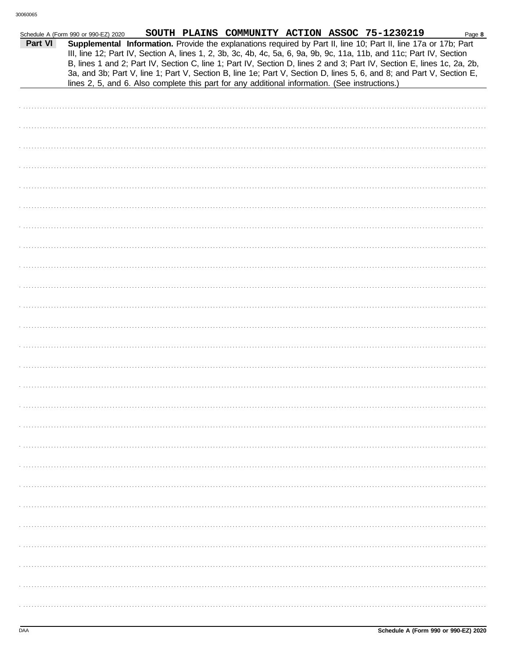|         | Schedule A (Form 990 or 990-EZ) 2020 |  |                                                                                                |  | SOUTH PLAINS COMMUNITY ACTION ASSOC 75-1230219                                                                                                                                                                                                                                                                                                                                                                                                                                            | Page 8 |
|---------|--------------------------------------|--|------------------------------------------------------------------------------------------------|--|-------------------------------------------------------------------------------------------------------------------------------------------------------------------------------------------------------------------------------------------------------------------------------------------------------------------------------------------------------------------------------------------------------------------------------------------------------------------------------------------|--------|
| Part VI |                                      |  |                                                                                                |  | Supplemental Information. Provide the explanations required by Part II, line 10; Part II, line 17a or 17b; Part<br>III, line 12; Part IV, Section A, lines 1, 2, 3b, 3c, 4b, 4c, 5a, 6, 9a, 9b, 9c, 11a, 11b, and 11c; Part IV, Section<br>B, lines 1 and 2; Part IV, Section C, line 1; Part IV, Section D, lines 2 and 3; Part IV, Section E, lines 1c, 2a, 2b,<br>3a, and 3b; Part V, line 1; Part V, Section B, line 1e; Part V, Section D, lines 5, 6, and 8; and Part V, Section E, |        |
|         |                                      |  | lines 2, 5, and 6. Also complete this part for any additional information. (See instructions.) |  |                                                                                                                                                                                                                                                                                                                                                                                                                                                                                           |        |
|         |                                      |  |                                                                                                |  |                                                                                                                                                                                                                                                                                                                                                                                                                                                                                           |        |
|         |                                      |  |                                                                                                |  |                                                                                                                                                                                                                                                                                                                                                                                                                                                                                           |        |
|         |                                      |  |                                                                                                |  |                                                                                                                                                                                                                                                                                                                                                                                                                                                                                           |        |
|         |                                      |  |                                                                                                |  |                                                                                                                                                                                                                                                                                                                                                                                                                                                                                           |        |
|         |                                      |  |                                                                                                |  |                                                                                                                                                                                                                                                                                                                                                                                                                                                                                           |        |
|         |                                      |  |                                                                                                |  |                                                                                                                                                                                                                                                                                                                                                                                                                                                                                           |        |
|         |                                      |  |                                                                                                |  |                                                                                                                                                                                                                                                                                                                                                                                                                                                                                           |        |
|         |                                      |  |                                                                                                |  |                                                                                                                                                                                                                                                                                                                                                                                                                                                                                           |        |
|         |                                      |  |                                                                                                |  |                                                                                                                                                                                                                                                                                                                                                                                                                                                                                           |        |
|         |                                      |  |                                                                                                |  |                                                                                                                                                                                                                                                                                                                                                                                                                                                                                           |        |
|         |                                      |  |                                                                                                |  |                                                                                                                                                                                                                                                                                                                                                                                                                                                                                           |        |
|         |                                      |  |                                                                                                |  |                                                                                                                                                                                                                                                                                                                                                                                                                                                                                           |        |
|         |                                      |  |                                                                                                |  |                                                                                                                                                                                                                                                                                                                                                                                                                                                                                           |        |
|         |                                      |  |                                                                                                |  |                                                                                                                                                                                                                                                                                                                                                                                                                                                                                           |        |
|         |                                      |  |                                                                                                |  |                                                                                                                                                                                                                                                                                                                                                                                                                                                                                           |        |
|         |                                      |  |                                                                                                |  |                                                                                                                                                                                                                                                                                                                                                                                                                                                                                           |        |
|         |                                      |  |                                                                                                |  |                                                                                                                                                                                                                                                                                                                                                                                                                                                                                           |        |
|         |                                      |  |                                                                                                |  |                                                                                                                                                                                                                                                                                                                                                                                                                                                                                           |        |
|         |                                      |  |                                                                                                |  |                                                                                                                                                                                                                                                                                                                                                                                                                                                                                           |        |
|         |                                      |  |                                                                                                |  |                                                                                                                                                                                                                                                                                                                                                                                                                                                                                           |        |
|         |                                      |  |                                                                                                |  |                                                                                                                                                                                                                                                                                                                                                                                                                                                                                           |        |
|         |                                      |  |                                                                                                |  |                                                                                                                                                                                                                                                                                                                                                                                                                                                                                           |        |
|         |                                      |  |                                                                                                |  |                                                                                                                                                                                                                                                                                                                                                                                                                                                                                           |        |
|         |                                      |  |                                                                                                |  |                                                                                                                                                                                                                                                                                                                                                                                                                                                                                           |        |
|         |                                      |  |                                                                                                |  |                                                                                                                                                                                                                                                                                                                                                                                                                                                                                           |        |
|         |                                      |  |                                                                                                |  |                                                                                                                                                                                                                                                                                                                                                                                                                                                                                           |        |
|         |                                      |  |                                                                                                |  |                                                                                                                                                                                                                                                                                                                                                                                                                                                                                           |        |
|         |                                      |  |                                                                                                |  |                                                                                                                                                                                                                                                                                                                                                                                                                                                                                           |        |
|         |                                      |  |                                                                                                |  |                                                                                                                                                                                                                                                                                                                                                                                                                                                                                           |        |
|         |                                      |  |                                                                                                |  |                                                                                                                                                                                                                                                                                                                                                                                                                                                                                           |        |
|         |                                      |  |                                                                                                |  |                                                                                                                                                                                                                                                                                                                                                                                                                                                                                           |        |
|         |                                      |  |                                                                                                |  |                                                                                                                                                                                                                                                                                                                                                                                                                                                                                           |        |
|         |                                      |  |                                                                                                |  |                                                                                                                                                                                                                                                                                                                                                                                                                                                                                           |        |
|         |                                      |  |                                                                                                |  |                                                                                                                                                                                                                                                                                                                                                                                                                                                                                           |        |
|         |                                      |  |                                                                                                |  |                                                                                                                                                                                                                                                                                                                                                                                                                                                                                           |        |
|         |                                      |  |                                                                                                |  |                                                                                                                                                                                                                                                                                                                                                                                                                                                                                           |        |
|         |                                      |  |                                                                                                |  |                                                                                                                                                                                                                                                                                                                                                                                                                                                                                           |        |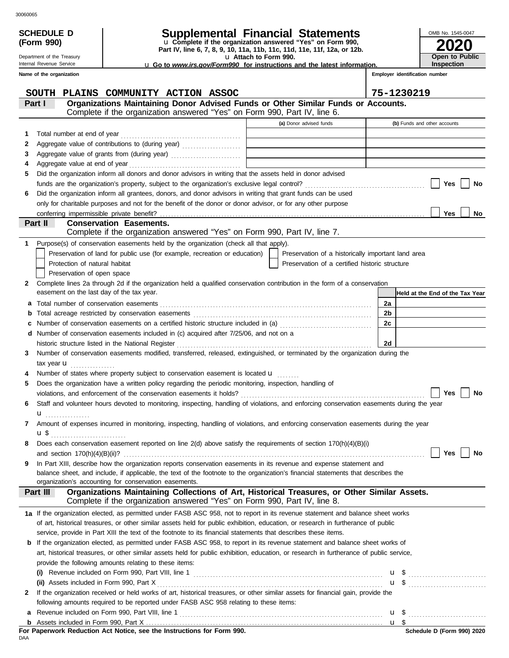|    | <b>Supplemental Financial Statements</b><br><b>SCHEDULE D</b><br>u Complete if the organization answered "Yes" on Form 990,<br>(Form 990) |                                                                                                                                                                                                                              |                                                                          |                | OMB No. 1545-0047               |
|----|-------------------------------------------------------------------------------------------------------------------------------------------|------------------------------------------------------------------------------------------------------------------------------------------------------------------------------------------------------------------------------|--------------------------------------------------------------------------|----------------|---------------------------------|
|    |                                                                                                                                           |                                                                                                                                                                                                                              | Part IV, line 6, 7, 8, 9, 10, 11a, 11b, 11c, 11d, 11e, 11f, 12a, or 12b. |                | Open to Public                  |
|    | Department of the Treasury<br>Internal Revenue Service                                                                                    | u Go to www.irs.gov/Form990 for instructions and the latest information.                                                                                                                                                     | u Attach to Form 990.                                                    |                | <b>Inspection</b>               |
|    | Name of the organization                                                                                                                  |                                                                                                                                                                                                                              |                                                                          |                | Employer identification number  |
|    |                                                                                                                                           |                                                                                                                                                                                                                              |                                                                          |                |                                 |
|    | SOUTH                                                                                                                                     | PLAINS COMMUNITY ACTION ASSOC<br>Organizations Maintaining Donor Advised Funds or Other Similar Funds or Accounts.                                                                                                           |                                                                          |                | 75-1230219                      |
|    | Part I                                                                                                                                    | Complete if the organization answered "Yes" on Form 990, Part IV, line 6.                                                                                                                                                    |                                                                          |                |                                 |
|    |                                                                                                                                           |                                                                                                                                                                                                                              | (a) Donor advised funds                                                  |                | (b) Funds and other accounts    |
| 1  |                                                                                                                                           |                                                                                                                                                                                                                              |                                                                          |                |                                 |
| 2  |                                                                                                                                           | Aggregate value of contributions to (during year)                                                                                                                                                                            |                                                                          |                |                                 |
| 3  |                                                                                                                                           |                                                                                                                                                                                                                              |                                                                          |                |                                 |
| 4  |                                                                                                                                           |                                                                                                                                                                                                                              |                                                                          |                |                                 |
| 5  |                                                                                                                                           | Did the organization inform all donors and donor advisors in writing that the assets held in donor advised                                                                                                                   |                                                                          |                |                                 |
|    |                                                                                                                                           |                                                                                                                                                                                                                              |                                                                          |                | Yes<br>No                       |
| 6  |                                                                                                                                           | Did the organization inform all grantees, donors, and donor advisors in writing that grant funds can be used<br>only for charitable purposes and not for the benefit of the donor or donor advisor, or for any other purpose |                                                                          |                |                                 |
|    |                                                                                                                                           |                                                                                                                                                                                                                              |                                                                          |                | Yes<br>No                       |
|    | Part II                                                                                                                                   | <b>Conservation Easements.</b>                                                                                                                                                                                               |                                                                          |                |                                 |
|    |                                                                                                                                           | Complete if the organization answered "Yes" on Form 990, Part IV, line 7.                                                                                                                                                    |                                                                          |                |                                 |
| 1  |                                                                                                                                           | Purpose(s) of conservation easements held by the organization (check all that apply).                                                                                                                                        |                                                                          |                |                                 |
|    |                                                                                                                                           | Preservation of land for public use (for example, recreation or education)                                                                                                                                                   | Preservation of a historically important land area                       |                |                                 |
|    | Protection of natural habitat                                                                                                             |                                                                                                                                                                                                                              | Preservation of a certified historic structure                           |                |                                 |
|    | Preservation of open space                                                                                                                |                                                                                                                                                                                                                              |                                                                          |                |                                 |
| 2  | easement on the last day of the tax year.                                                                                                 | Complete lines 2a through 2d if the organization held a qualified conservation contribution in the form of a conservation                                                                                                    |                                                                          |                | Held at the End of the Tax Year |
| а  |                                                                                                                                           |                                                                                                                                                                                                                              |                                                                          | 2a             |                                 |
| b  |                                                                                                                                           |                                                                                                                                                                                                                              |                                                                          | 2 <sub>b</sub> |                                 |
| с  |                                                                                                                                           | Number of conservation easements on a certified historic structure included in (a) [[[[[[[[[[[[[[[[[[[[[[[[[]]]]]]]                                                                                                          |                                                                          | 2c             |                                 |
| d  |                                                                                                                                           | Number of conservation easements included in (c) acquired after 7/25/06, and not on a                                                                                                                                        |                                                                          |                |                                 |
|    |                                                                                                                                           |                                                                                                                                                                                                                              |                                                                          | 2d             |                                 |
| 3. |                                                                                                                                           | Number of conservation easements modified, transferred, released, extinguished, or terminated by the organization during the                                                                                                 |                                                                          |                |                                 |
|    | tax year $\mathbf u$                                                                                                                      |                                                                                                                                                                                                                              |                                                                          |                |                                 |
|    |                                                                                                                                           | Number of states where property subject to conservation easement is located <b>u</b>                                                                                                                                         |                                                                          |                |                                 |
| 5  |                                                                                                                                           | Does the organization have a written policy regarding the periodic monitoring, inspection, handling of                                                                                                                       |                                                                          |                |                                 |
|    |                                                                                                                                           |                                                                                                                                                                                                                              |                                                                          |                | Yes<br>No                       |
| 6  |                                                                                                                                           | Staff and volunteer hours devoted to monitoring, inspecting, handling of violations, and enforcing conservation easements during the year                                                                                    |                                                                          |                |                                 |
| 7  | u<br>. <b>.</b> .                                                                                                                         | Amount of expenses incurred in monitoring, inspecting, handling of violations, and enforcing conservation easements during the year                                                                                          |                                                                          |                |                                 |
|    | u\$                                                                                                                                       |                                                                                                                                                                                                                              |                                                                          |                |                                 |
| 8  |                                                                                                                                           | Does each conservation easement reported on line $2(d)$ above satisfy the requirements of section $170(h)(4)(B)(i)$                                                                                                          |                                                                          |                |                                 |
|    |                                                                                                                                           |                                                                                                                                                                                                                              |                                                                          |                | Yes<br>No                       |
| 9  |                                                                                                                                           | In Part XIII, describe how the organization reports conservation easements in its revenue and expense statement and                                                                                                          |                                                                          |                |                                 |
|    |                                                                                                                                           | balance sheet, and include, if applicable, the text of the footnote to the organization's financial statements that describes the                                                                                            |                                                                          |                |                                 |
|    |                                                                                                                                           | organization's accounting for conservation easements.<br>Organizations Maintaining Collections of Art, Historical Treasures, or Other Similar Assets.                                                                        |                                                                          |                |                                 |
|    | Part III                                                                                                                                  | Complete if the organization answered "Yes" on Form 990, Part IV, line 8.                                                                                                                                                    |                                                                          |                |                                 |
|    |                                                                                                                                           | 1a If the organization elected, as permitted under FASB ASC 958, not to report in its revenue statement and balance sheet works                                                                                              |                                                                          |                |                                 |
|    |                                                                                                                                           | of art, historical treasures, or other similar assets held for public exhibition, education, or research in furtherance of public                                                                                            |                                                                          |                |                                 |
|    |                                                                                                                                           | service, provide in Part XIII the text of the footnote to its financial statements that describes these items.                                                                                                               |                                                                          |                |                                 |
| b  |                                                                                                                                           | If the organization elected, as permitted under FASB ASC 958, to report in its revenue statement and balance sheet works of                                                                                                  |                                                                          |                |                                 |
|    |                                                                                                                                           | art, historical treasures, or other similar assets held for public exhibition, education, or research in furtherance of public service,                                                                                      |                                                                          |                |                                 |
|    |                                                                                                                                           | provide the following amounts relating to these items:                                                                                                                                                                       |                                                                          |                |                                 |
|    | (i)                                                                                                                                       |                                                                                                                                                                                                                              |                                                                          |                |                                 |
|    |                                                                                                                                           |                                                                                                                                                                                                                              |                                                                          |                |                                 |
| 2  |                                                                                                                                           | If the organization received or held works of art, historical treasures, or other similar assets for financial gain, provide the                                                                                             |                                                                          |                |                                 |
| а  |                                                                                                                                           | following amounts required to be reported under FASB ASC 958 relating to these items:                                                                                                                                        |                                                                          |                |                                 |
|    |                                                                                                                                           |                                                                                                                                                                                                                              |                                                                          |                |                                 |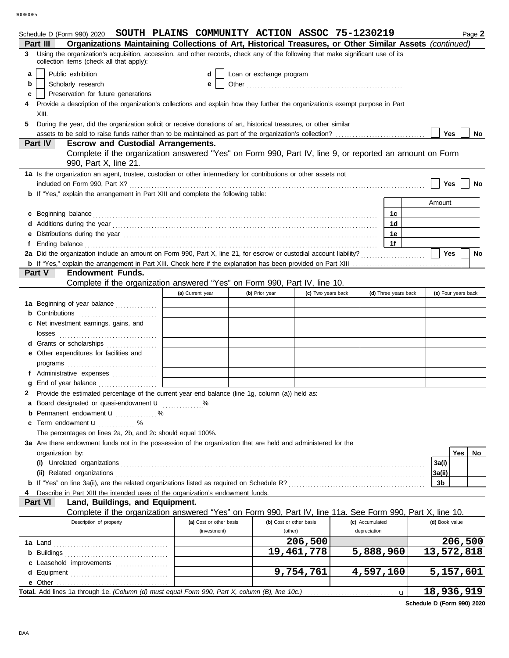|   | Schedule D (Form 990) 2020 SOUTH PLAINS COMMUNITY ACTION ASSOC 75-1230219                                                                                                                                                            |                                           |                          |                    |                 |                      |                | Page 2              |
|---|--------------------------------------------------------------------------------------------------------------------------------------------------------------------------------------------------------------------------------------|-------------------------------------------|--------------------------|--------------------|-----------------|----------------------|----------------|---------------------|
|   | Organizations Maintaining Collections of Art, Historical Treasures, or Other Similar Assets (continued)<br>Part III                                                                                                                  |                                           |                          |                    |                 |                      |                |                     |
|   | 3 Using the organization's acquisition, accession, and other records, check any of the following that make significant use of its<br>collection items (check all that apply):                                                        |                                           |                          |                    |                 |                      |                |                     |
| a | Public exhibition                                                                                                                                                                                                                    | d                                         | Loan or exchange program |                    |                 |                      |                |                     |
| b | Scholarly research                                                                                                                                                                                                                   | е                                         |                          |                    |                 |                      |                |                     |
| с | Preservation for future generations                                                                                                                                                                                                  |                                           |                          |                    |                 |                      |                |                     |
|   | Provide a description of the organization's collections and explain how they further the organization's exempt purpose in Part                                                                                                       |                                           |                          |                    |                 |                      |                |                     |
|   | XIII.                                                                                                                                                                                                                                |                                           |                          |                    |                 |                      |                |                     |
| 5 | During the year, did the organization solicit or receive donations of art, historical treasures, or other similar                                                                                                                    |                                           |                          |                    |                 |                      |                |                     |
|   |                                                                                                                                                                                                                                      |                                           |                          |                    |                 |                      | Yes            | No.                 |
|   | <b>Escrow and Custodial Arrangements.</b><br>Part IV                                                                                                                                                                                 |                                           |                          |                    |                 |                      |                |                     |
|   | Complete if the organization answered "Yes" on Form 990, Part IV, line 9, or reported an amount on Form                                                                                                                              |                                           |                          |                    |                 |                      |                |                     |
|   | 990, Part X, line 21.                                                                                                                                                                                                                |                                           |                          |                    |                 |                      |                |                     |
|   | 1a Is the organization an agent, trustee, custodian or other intermediary for contributions or other assets not                                                                                                                      |                                           |                          |                    |                 |                      |                |                     |
|   |                                                                                                                                                                                                                                      |                                           |                          |                    |                 |                      | Yes            | No                  |
|   | <b>b</b> If "Yes," explain the arrangement in Part XIII and complete the following table:                                                                                                                                            |                                           |                          |                    |                 |                      |                |                     |
|   |                                                                                                                                                                                                                                      |                                           |                          |                    |                 |                      | Amount         |                     |
|   | c Beginning balance <b>contract to the contract of the set of the contract of the contract of the contract of the contract of the contract of the contract of the contract of the contract of the contract of the contract of th</b> |                                           |                          |                    |                 | 1c                   |                |                     |
|   |                                                                                                                                                                                                                                      |                                           |                          |                    |                 | 1d                   |                |                     |
|   | Distributions during the year manufactured contains and the year manufactured with the year manufactured with                                                                                                                        |                                           |                          |                    |                 | 1e                   |                |                     |
|   | Ending balance <i>communically contained a contained a contained a contained a contained a contained a contained a</i>                                                                                                               |                                           |                          |                    |                 | 1f                   |                |                     |
|   | 2a Did the organization include an amount on Form 990, Part X, line 21, for escrow or custodial account liability?                                                                                                                   |                                           |                          |                    |                 |                      | Yes            | No                  |
|   |                                                                                                                                                                                                                                      |                                           |                          |                    |                 |                      |                |                     |
|   | Part V<br><b>Endowment Funds.</b>                                                                                                                                                                                                    |                                           |                          |                    |                 |                      |                |                     |
|   | Complete if the organization answered "Yes" on Form 990, Part IV, line 10.                                                                                                                                                           |                                           |                          |                    |                 |                      |                |                     |
|   |                                                                                                                                                                                                                                      | (a) Current year                          | (b) Prior year           | (c) Two years back |                 | (d) Three years back |                | (e) Four years back |
|   | 1a Beginning of year balance                                                                                                                                                                                                         |                                           |                          |                    |                 |                      |                |                     |
|   |                                                                                                                                                                                                                                      |                                           |                          |                    |                 |                      |                |                     |
|   | Net investment earnings, gains, and                                                                                                                                                                                                  |                                           |                          |                    |                 |                      |                |                     |
|   | losses                                                                                                                                                                                                                               |                                           |                          |                    |                 |                      |                |                     |
|   | d Grants or scholarships                                                                                                                                                                                                             |                                           |                          |                    |                 |                      |                |                     |
|   | Other expenditures for facilities and                                                                                                                                                                                                |                                           |                          |                    |                 |                      |                |                     |
|   | programs                                                                                                                                                                                                                             |                                           |                          |                    |                 |                      |                |                     |
|   |                                                                                                                                                                                                                                      | the control of the control of the control |                          |                    |                 |                      |                |                     |
|   | End of year balance <i>[[[[[[[[[[[[[[[[[[[[[[[[[[[[]]]</i> ]]]                                                                                                                                                                       |                                           |                          |                    |                 |                      |                |                     |
|   | 2 Provide the estimated percentage of the current year end balance (line 1g, column (a)) held as:                                                                                                                                    |                                           |                          |                    |                 |                      |                |                     |
|   | Board designated or quasi-endowment <b>u</b> %                                                                                                                                                                                       |                                           |                          |                    |                 |                      |                |                     |
|   | <b>b</b> Permanent endowment <b>u</b> %                                                                                                                                                                                              |                                           |                          |                    |                 |                      |                |                     |
|   | Term endowment <b>u</b>                                                                                                                                                                                                              |                                           |                          |                    |                 |                      |                |                     |
|   | The percentages on lines 2a, 2b, and 2c should equal 100%.                                                                                                                                                                           |                                           |                          |                    |                 |                      |                |                     |
|   | 3a Are there endowment funds not in the possession of the organization that are held and administered for the                                                                                                                        |                                           |                          |                    |                 |                      |                |                     |
|   | organization by:                                                                                                                                                                                                                     |                                           |                          |                    |                 |                      |                | Yes<br>No           |
|   |                                                                                                                                                                                                                                      |                                           |                          |                    |                 |                      | 3a(i)          |                     |
|   | (ii) Related organizations                                                                                                                                                                                                           |                                           |                          |                    |                 |                      | 3a(ii)         |                     |
|   |                                                                                                                                                                                                                                      |                                           |                          |                    |                 |                      | 3b             |                     |
|   | Describe in Part XIII the intended uses of the organization's endowment funds.                                                                                                                                                       |                                           |                          |                    |                 |                      |                |                     |
|   | Part VI<br>Land, Buildings, and Equipment.                                                                                                                                                                                           |                                           |                          |                    |                 |                      |                |                     |
|   | Complete if the organization answered "Yes" on Form 990, Part IV, line 11a. See Form 990, Part X, line 10.                                                                                                                           |                                           |                          |                    |                 |                      |                |                     |
|   | Description of property                                                                                                                                                                                                              | (a) Cost or other basis                   | (b) Cost or other basis  |                    | (c) Accumulated |                      | (d) Book value |                     |
|   |                                                                                                                                                                                                                                      | (investment)                              | (other)                  |                    | depreciation    |                      |                |                     |
|   | <b>1a</b> Land                                                                                                                                                                                                                       |                                           |                          | 206,500            |                 |                      |                | 206,500             |
|   |                                                                                                                                                                                                                                      |                                           |                          | 19,461,778         | 5,888,960       |                      | 13,572,818     |                     |
|   | c Leasehold improvements                                                                                                                                                                                                             |                                           |                          |                    |                 |                      |                |                     |
|   |                                                                                                                                                                                                                                      |                                           |                          | 9,754,761          | 4,597,160       |                      |                | 5,157,601           |
|   |                                                                                                                                                                                                                                      |                                           |                          |                    |                 |                      |                |                     |
|   |                                                                                                                                                                                                                                      |                                           |                          |                    |                 |                      | 18,936,919     |                     |
|   |                                                                                                                                                                                                                                      |                                           |                          |                    |                 |                      |                |                     |

**Schedule D (Form 990) 2020**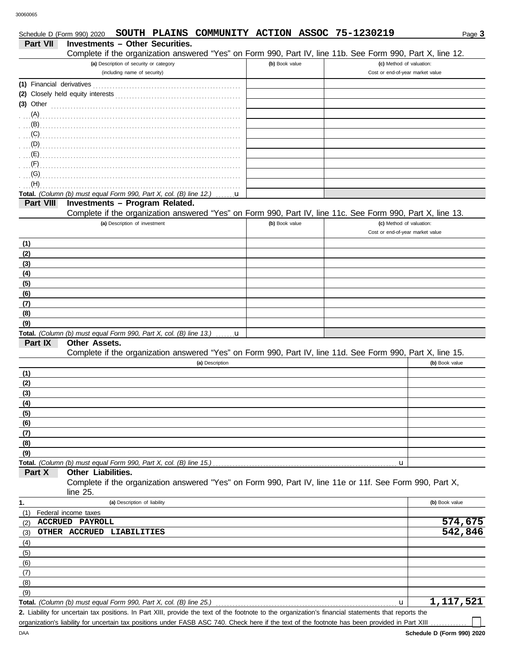Schedule D (Form 990) 2020

| Part VII   | <b>Investments - Other Securities.</b><br>Complete if the organization answered "Yes" on Form 990, Part IV, line 11b. See Form 990, Part X, line 12. |                |                                  |                |
|------------|------------------------------------------------------------------------------------------------------------------------------------------------------|----------------|----------------------------------|----------------|
|            | (a) Description of security or category                                                                                                              | (b) Book value | (c) Method of valuation:         |                |
|            | (including name of security)                                                                                                                         |                | Cost or end-of-year market value |                |
|            |                                                                                                                                                      |                |                                  |                |
|            |                                                                                                                                                      |                |                                  |                |
|            | $(3)$ Other                                                                                                                                          |                |                                  |                |
|            |                                                                                                                                                      |                |                                  |                |
|            | $\mathbf{B}$                                                                                                                                         |                |                                  |                |
|            | (C)                                                                                                                                                  |                |                                  |                |
|            |                                                                                                                                                      |                |                                  |                |
|            |                                                                                                                                                      |                |                                  |                |
|            |                                                                                                                                                      |                |                                  |                |
| (G)        |                                                                                                                                                      |                |                                  |                |
| (H)        |                                                                                                                                                      |                |                                  |                |
|            | Total. (Column (b) must equal Form 990, Part X, col. (B) line 12.)<br>$\ldots$ . $\mathbf{u}$                                                        |                |                                  |                |
| Part VIII  | Investments - Program Related.                                                                                                                       |                |                                  |                |
|            | Complete if the organization answered "Yes" on Form 990, Part IV, line 11c. See Form 990, Part X, line 13.                                           |                |                                  |                |
|            | (a) Description of investment                                                                                                                        | (b) Book value | (c) Method of valuation:         |                |
|            |                                                                                                                                                      |                | Cost or end-of-year market value |                |
| (1)        |                                                                                                                                                      |                |                                  |                |
| (2)        |                                                                                                                                                      |                |                                  |                |
| (3)        |                                                                                                                                                      |                |                                  |                |
| (4)        |                                                                                                                                                      |                |                                  |                |
| (5)        |                                                                                                                                                      |                |                                  |                |
| (6)        |                                                                                                                                                      |                |                                  |                |
| (7)        |                                                                                                                                                      |                |                                  |                |
| (8)        |                                                                                                                                                      |                |                                  |                |
| (9)        |                                                                                                                                                      |                |                                  |                |
|            | <b>Total.</b> (Column (b) must equal Form 990, Part X, col. (B) line 13.) $\ldots$ <b>u</b>                                                          |                |                                  |                |
| Part IX    | Other Assets.                                                                                                                                        |                |                                  |                |
|            | Complete if the organization answered "Yes" on Form 990, Part IV, line 11d. See Form 990, Part X, line 15.                                           |                |                                  | (b) Book value |
|            | (a) Description                                                                                                                                      |                |                                  |                |
| (1)        |                                                                                                                                                      |                |                                  |                |
| (2)        |                                                                                                                                                      |                |                                  |                |
| (3)        |                                                                                                                                                      |                |                                  |                |
| (4)        |                                                                                                                                                      |                |                                  |                |
| (5)        |                                                                                                                                                      |                |                                  |                |
| (6)<br>(7) |                                                                                                                                                      |                |                                  |                |
| (8)        |                                                                                                                                                      |                |                                  |                |
| (9)        |                                                                                                                                                      |                |                                  |                |
|            | Total. (Column (b) must equal Form 990, Part X, col. (B) line 15.)                                                                                   |                | u                                |                |
| Part X     | Other Liabilities.                                                                                                                                   |                |                                  |                |
|            | Complete if the organization answered "Yes" on Form 990, Part IV, line 11e or 11f. See Form 990, Part X,                                             |                |                                  |                |
|            | line $25$ .                                                                                                                                          |                |                                  |                |
| 1.         | (a) Description of liability                                                                                                                         |                |                                  | (b) Book value |
| (1)        | Federal income taxes                                                                                                                                 |                |                                  |                |
| (2)        | ACCRUED PAYROLL                                                                                                                                      |                |                                  | 574,675        |
| (3)        | OTHER ACCRUED LIABILITIES                                                                                                                            |                |                                  | 542,846        |
| (4)        |                                                                                                                                                      |                |                                  |                |
| (5)        |                                                                                                                                                      |                |                                  |                |
| (6)        |                                                                                                                                                      |                |                                  |                |
| (7)        |                                                                                                                                                      |                |                                  |                |
| (8)        |                                                                                                                                                      |                |                                  |                |
| (9)        |                                                                                                                                                      |                |                                  |                |
|            | Total. (Column (b) must equal Form 990, Part X, col. (B) line 25.)                                                                                   |                | u                                | 1,117,521      |
|            | 2. Liability for uncertain tax positions. In Part XIII, provide the text of the footnote to the organization's financial statements that reports the |                |                                  |                |

**SOUTH PLAINS COMMUNITY ACTION ASSOC 75-1230219**

organization's liability for uncertain tax positions under FASB ASC 740. Check here if the text of the footnote has been provided in Part XIII ...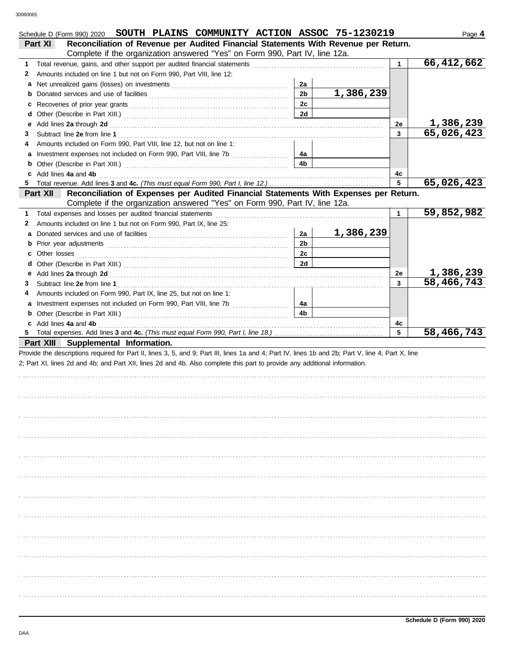|        | Schedule D (Form 990) 2020 SOUTH PLAINS COMMUNITY ACTION ASSOC 75-1230219                                                                                                                                                           |                      |           |              | Page 4     |
|--------|-------------------------------------------------------------------------------------------------------------------------------------------------------------------------------------------------------------------------------------|----------------------|-----------|--------------|------------|
|        | Reconciliation of Revenue per Audited Financial Statements With Revenue per Return.<br>Part XI                                                                                                                                      |                      |           |              |            |
|        | Complete if the organization answered "Yes" on Form 990, Part IV, line 12a.                                                                                                                                                         |                      |           |              |            |
| 1.     |                                                                                                                                                                                                                                     |                      |           | $\mathbf{1}$ | 66,412,662 |
| 2      | Amounts included on line 1 but not on Form 990, Part VIII, line 12:                                                                                                                                                                 |                      |           |              |            |
| а      |                                                                                                                                                                                                                                     | 2a<br>2 <sub>b</sub> | 1,386,239 |              |            |
| b      |                                                                                                                                                                                                                                     |                      |           |              |            |
| c      |                                                                                                                                                                                                                                     | 2c                   |           |              |            |
| d      |                                                                                                                                                                                                                                     | 2d                   |           |              | 1,386,239  |
| е      | Add lines 2a through 2d [11] Additional Additional Additional Additional Additional Additional Additional Additional Additional Additional Additional Additional Additional Additional Additional Additional Additional Additi      |                      |           | 2e<br>3      | 65,026,423 |
| 3<br>4 | Amounts included on Form 990, Part VIII, line 12, but not on line 1:                                                                                                                                                                |                      |           |              |            |
| a      | Investment expenses not included on Form 990, Part VIII, line 7b [                                                                                                                                                                  | 4a                   |           |              |            |
|        |                                                                                                                                                                                                                                     | 4b                   |           |              |            |
| c      |                                                                                                                                                                                                                                     |                      |           | 4c           |            |
| 5      | Add lines 4a and 4b <b>contract and 4b</b> and 4b and 4b and 4b and 4b and 4b and 4b and 4b and 4b and 4b and 4b and 4b and 4b and 4b and 4b and 4b and 4b and 4b and 4b and 4b and 4b and 4b and 4b and 4b and 4b and 4b and 4b an |                      |           | 5            | 65,026,423 |
|        | Reconciliation of Expenses per Audited Financial Statements With Expenses per Return.<br>Part XII                                                                                                                                   |                      |           |              |            |
|        | Complete if the organization answered "Yes" on Form 990, Part IV, line 12a.                                                                                                                                                         |                      |           |              |            |
| 1      |                                                                                                                                                                                                                                     |                      |           | 1            | 59,852,982 |
| 2      | Amounts included on line 1 but not on Form 990, Part IX, line 25:                                                                                                                                                                   |                      |           |              |            |
| a      |                                                                                                                                                                                                                                     | 2a                   | 1,386,239 |              |            |
| b      |                                                                                                                                                                                                                                     | 2 <sub>b</sub>       |           |              |            |
| с      |                                                                                                                                                                                                                                     | 2c                   |           |              |            |
| d      |                                                                                                                                                                                                                                     | 2d                   |           |              |            |
|        |                                                                                                                                                                                                                                     |                      |           | 2e           | 1,386,239  |
| 3      |                                                                                                                                                                                                                                     |                      |           | 3            | 58,466,743 |
| 4      | Amounts included on Form 990, Part IX, line 25, but not on line 1:                                                                                                                                                                  |                      |           |              |            |
|        | a Investment expenses not included on Form 990, Part VIII, line 7b                                                                                                                                                                  | 4a                   |           |              |            |
|        |                                                                                                                                                                                                                                     | 4b                   |           |              |            |
|        |                                                                                                                                                                                                                                     |                      |           | 4c           |            |
| 5      |                                                                                                                                                                                                                                     |                      |           | 5            | 58,466,743 |
|        | Part XIII Supplemental Information.                                                                                                                                                                                                 |                      |           |              |            |
|        | Provide the descriptions required for Part II, lines 3, 5, and 9; Part III, lines 1a and 4; Part IV, lines 1b and 2b; Part V, line 4; Part X, line                                                                                  |                      |           |              |            |
|        | 2; Part XI, lines 2d and 4b; and Part XII, lines 2d and 4b. Also complete this part to provide any additional information.                                                                                                          |                      |           |              |            |
|        |                                                                                                                                                                                                                                     |                      |           |              |            |
|        |                                                                                                                                                                                                                                     |                      |           |              |            |
|        |                                                                                                                                                                                                                                     |                      |           |              |            |
|        |                                                                                                                                                                                                                                     |                      |           |              |            |
|        |                                                                                                                                                                                                                                     |                      |           |              |            |
|        |                                                                                                                                                                                                                                     |                      |           |              |            |
|        |                                                                                                                                                                                                                                     |                      |           |              |            |
|        |                                                                                                                                                                                                                                     |                      |           |              |            |
|        |                                                                                                                                                                                                                                     |                      |           |              |            |
|        |                                                                                                                                                                                                                                     |                      |           |              |            |
|        |                                                                                                                                                                                                                                     |                      |           |              |            |
|        |                                                                                                                                                                                                                                     |                      |           |              |            |
|        |                                                                                                                                                                                                                                     |                      |           |              |            |
|        |                                                                                                                                                                                                                                     |                      |           |              |            |
|        |                                                                                                                                                                                                                                     |                      |           |              |            |
|        |                                                                                                                                                                                                                                     |                      |           |              |            |
|        |                                                                                                                                                                                                                                     |                      |           |              |            |
|        |                                                                                                                                                                                                                                     |                      |           |              |            |
|        |                                                                                                                                                                                                                                     |                      |           |              |            |
|        |                                                                                                                                                                                                                                     |                      |           |              |            |
|        |                                                                                                                                                                                                                                     |                      |           |              |            |
|        |                                                                                                                                                                                                                                     |                      |           |              |            |
|        |                                                                                                                                                                                                                                     |                      |           |              |            |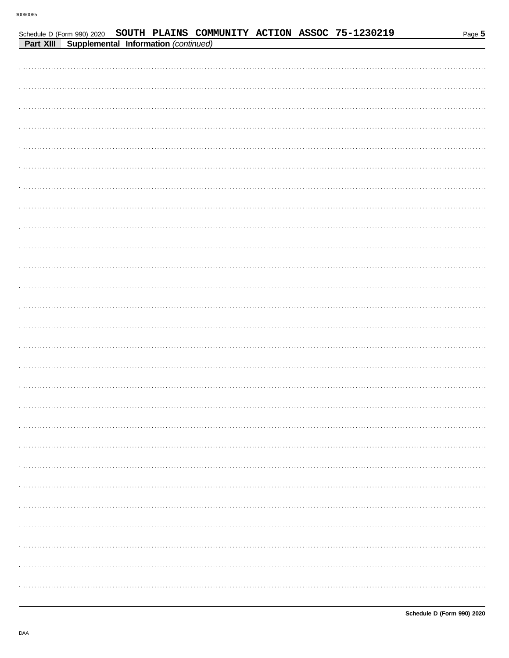|                                                |  |  | Schedule D (Form 990) 2020 SOUTH PLAINS COMMUNITY ACTION ASSOC 75-1230219 | Page 5 |
|------------------------------------------------|--|--|---------------------------------------------------------------------------|--------|
| Part XIII Supplemental Information (continued) |  |  |                                                                           |        |
|                                                |  |  |                                                                           |        |
|                                                |  |  |                                                                           |        |
|                                                |  |  |                                                                           |        |
|                                                |  |  |                                                                           |        |
|                                                |  |  |                                                                           |        |
|                                                |  |  |                                                                           |        |
|                                                |  |  |                                                                           |        |
|                                                |  |  |                                                                           |        |
|                                                |  |  |                                                                           |        |
|                                                |  |  |                                                                           |        |
|                                                |  |  |                                                                           |        |
|                                                |  |  |                                                                           |        |
|                                                |  |  |                                                                           |        |
|                                                |  |  |                                                                           |        |
|                                                |  |  |                                                                           |        |
|                                                |  |  |                                                                           |        |
|                                                |  |  |                                                                           |        |
|                                                |  |  |                                                                           |        |
|                                                |  |  |                                                                           |        |
|                                                |  |  |                                                                           |        |
|                                                |  |  |                                                                           |        |
|                                                |  |  |                                                                           |        |
|                                                |  |  |                                                                           |        |
|                                                |  |  |                                                                           |        |
|                                                |  |  |                                                                           |        |
|                                                |  |  |                                                                           |        |
|                                                |  |  |                                                                           |        |
|                                                |  |  |                                                                           |        |
|                                                |  |  |                                                                           |        |
|                                                |  |  |                                                                           |        |
|                                                |  |  |                                                                           |        |
|                                                |  |  |                                                                           |        |
|                                                |  |  |                                                                           |        |
|                                                |  |  |                                                                           |        |
|                                                |  |  |                                                                           |        |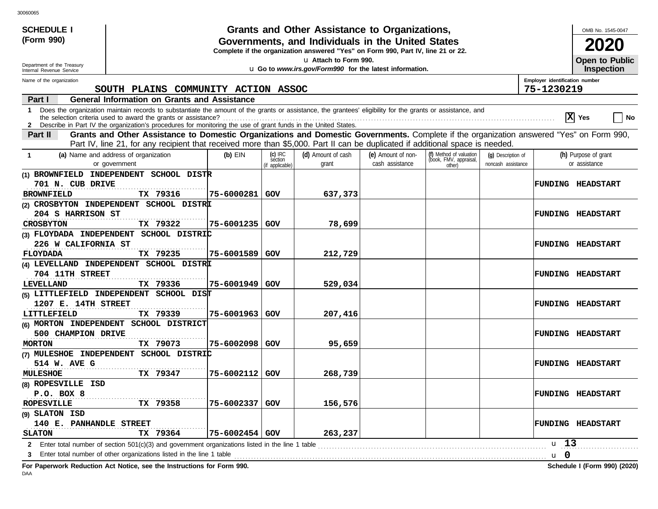| <b>SCHEDULE I</b>                                      |                                                                                                                                                                                                                                                                               |                  |                      | Grants and Other Assistance to Organizations,                                     |                    |                                                             |                    |                                | OMB No. 1545-0047                   |  |  |
|--------------------------------------------------------|-------------------------------------------------------------------------------------------------------------------------------------------------------------------------------------------------------------------------------------------------------------------------------|------------------|----------------------|-----------------------------------------------------------------------------------|--------------------|-------------------------------------------------------------|--------------------|--------------------------------|-------------------------------------|--|--|
| (Form 990)                                             |                                                                                                                                                                                                                                                                               |                  |                      | Governments, and Individuals in the United States                                 |                    |                                                             |                    |                                | <b>2020</b>                         |  |  |
|                                                        |                                                                                                                                                                                                                                                                               |                  |                      | Complete if the organization answered "Yes" on Form 990, Part IV, line 21 or 22.  |                    |                                                             |                    |                                |                                     |  |  |
| Department of the Treasury<br>Internal Revenue Service |                                                                                                                                                                                                                                                                               |                  |                      | La Attach to Form 990.<br>u Go to www.irs.gov/Form990 for the latest information. |                    |                                                             |                    |                                | <b>Open to Public</b><br>Inspection |  |  |
| Name of the organization                               |                                                                                                                                                                                                                                                                               |                  |                      |                                                                                   |                    |                                                             |                    | Employer identification number |                                     |  |  |
|                                                        | SOUTH PLAINS COMMUNITY ACTION ASSOC                                                                                                                                                                                                                                           |                  |                      |                                                                                   |                    |                                                             |                    | 75-1230219                     |                                     |  |  |
| Part I                                                 | <b>General Information on Grants and Assistance</b>                                                                                                                                                                                                                           |                  |                      |                                                                                   |                    |                                                             |                    |                                |                                     |  |  |
| 1                                                      | Does the organization maintain records to substantiate the amount of the grants or assistance, the grantees' eligibility for the grants or assistance, and<br>2 Describe in Part IV the organization's procedures for monitoring the use of grant funds in the United States. |                  |                      |                                                                                   |                    |                                                             |                    | $ X $ Yes                      | No                                  |  |  |
| Part II                                                | Grants and Other Assistance to Domestic Organizations and Domestic Governments. Complete if the organization answered "Yes" on Form 990,                                                                                                                                      |                  |                      |                                                                                   |                    |                                                             |                    |                                |                                     |  |  |
|                                                        | Part IV, line 21, for any recipient that received more than \$5,000. Part II can be duplicated if additional space is needed.                                                                                                                                                 |                  |                      |                                                                                   |                    |                                                             |                    |                                |                                     |  |  |
| $\mathbf{1}$                                           | (a) Name and address of organization                                                                                                                                                                                                                                          | $(b)$ EIN        | $(c)$ IRC<br>section | (d) Amount of cash                                                                | (e) Amount of non- | (f) Method of valuation<br>(book, FMV, appraisal,<br>other) | (g) Description of |                                | (h) Purpose of grant                |  |  |
|                                                        | or government                                                                                                                                                                                                                                                                 |                  | (if applicable)      | grant                                                                             | cash assistance    |                                                             | noncash assistance |                                | or assistance                       |  |  |
|                                                        | (1) BROWNFIELD INDEPENDENT SCHOOL DISTR                                                                                                                                                                                                                                       |                  |                      |                                                                                   |                    |                                                             |                    |                                |                                     |  |  |
| 701 N. CUB DRIVE                                       |                                                                                                                                                                                                                                                                               |                  |                      |                                                                                   |                    |                                                             |                    | <b>FUNDING HEADSTART</b>       |                                     |  |  |
| <b>BROWNFIELD</b>                                      | TX 79316                                                                                                                                                                                                                                                                      | 75-6000281 GOV   |                      | 637,373                                                                           |                    |                                                             |                    |                                |                                     |  |  |
|                                                        | (2) CROSBYTON INDEPENDENT SCHOOL DISTRI                                                                                                                                                                                                                                       |                  |                      |                                                                                   |                    |                                                             |                    |                                |                                     |  |  |
| 204 S HARRISON ST                                      |                                                                                                                                                                                                                                                                               | 75-6001235 GOV   |                      |                                                                                   |                    |                                                             |                    | <b>FUNDING HEADSTART</b>       |                                     |  |  |
| <b>CROSBYTON</b>                                       | TX 79322                                                                                                                                                                                                                                                                      |                  |                      | 78,699                                                                            |                    |                                                             |                    |                                |                                     |  |  |
| 226 W CALIFORNIA ST                                    | (3) FLOYDADA INDEPENDENT SCHOOL DISTRIC                                                                                                                                                                                                                                       |                  |                      |                                                                                   |                    |                                                             |                    |                                |                                     |  |  |
| FLOYDADA                                               | TX 79235                                                                                                                                                                                                                                                                      | 75-6001589 GOV   |                      | 212,729                                                                           |                    |                                                             |                    | <b>FUNDING HEADSTART</b>       |                                     |  |  |
|                                                        | (4) LEVELLAND INDEPENDENT SCHOOL DISTRI                                                                                                                                                                                                                                       |                  |                      |                                                                                   |                    |                                                             |                    |                                |                                     |  |  |
| 704 11TH STREET                                        |                                                                                                                                                                                                                                                                               |                  |                      |                                                                                   |                    |                                                             |                    | <b>FUNDING HEADSTART</b>       |                                     |  |  |
| LEVELLAND                                              | TX 79336                                                                                                                                                                                                                                                                      | 75-6001949   GOV |                      | 529,034                                                                           |                    |                                                             |                    |                                |                                     |  |  |
|                                                        | (5) LITTLEFIELD INDEPENDENT SCHOOL DIST                                                                                                                                                                                                                                       |                  |                      |                                                                                   |                    |                                                             |                    |                                |                                     |  |  |
| 1207 E. 14TH STREET                                    |                                                                                                                                                                                                                                                                               |                  |                      |                                                                                   |                    |                                                             |                    | <b>FUNDING HEADSTART</b>       |                                     |  |  |
| LITTLEFIELD                                            | TX 79339                                                                                                                                                                                                                                                                      | 75-6001963   GOV |                      | 207,416                                                                           |                    |                                                             |                    |                                |                                     |  |  |
|                                                        | (6) MORTON INDEPENDENT SCHOOL DISTRICT                                                                                                                                                                                                                                        |                  |                      |                                                                                   |                    |                                                             |                    |                                |                                     |  |  |
| 500 CHAMPION DRIVE                                     |                                                                                                                                                                                                                                                                               |                  |                      |                                                                                   |                    |                                                             |                    | <b>FUNDING HEADSTART</b>       |                                     |  |  |
| <b>MORTON</b>                                          | TX 79073                                                                                                                                                                                                                                                                      | 75-6002098   GOV |                      | 95,659                                                                            |                    |                                                             |                    |                                |                                     |  |  |
|                                                        | (7) MULESHOE INDEPENDENT SCHOOL DISTRIC                                                                                                                                                                                                                                       |                  |                      |                                                                                   |                    |                                                             |                    |                                |                                     |  |  |
| 514 W. AVE G                                           |                                                                                                                                                                                                                                                                               |                  |                      |                                                                                   |                    |                                                             |                    | <b>FUNDING HEADSTART</b>       |                                     |  |  |
| <b>MULESHOE</b>                                        | TX 79347                                                                                                                                                                                                                                                                      | 75-6002112 GOV   |                      | 268,739                                                                           |                    |                                                             |                    |                                |                                     |  |  |
| (8) ROPESVILLE ISD                                     |                                                                                                                                                                                                                                                                               |                  |                      |                                                                                   |                    |                                                             |                    |                                |                                     |  |  |
| P.O. BOX 8                                             |                                                                                                                                                                                                                                                                               |                  |                      |                                                                                   |                    |                                                             |                    | <b>FUNDING HEADSTART</b>       |                                     |  |  |
| <b>ROPESVILLE</b>                                      | TX 79358                                                                                                                                                                                                                                                                      | 75-6002337 GOV   |                      | 156,576                                                                           |                    |                                                             |                    |                                |                                     |  |  |
| (9) SLATON ISD                                         |                                                                                                                                                                                                                                                                               |                  |                      |                                                                                   |                    |                                                             |                    |                                |                                     |  |  |
| 140 E. PANHANDLE STREET                                |                                                                                                                                                                                                                                                                               |                  |                      |                                                                                   |                    |                                                             |                    | <b>FUNDING HEADSTART</b>       |                                     |  |  |
| <b>SLATON</b>                                          | TX 79364                                                                                                                                                                                                                                                                      | 75-6002454 GOV   |                      | 263,237                                                                           |                    |                                                             |                    |                                |                                     |  |  |
| $\mathbf{2}$                                           | Enter total number of section $501(c)(3)$ and government organizations listed in the line 1 table                                                                                                                                                                             |                  |                      |                                                                                   |                    |                                                             |                    | u 13                           |                                     |  |  |
| 3                                                      | Enter total number of other organizations listed in the line 1 table                                                                                                                                                                                                          |                  |                      |                                                                                   |                    |                                                             |                    | $\mathbf{u}$ 0                 |                                     |  |  |
|                                                        | For Paperwork Reduction Act Notice, see the Instructions for Form 990.                                                                                                                                                                                                        |                  |                      |                                                                                   |                    |                                                             |                    |                                | Schedule I (Form 990) (2020)        |  |  |

DAA

30060065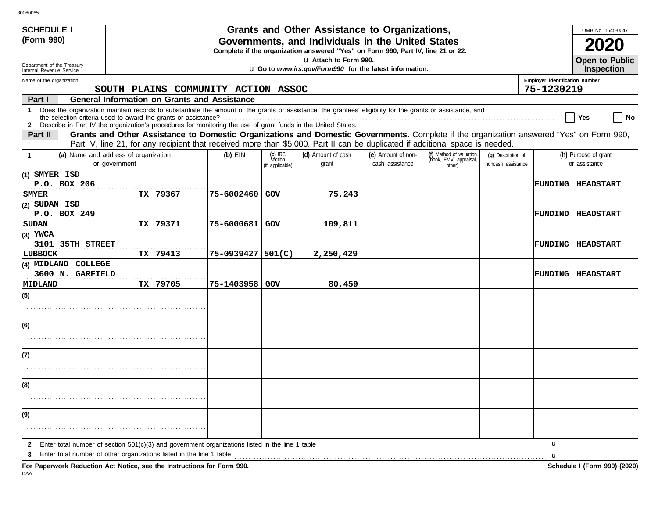| <b>SCHEDULE I</b><br>(Form 990)                        | Grants and Other Assistance to Organizations,<br>Governments, and Individuals in the United States<br>Complete if the organization answered "Yes" on Form 990, Part IV, line 21 or 22.<br>u Attach to Form 990.                                                               |                         |                                       |                                                         |                                       |                                                             |                                          |                                              | OMB No. 1545-0047<br><b>Open to Public</b> |
|--------------------------------------------------------|-------------------------------------------------------------------------------------------------------------------------------------------------------------------------------------------------------------------------------------------------------------------------------|-------------------------|---------------------------------------|---------------------------------------------------------|---------------------------------------|-------------------------------------------------------------|------------------------------------------|----------------------------------------------|--------------------------------------------|
| Department of the Treasury<br>Internal Revenue Service |                                                                                                                                                                                                                                                                               |                         |                                       | u Go to www.irs.gov/Form990 for the latest information. |                                       |                                                             |                                          |                                              | Inspection                                 |
| Name of the organization                               | SOUTH PLAINS COMMUNITY ACTION ASSOC                                                                                                                                                                                                                                           |                         |                                       |                                                         |                                       |                                                             |                                          | Employer identification number<br>75-1230219 |                                            |
| Part I                                                 | <b>General Information on Grants and Assistance</b>                                                                                                                                                                                                                           |                         |                                       |                                                         |                                       |                                                             |                                          |                                              |                                            |
| 1.                                                     | Does the organization maintain records to substantiate the amount of the grants or assistance, the grantees' eligibility for the grants or assistance, and<br>2 Describe in Part IV the organization's procedures for monitoring the use of grant funds in the United States. |                         |                                       |                                                         |                                       |                                                             |                                          |                                              | No<br>Yes                                  |
| Part II                                                | Grants and Other Assistance to Domestic Organizations and Domestic Governments. Complete if the organization answered "Yes" on Form 990,                                                                                                                                      |                         |                                       |                                                         |                                       |                                                             |                                          |                                              |                                            |
|                                                        | Part IV, line 21, for any recipient that received more than \$5,000. Part II can be duplicated if additional space is needed.                                                                                                                                                 |                         |                                       |                                                         |                                       |                                                             |                                          |                                              |                                            |
| $\overline{1}$                                         | (a) Name and address of organization<br>or government                                                                                                                                                                                                                         | $(b)$ EIN               | (c) IRC<br>section<br>(if applicable) | (d) Amount of cash<br>grant                             | (e) Amount of non-<br>cash assistance | (f) Method of valuation<br>(book, FMV, appraisal,<br>other) | (q) Description of<br>noncash assistance |                                              | (h) Purpose of grant<br>or assistance      |
| (1) SMYER ISD<br>P.O. BOX 206                          |                                                                                                                                                                                                                                                                               |                         |                                       |                                                         |                                       |                                                             |                                          |                                              | <b>FUNDING HEADSTART</b>                   |
| <b>SMYER</b><br>(2) SUDAN ISD                          | TX 79367                                                                                                                                                                                                                                                                      | 75-6002460 GOV          |                                       | 75,243                                                  |                                       |                                                             |                                          |                                              |                                            |
| P.O. BOX 249<br><b>SUDAN</b>                           | TX 79371                                                                                                                                                                                                                                                                      | 75-6000681 GOV          |                                       | 109,811                                                 |                                       |                                                             |                                          |                                              | <b>FUNDIND HEADSTART</b>                   |
| $(3)$ YWCA<br>3101 35TH STREET<br><b>LUBBOCK</b>       | TX 79413                                                                                                                                                                                                                                                                      | $75 - 0939427   501(C)$ |                                       | 2,250,429                                               |                                       |                                                             |                                          |                                              | <b>FUNDING HEADSTART</b>                   |
| (4) MIDLAND COLLEGE<br>3600 N. GARFIELD                | TX 79705                                                                                                                                                                                                                                                                      | 75-1403958 GOV          |                                       |                                                         |                                       |                                                             |                                          |                                              | <b>FUNDING HEADSTART</b>                   |
| MIDLAND<br>(5)                                         |                                                                                                                                                                                                                                                                               |                         |                                       | 80,459                                                  |                                       |                                                             |                                          |                                              |                                            |
|                                                        |                                                                                                                                                                                                                                                                               |                         |                                       |                                                         |                                       |                                                             |                                          |                                              |                                            |
| (6)                                                    |                                                                                                                                                                                                                                                                               |                         |                                       |                                                         |                                       |                                                             |                                          |                                              |                                            |
|                                                        |                                                                                                                                                                                                                                                                               |                         |                                       |                                                         |                                       |                                                             |                                          |                                              |                                            |
| (7)                                                    |                                                                                                                                                                                                                                                                               |                         |                                       |                                                         |                                       |                                                             |                                          |                                              |                                            |
|                                                        |                                                                                                                                                                                                                                                                               |                         |                                       |                                                         |                                       |                                                             |                                          |                                              |                                            |
| (8)                                                    |                                                                                                                                                                                                                                                                               |                         |                                       |                                                         |                                       |                                                             |                                          |                                              |                                            |
|                                                        |                                                                                                                                                                                                                                                                               |                         |                                       |                                                         |                                       |                                                             |                                          |                                              |                                            |
| (9)                                                    |                                                                                                                                                                                                                                                                               |                         |                                       |                                                         |                                       |                                                             |                                          |                                              |                                            |
|                                                        |                                                                                                                                                                                                                                                                               |                         |                                       |                                                         |                                       |                                                             |                                          |                                              |                                            |
| $\mathbf{2}$                                           | Enter total number of section 501(c)(3) and government organizations listed in the line 1 table                                                                                                                                                                               |                         |                                       |                                                         |                                       |                                                             |                                          | $\mathbf u$                                  |                                            |
| 3                                                      | Enter total number of other organizations listed in the line 1 table<br>For Paperwork Reduction Act Notice, see the Instructions for Form 990.                                                                                                                                |                         |                                       |                                                         |                                       |                                                             |                                          | u                                            | Schedule I (Form 990) (2020)               |

DAA

30060065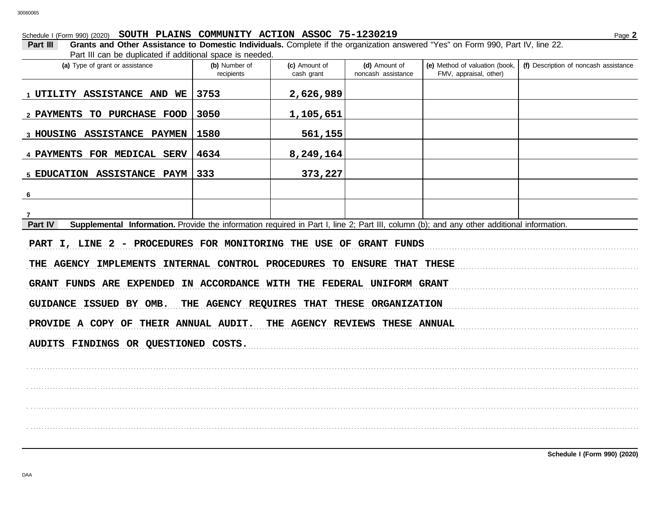# Schedule I (Form 990) (2020) SOUTH PLAINS COMMUNITY ACTION ASSOC 75-1230219

**Part III** Grants and Other Assistance to Domestic Individuals. Complete if the organization answered "Yes" on Form 990, Part IV, line 22.

Part III can be duplicated if additional space is needed.

| (a) Type of grant or assistance                                                                                                                      | (b) Number of<br>recipients                 | (c) Amount of<br>cash grant | (d) Amount of<br>noncash assistance | (e) Method of valuation (book,<br>FMV, appraisal, other) | (f) Description of noncash assistance |
|------------------------------------------------------------------------------------------------------------------------------------------------------|---------------------------------------------|-----------------------------|-------------------------------------|----------------------------------------------------------|---------------------------------------|
| 1 UTILITY ASSISTANCE AND WE                                                                                                                          | 3753                                        | 2,626,989                   |                                     |                                                          |                                       |
| 2 PAYMENTS TO PURCHASE FOOD                                                                                                                          | 3050                                        | 1,105,651                   |                                     |                                                          |                                       |
| 3 HOUSING ASSISTANCE PAYMEN                                                                                                                          | 1580                                        | 561,155                     |                                     |                                                          |                                       |
| 4 PAYMENTS FOR MEDICAL SERV                                                                                                                          | 4634                                        | 8,249,164                   |                                     |                                                          |                                       |
| 5 EDUCATION ASSISTANCE PAYM                                                                                                                          | 333                                         | 373,227                     |                                     |                                                          |                                       |
| 6                                                                                                                                                    |                                             |                             |                                     |                                                          |                                       |
| 7                                                                                                                                                    |                                             |                             |                                     |                                                          |                                       |
| Part IV<br>Supplemental Information. Provide the information required in Part I, line 2; Part III, column (b); and any other additional information. |                                             |                             |                                     |                                                          |                                       |
| PART I, LINE 2 - PROCEDURES FOR MONITORING THE USE OF GRANT FUNDS                                                                                    |                                             |                             |                                     |                                                          |                                       |
| THE AGENCY IMPLEMENTS INTERNAL CONTROL PROCEDURES TO ENSURE THAT THESE                                                                               |                                             |                             |                                     |                                                          |                                       |
| GRANT FUNDS ARE EXPENDED IN ACCORDANCE WITH THE FEDERAL UNIFORM GRANT                                                                                |                                             |                             |                                     |                                                          |                                       |
| GUIDANCE ISSUED BY OMB.                                                                                                                              | THE AGENCY REQUIRES THAT THESE ORGANIZATION |                             |                                     |                                                          |                                       |
| PROVIDE A COPY OF THEIR ANNUAL AUDIT. THE AGENCY REVIEWS THESE ANNUAL                                                                                |                                             |                             |                                     |                                                          |                                       |
| AUDITS FINDINGS OR QUESTIONED COSTS.                                                                                                                 |                                             |                             |                                     |                                                          |                                       |
|                                                                                                                                                      |                                             |                             |                                     |                                                          |                                       |
|                                                                                                                                                      |                                             |                             |                                     |                                                          |                                       |
|                                                                                                                                                      |                                             |                             |                                     |                                                          |                                       |
|                                                                                                                                                      |                                             |                             |                                     |                                                          |                                       |
|                                                                                                                                                      |                                             |                             |                                     |                                                          |                                       |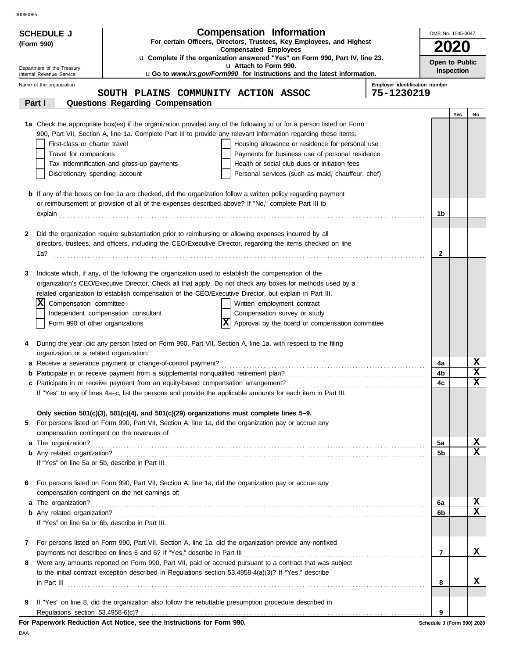| <b>SCHEDULE J</b>                       |                                                                                                        | <b>Compensation Information</b>                                                                                      |                                | OMB No. 1545-0047          |             |    |
|-----------------------------------------|--------------------------------------------------------------------------------------------------------|----------------------------------------------------------------------------------------------------------------------|--------------------------------|----------------------------|-------------|----|
| (Form 990)                              |                                                                                                        | For certain Officers, Directors, Trustees, Key Employees, and Highest                                                |                                |                            |             |    |
|                                         |                                                                                                        | <b>Compensated Employees</b><br>u Complete if the organization answered "Yes" on Form 990, Part IV, line 23.         |                                |                            | <b>2020</b> |    |
| Department of the Treasury              |                                                                                                        | u Attach to Form 990.                                                                                                |                                | Open to Public             |             |    |
| Internal Revenue Service                |                                                                                                        | <b>uGo to www.irs.gov/Form990 for instructions and the latest information.</b>                                       |                                |                            | Inspection  |    |
| Name of the organization                |                                                                                                        |                                                                                                                      | Employer identification number |                            |             |    |
| Part I                                  | SOUTH PLAINS COMMUNITY ACTION ASSOC<br>Questions Regarding Compensation                                |                                                                                                                      | 75-1230219                     |                            |             |    |
|                                         |                                                                                                        |                                                                                                                      |                                |                            |             |    |
|                                         |                                                                                                        | 1a Check the appropriate box(es) if the organization provided any of the following to or for a person listed on Form |                                |                            | Yes         | No |
|                                         |                                                                                                        | 990, Part VII, Section A, line 1a. Complete Part III to provide any relevant information regarding these items.      |                                |                            |             |    |
| First-class or charter travel           |                                                                                                        | Housing allowance or residence for personal use                                                                      |                                |                            |             |    |
| Travel for companions                   |                                                                                                        | Payments for business use of personal residence                                                                      |                                |                            |             |    |
|                                         | Tax indemnification and gross-up payments                                                              | Health or social club dues or initiation fees                                                                        |                                |                            |             |    |
| Discretionary spending account          |                                                                                                        | Personal services (such as maid, chauffeur, chef)                                                                    |                                |                            |             |    |
|                                         |                                                                                                        |                                                                                                                      |                                |                            |             |    |
|                                         |                                                                                                        | <b>b</b> If any of the boxes on line 1a are checked, did the organization follow a written policy regarding payment  |                                |                            |             |    |
|                                         | or reimbursement or provision of all of the expenses described above? If "No," complete Part III to    |                                                                                                                      |                                |                            |             |    |
|                                         |                                                                                                        |                                                                                                                      |                                | 1b                         |             |    |
| 2                                       | Did the organization require substantiation prior to reimbursing or allowing expenses incurred by all  |                                                                                                                      |                                |                            |             |    |
|                                         |                                                                                                        | directors, trustees, and officers, including the CEO/Executive Director, regarding the items checked on line         |                                |                            |             |    |
|                                         |                                                                                                        |                                                                                                                      |                                | 2                          |             |    |
|                                         |                                                                                                        |                                                                                                                      |                                |                            |             |    |
| 3                                       | Indicate which, if any, of the following the organization used to establish the compensation of the    |                                                                                                                      |                                |                            |             |    |
|                                         |                                                                                                        | organization's CEO/Executive Director. Check all that apply. Do not check any boxes for methods used by a            |                                |                            |             |    |
|                                         | related organization to establish compensation of the CEO/Executive Director, but explain in Part III. |                                                                                                                      |                                |                            |             |    |
| Compensation committee                  |                                                                                                        | Written employment contract                                                                                          |                                |                            |             |    |
|                                         | Independent compensation consultant                                                                    | Compensation survey or study                                                                                         |                                |                            |             |    |
| Form 990 of other organizations         |                                                                                                        | ΙX<br>Approval by the board or compensation committee                                                                |                                |                            |             |    |
| 4                                       |                                                                                                        | During the year, did any person listed on Form 990, Part VII, Section A, line 1a, with respect to the filing         |                                |                            |             |    |
| organization or a related organization: |                                                                                                        |                                                                                                                      |                                |                            |             |    |
|                                         |                                                                                                        |                                                                                                                      |                                | 4a                         |             | X  |
| b                                       |                                                                                                        |                                                                                                                      |                                | 4b                         |             | X  |
|                                         |                                                                                                        |                                                                                                                      |                                | 4c                         |             | X  |
|                                         |                                                                                                        | If "Yes" to any of lines 4a-c, list the persons and provide the applicable amounts for each item in Part III.        |                                |                            |             |    |
|                                         |                                                                                                        |                                                                                                                      |                                |                            |             |    |
|                                         | Only section $501(c)(3)$ , $501(c)(4)$ , and $501(c)(29)$ organizations must complete lines $5-9$ .    |                                                                                                                      |                                |                            |             |    |
| 5                                       | For persons listed on Form 990, Part VII, Section A, line 1a, did the organization pay or accrue any   |                                                                                                                      |                                |                            |             |    |
|                                         | compensation contingent on the revenues of:                                                            |                                                                                                                      |                                | 5a                         |             | х  |
|                                         |                                                                                                        |                                                                                                                      |                                | 5b                         |             | X  |
|                                         | If "Yes" on line 5a or 5b, describe in Part III.                                                       |                                                                                                                      |                                |                            |             |    |
|                                         |                                                                                                        |                                                                                                                      |                                |                            |             |    |
| 6                                       | For persons listed on Form 990, Part VII, Section A, line 1a, did the organization pay or accrue any   |                                                                                                                      |                                |                            |             |    |
|                                         | compensation contingent on the net earnings of:                                                        |                                                                                                                      |                                |                            |             |    |
|                                         |                                                                                                        |                                                                                                                      |                                | 6а                         |             | X  |
|                                         |                                                                                                        |                                                                                                                      |                                | 6b                         |             | X  |
|                                         | If "Yes" on line 6a or 6b, describe in Part III.                                                       |                                                                                                                      |                                |                            |             |    |
| 7                                       |                                                                                                        | For persons listed on Form 990, Part VII, Section A, line 1a, did the organization provide any nonfixed              |                                |                            |             |    |
|                                         |                                                                                                        |                                                                                                                      |                                | 7                          |             | x  |
| 8                                       |                                                                                                        | Were any amounts reported on Form 990, Part VII, paid or accrued pursuant to a contract that was subject             |                                |                            |             |    |
|                                         | to the initial contract exception described in Regulations section 53.4958-4(a)(3)? If "Yes," describe |                                                                                                                      |                                |                            |             |    |
|                                         |                                                                                                        |                                                                                                                      |                                | 8                          |             | x  |
|                                         |                                                                                                        |                                                                                                                      |                                |                            |             |    |
| 9                                       | If "Yes" on line 8, did the organization also follow the rebuttable presumption procedure described in |                                                                                                                      |                                |                            |             |    |
|                                         |                                                                                                        |                                                                                                                      |                                | 9                          |             |    |
|                                         | For Paperwork Reduction Act Notice, see the Instructions for Form 990.                                 |                                                                                                                      |                                | Schedule J (Form 990) 2020 |             |    |

DAA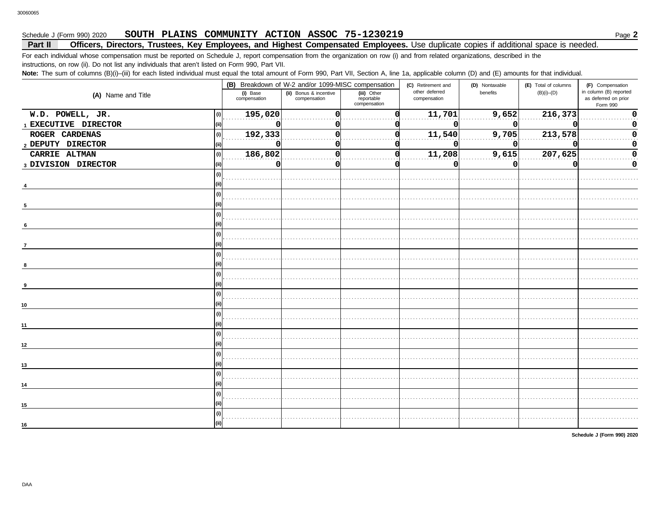#### SOUTH PLAINS COMMUNITY ACTION ASSOC 75-1230219 Schedule J (Form 990) 2020

#### Part II Officers, Directors, Trustees, Key Employees, and Highest Compensated Employees. Use duplicate copies if additional space is needed.

For each individual whose compensation must be reported on Schedule J, report compensation from the organization on row (i) and from related organizations, described in the instructions, on row (ii). Do not list any individuals that aren't listed on Form 990, Part VII.

Note: The sum of columns (B)(i)-(iii) for each listed individual must equal the total amount of Form 990, Part VII, Section A, line 1a, applicable column (D) and (E) amounts for that individual.

|                      |                          | (B) Breakdown of W-2 and/or 1099-MISC compensation |                                           | (C) Retirement and             | (D) Nontaxable | (E) Total of columns | (F) Compensation                                           |
|----------------------|--------------------------|----------------------------------------------------|-------------------------------------------|--------------------------------|----------------|----------------------|------------------------------------------------------------|
| (A) Name and Title   | (i) Base<br>compensation | (ii) Bonus & incentive<br>compensation             | (iii) Other<br>reportable<br>compensation | other deferred<br>compensation | benefits       | $(B)(i)$ – $(D)$     | in column (B) reported<br>as deferred on prior<br>Form 990 |
| W.D. POWELL, JR.     | 195,020<br>(i)           |                                                    |                                           | 11,701                         | 9,652          | 216,373              | <sup>0</sup>                                               |
| 1 EXECUTIVE DIRECTOR |                          |                                                    |                                           |                                |                |                      |                                                            |
| ROGER CARDENAS       | 192,333<br>(i)           |                                                    |                                           | 11,540                         | 9,705          | 213,578              |                                                            |
| 2 DEPUTY DIRECTOR    |                          |                                                    |                                           |                                | O              | $\Gamma$             |                                                            |
| CARRIE ALTMAN        | 186,802<br>(i)           |                                                    |                                           | 11,208                         | 9,615          | 207,625              |                                                            |
| 3 DIVISION DIRECTOR  | O                        |                                                    |                                           | C                              | O              | O                    | 0                                                          |
|                      |                          |                                                    |                                           |                                |                |                      |                                                            |
|                      | (i)                      |                                                    |                                           |                                |                |                      |                                                            |
|                      | (i)                      |                                                    |                                           |                                |                |                      |                                                            |
|                      |                          |                                                    |                                           |                                |                |                      |                                                            |
|                      |                          |                                                    |                                           |                                |                |                      |                                                            |
|                      |                          |                                                    |                                           |                                |                |                      |                                                            |
| 10                   |                          |                                                    |                                           |                                |                |                      |                                                            |
| 11                   |                          |                                                    |                                           |                                |                |                      |                                                            |
| 12                   |                          |                                                    |                                           |                                |                |                      |                                                            |
| 13                   |                          |                                                    |                                           |                                |                |                      |                                                            |
| 14                   |                          |                                                    |                                           |                                |                |                      |                                                            |
| 15                   |                          |                                                    |                                           |                                |                |                      |                                                            |
| $\frac{16}{1}$       |                          |                                                    |                                           |                                |                |                      |                                                            |

Schedule J (Form 990) 2020

Page 2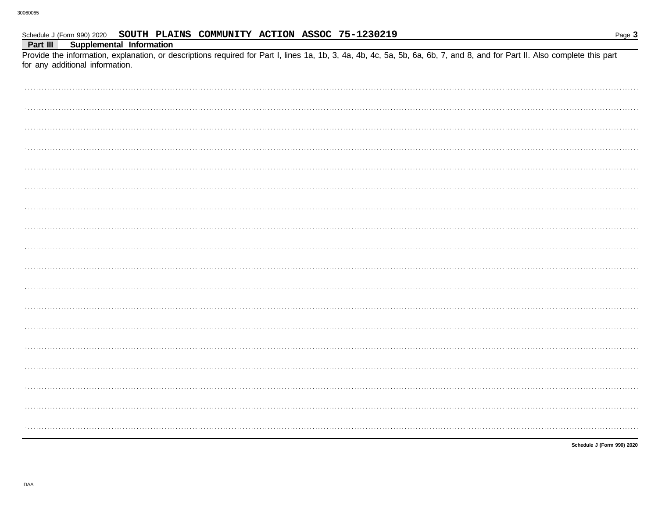| 0060065                                                                                                                                                                                                       |        |
|---------------------------------------------------------------------------------------------------------------------------------------------------------------------------------------------------------------|--------|
| Schedule J (Form 990) 2020 SOUTH PLAINS COMMUNITY ACTION ASSOC 75-1230219<br>Supplemental Information<br>Part III                                                                                             | Page 3 |
| Provide the information, explanation, or descriptions required for Part I, lines 1a, 1b, 3, 4a, 4b, 4c, 5a, 5b, 6a, 6b, 7, and 8, and for Part II. Also complete this part<br>for any additional information. |        |
|                                                                                                                                                                                                               |        |
|                                                                                                                                                                                                               |        |
|                                                                                                                                                                                                               |        |
|                                                                                                                                                                                                               |        |
|                                                                                                                                                                                                               |        |
|                                                                                                                                                                                                               |        |
|                                                                                                                                                                                                               |        |
|                                                                                                                                                                                                               |        |
|                                                                                                                                                                                                               |        |
|                                                                                                                                                                                                               |        |
|                                                                                                                                                                                                               |        |
|                                                                                                                                                                                                               |        |
|                                                                                                                                                                                                               |        |
|                                                                                                                                                                                                               |        |
|                                                                                                                                                                                                               |        |

Schedule J (Form 990) 2020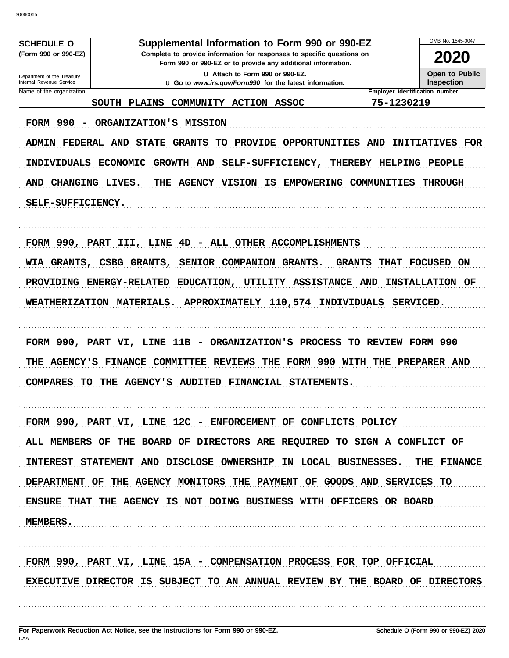**SCHEDULE O** (Form 990 or 990-EZ)

Department of the Treasury

Internal Revenue Service

### Supplemental Information to Form 990 or 990-EZ

Complete to provide information for responses to specific questions on Form 990 or 990-EZ or to provide any additional information.

> u Attach to Form 990 or 990-EZ. u Go to www.irs.gov/Form990 for the latest information.

**Inspection** Employer identification number

OMB No. 1545-0047

2020

**Open to Public** 

Name of the organization SOUTH PLAINS COMMUNITY ACTION ASSOC

75-1230219

FORM 990 - ORGANIZATION'S MISSION

ADMIN FEDERAL AND STATE GRANTS TO PROVIDE OPPORTUNITIES AND INITIATIVES FOR INDIVIDUALS ECONOMIC GROWTH AND SELF-SUFFICIENCY, THEREBY HELPING PEOPLE THE AGENCY VISION IS EMPOWERING COMMUNITIES THROUGH AND CHANGING LIVES. SELF-SUFFICIENCY.

FORM 990, PART III, LINE 4D - ALL OTHER ACCOMPLISHMENTS WIA GRANTS, CSBG GRANTS, SENIOR COMPANION GRANTS. **GRANTS THAT FOCUSED ON** PROVIDING ENERGY-RELATED EDUCATION, UTILITY ASSISTANCE AND INSTALLATION OF WEATHERIZATION MATERIALS. APPROXIMATELY 110,574 INDIVIDUALS SERVICED.

FORM 990, PART VI, LINE 11B - ORGANIZATION'S PROCESS TO REVIEW FORM 990 THE AGENCY'S FINANCE COMMITTEE REVIEWS THE FORM 990 WITH THE PREPARER AND COMPARES TO THE AGENCY'S AUDITED FINANCIAL STATEMENTS.

FORM 990, PART VI, LINE 12C - ENFORCEMENT OF CONFLICTS POLICY

ALL MEMBERS OF THE BOARD OF DIRECTORS ARE REQUIRED TO SIGN A CONFLICT OF INTEREST STATEMENT AND DISCLOSE OWNERSHIP IN LOCAL BUSINESSES. THE FINANCE DEPARTMENT OF THE AGENCY MONITORS THE PAYMENT OF GOODS AND SERVICES TO ENSURE THAT THE AGENCY IS NOT DOING BUSINESS WITH OFFICERS OR BOARD MEMBERS.

FORM 990, PART VI, LINE 15A - COMPENSATION PROCESS FOR TOP OFFICIAL EXECUTIVE DIRECTOR IS SUBJECT TO AN ANNUAL REVIEW BY THE BOARD OF DIRECTORS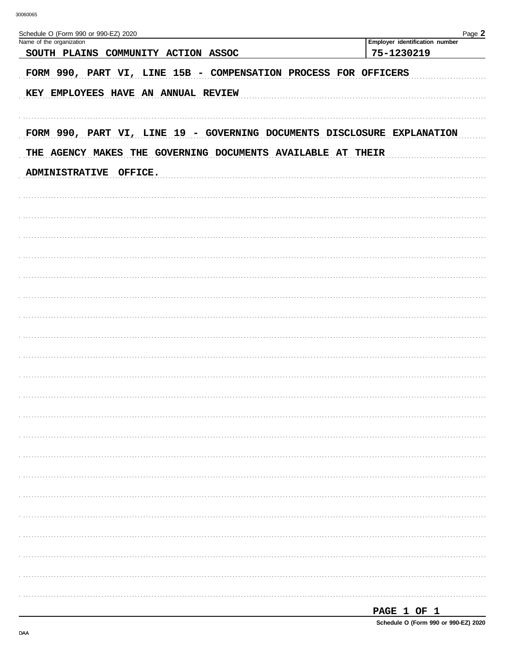| Schedule O (Form 990 or 990-EZ) 2020<br>Name of the organization        | Page 2<br>Employer identification number |
|-------------------------------------------------------------------------|------------------------------------------|
| SOUTH PLAINS COMMUNITY ACTION ASSOC                                     | 75-1230219                               |
| FORM 990, PART VI, LINE 15B - COMPENSATION PROCESS FOR OFFICERS         |                                          |
|                                                                         |                                          |
| KEY EMPLOYEES HAVE AN ANNUAL REVIEW                                     |                                          |
|                                                                         |                                          |
| FORM 990, PART VI, LINE 19 - GOVERNING DOCUMENTS DISCLOSURE EXPLANATION |                                          |
| THE AGENCY MAKES THE GOVERNING DOCUMENTS AVAILABLE AT                   | <b>THEIR</b>                             |
| <b>ADMINISTRATIVE</b><br>OFFICE.                                        |                                          |
|                                                                         |                                          |
|                                                                         |                                          |
|                                                                         |                                          |
|                                                                         |                                          |
|                                                                         |                                          |
|                                                                         |                                          |
|                                                                         |                                          |
|                                                                         |                                          |
|                                                                         |                                          |
|                                                                         |                                          |
|                                                                         |                                          |
|                                                                         |                                          |
|                                                                         |                                          |
|                                                                         |                                          |
|                                                                         |                                          |
|                                                                         |                                          |
|                                                                         |                                          |
|                                                                         |                                          |
|                                                                         |                                          |
|                                                                         |                                          |
|                                                                         |                                          |
|                                                                         |                                          |
|                                                                         |                                          |
|                                                                         |                                          |
|                                                                         |                                          |
|                                                                         | PAGE 1 OF 1                              |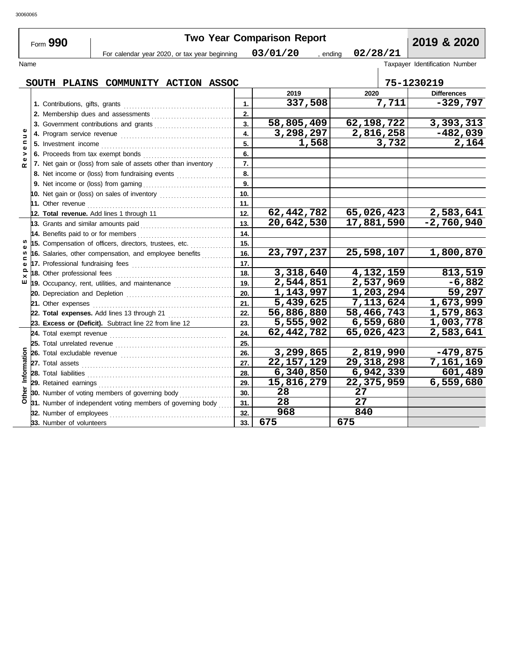|               | Form 990                 |                                                                |                  | <b>Two Year Comparison Report</b> |                            | 2019 & 2020                    |
|---------------|--------------------------|----------------------------------------------------------------|------------------|-----------------------------------|----------------------------|--------------------------------|
|               |                          | For calendar year 2020, or tax year beginning                  |                  | 03/01/20<br>, ending              | 02/28/21                   |                                |
| Name          |                          |                                                                |                  |                                   |                            | Taxpayer Identification Number |
|               |                          |                                                                |                  |                                   |                            |                                |
|               |                          | SOUTH PLAINS COMMUNITY ACTION ASSOC                            |                  |                                   |                            | 75-1230219                     |
|               |                          |                                                                |                  | 2019                              | 2020                       | <b>Differences</b>             |
|               |                          |                                                                | 1.               | 337,508                           | 7,711                      | $-329,797$                     |
|               |                          |                                                                | 2.               |                                   |                            |                                |
|               |                          | 3. Government contributions and grants                         | 3 <sub>1</sub>   | 58,805,409                        | 62,198,722                 | 3,393,313                      |
| $\Rightarrow$ |                          |                                                                | $\overline{4}$ . | 3,298,297                         | 2,816,258                  | $-482,039$                     |
| $\mathbf{C}$  |                          |                                                                | 5.               | 1,568                             | 3,732                      | 2,164                          |
| >             |                          |                                                                | 6.               |                                   |                            |                                |
|               |                          | 7. Net gain or (loss) from sale of assets other than inventory | $\overline{7}$ . |                                   |                            |                                |
|               |                          | 8. Net income or (loss) from fundraising events                | 8.               |                                   |                            |                                |
|               |                          |                                                                | 9.               |                                   |                            |                                |
|               |                          | 10. Net gain or (loss) on sales of inventory                   | 10.              |                                   |                            |                                |
|               |                          |                                                                | 11.              |                                   |                            |                                |
|               |                          | 12. Total revenue. Add lines 1 through 11                      | 12.              | 62,442,782                        | 65,026,423                 | 2,583,641                      |
|               |                          | 13. Grants and similar amounts paid                            | 13.              | 20,642,530                        | $\overline{17}$ , 881, 590 | $-2,760,940$                   |
|               |                          |                                                                | 14.              |                                   |                            |                                |
|               |                          | 15. Compensation of officers, directors, trustees, etc.        | 15.              |                                   |                            |                                |
|               |                          | 16. Salaries, other compensation, and employee benefits        | 16.              | 23,797,237                        | 25,598,107                 | 1,800,870                      |
| Ф             |                          |                                                                | 17.              |                                   |                            |                                |
| ×             |                          |                                                                | 18.              | 3,318,640                         | 4,132,159                  | 813,519                        |
| ш             |                          | 19. Occupancy, rent, utilities, and maintenance                | 19.              | 2,544,851                         | $\overline{2}$ , 537, 969  | $-6,882$                       |
|               |                          |                                                                | 20.              | 1,143,997                         | 1,203,294                  | 59,297                         |
|               |                          |                                                                | 21.              | $\overline{5,439,625}$            | 7, 113, 624                | 1,673,999                      |
|               |                          | 22. Total expenses. Add lines 13 through 21                    | 22.              | 56,886,880                        | 58,466,743                 | 1,579,863                      |
|               |                          | 23. Excess or (Deficit). Subtract line 22 from line 12         | 23.              | 5,555,902                         | 6,559,680                  | 1,003,778                      |
|               |                          |                                                                | 24.              | 62,442,782                        | 65,026,423                 | 2,583,641                      |
|               |                          |                                                                | 25.              |                                   |                            |                                |
|               |                          |                                                                | 26.              | 3,299,865                         | 2,819,990                  | $-479,875$                     |
|               |                          |                                                                | 27.              | 22, 157, 129                      | 29, 318, 298               | 7,161,169                      |
| Information   |                          |                                                                | 28.              | 6,340,850                         | 6,942,339                  | 601,489                        |
|               |                          |                                                                | 29.              | 15,816,279                        | 22,375,959                 | 6,559,680                      |
| <b>Other</b>  |                          | 30. Number of voting members of governing body                 | 30.              | 28                                | 27                         |                                |
|               |                          | 31. Number of independent voting members of governing body     | 31.              | 28                                | 27                         |                                |
|               |                          |                                                                | 32.              | 968                               | 840                        |                                |
|               | 33. Number of volunteers |                                                                | 33.              | 675                               | 675                        |                                |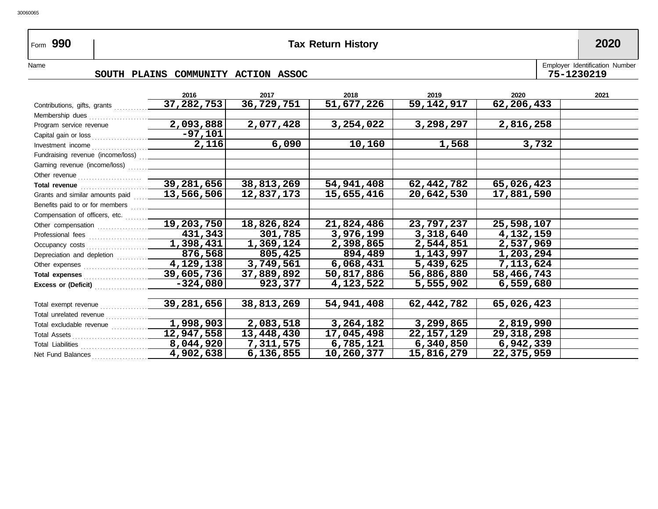# Form **990 Tax Return History 2020**

### Name  $\begin{array}{|l|l|}\n \hline\n \text{Number of the following data:} \end{array}$  SOUTH PLAINS COMMUNITY ACTION ASSOC SOUTH PLAINS COMMUNITY ACTION ASSOC

|                                   | 2016                       | 2017       | 2018       | 2019         | 2020         | 2021 |
|-----------------------------------|----------------------------|------------|------------|--------------|--------------|------|
| Contributions, gifts, grants      | 37, 282, 753               | 36,729,751 | 51,677,226 | 59, 142, 917 | 62,206,433   |      |
| Membership dues                   |                            |            |            |              |              |      |
| Program service revenue           | 2,093,888                  | 2,077,428  | 3,254,022  | 3,298,297    | 2,816,258    |      |
| Capital gain or loss              | $-97,101$                  |            |            |              |              |      |
| Investment income                 | 2,116                      | 6,090      | 10,160     | 1,568        | 3,732        |      |
| Fundraising revenue (income/loss) |                            |            |            |              |              |      |
| Gaming revenue (income/loss).     |                            |            |            |              |              |      |
|                                   |                            |            |            |              |              |      |
|                                   | $\overline{39,281,656}$    | 38,813,269 | 54,941,408 | 62,442,782   | 65,026,423   |      |
| Grants and similar amounts paid   | $\overline{13}$ , 566, 506 | 12,837,173 | 15,655,416 | 20,642,530   | 17,881,590   |      |
| Benefits paid to or for members   |                            |            |            |              |              |      |
| Compensation of officers, etc.    |                            |            |            |              |              |      |
|                                   | 19,203,750                 | 18,826,824 | 21,824,486 | 23,797,237   | 25,598,107   |      |
|                                   | $\overline{431,343}$       | 301,785    | 3,976,199  | 3,318,640    | 4,132,159    |      |
|                                   | 1,398,431                  | 1,369,124  | 2,398,865  | 2,544,851    | 2,537,969    |      |
| Depreciation and depletion        | 876,568                    | 805,425    | 894,489    | 1,143,997    | 1,203,294    |      |
|                                   | 4,129,138                  | 3,749,561  | 6,068,431  | 5,439,625    | 7,113,624    |      |
| Total expenses                    | 39,605,736                 | 37,889,892 | 50,817,886 | 56,886,880   | 58,466,743   |      |
|                                   | $-324,080$                 | 923,377    | 4,123,522  | 5,555,902    | 6,559,680    |      |
|                                   |                            |            |            |              |              |      |
| Total exempt revenue              | 39,281,656                 | 38,813,269 | 54,941,408 | 62,442,782   | 65,026,423   |      |
| Total unrelated revenue           |                            |            |            |              |              |      |
| Total excludable revenue          | 1,998,903                  | 2,083,518  | 3,264,182  | 3,299,865    | 2,819,990    |      |
|                                   | 12,947,558                 | 13,448,430 | 17,045,498 | 22, 157, 129 | 29, 318, 298 |      |
|                                   | 8,044,920                  | 7,311,575  | 6,785,121  | 6,340,850    | 6,942,339    |      |
| Net Fund Balances                 | 4,902,638                  | 6,136,855  | 10,260,377 | 15,816,279   | 22,375,959   |      |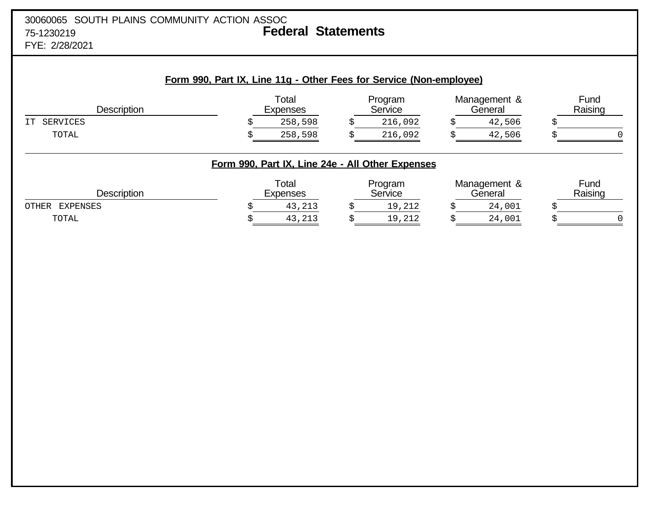# 30060065 SOUTH PLAINS COMMUNITY ACTION ASSOC 75-1230219 **Federal Statements** FYE: 2/28/2021

|                          | Form 990, Part IX, Line 11g - Other Fees for Service (Non-employee) |                                                  |                    |                         |                 |
|--------------------------|---------------------------------------------------------------------|--------------------------------------------------|--------------------|-------------------------|-----------------|
| <b>Description</b>       |                                                                     | Total<br><b>Expenses</b>                         | Program<br>Service | Management &<br>General | Fund<br>Raising |
| SERVICES                 |                                                                     | 258,598                                          | 216,092            | 42,506                  |                 |
| TOTAL                    |                                                                     | 258,598                                          | 216,092            | 42,506                  |                 |
|                          |                                                                     | Form 990, Part IX, Line 24e - All Other Expenses |                    |                         |                 |
| <b>Description</b>       |                                                                     | Total<br>Expenses                                | Program<br>Service | Management &<br>General | Fund<br>Raising |
| <b>EXPENSES</b><br>OTHER |                                                                     | 43,213                                           | 19,212             | 24,001                  |                 |
| TOTAL                    |                                                                     | 43,213                                           | 19,212             | 24,001                  | 0               |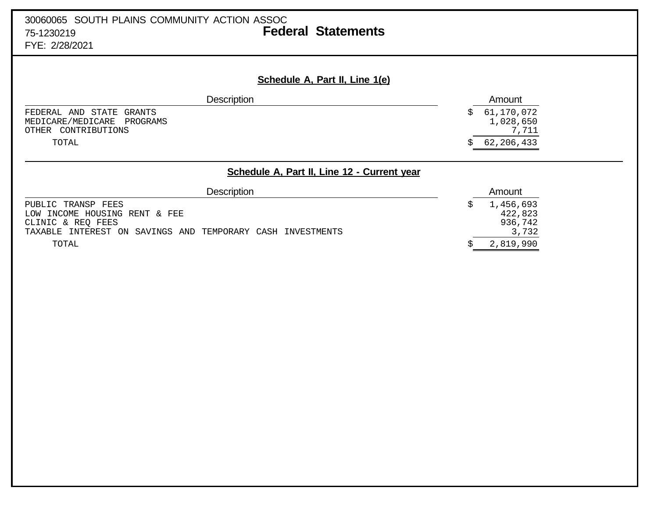# 30060065 SOUTH PLAINS COMMUNITY ACTION ASSOC 75-1230219 **Federal Statements** FYE: 2/28/2021

**Schedule A, Part II, Line 1(e)** Description Amount FEDERAL AND STATE GRANTS \$ 61,170,072 MEDICARE/MEDICARE PROGRAMS 1,028,650<br>OTHER CONTRIBUTIONS 7,711 OTHER CONTRIBUTIONS TOTAL  $$62,206,433$ 

# **Schedule A, Part II, Line 12 - Current year**

| <b>Description</b>                                                       | Amount                          |
|--------------------------------------------------------------------------|---------------------------------|
| PUBLIC TRANSP FEES<br>LOW INCOME HOUSING RENT & FEE<br>CLINIC & REO FEES | 1,456,693<br>422,823<br>936,742 |
| TAXABLE INTEREST ON SAVINGS AND TEMPORARY CASH INVESTMENTS               | 3,732                           |
| TOTAL                                                                    | 2,819,990                       |